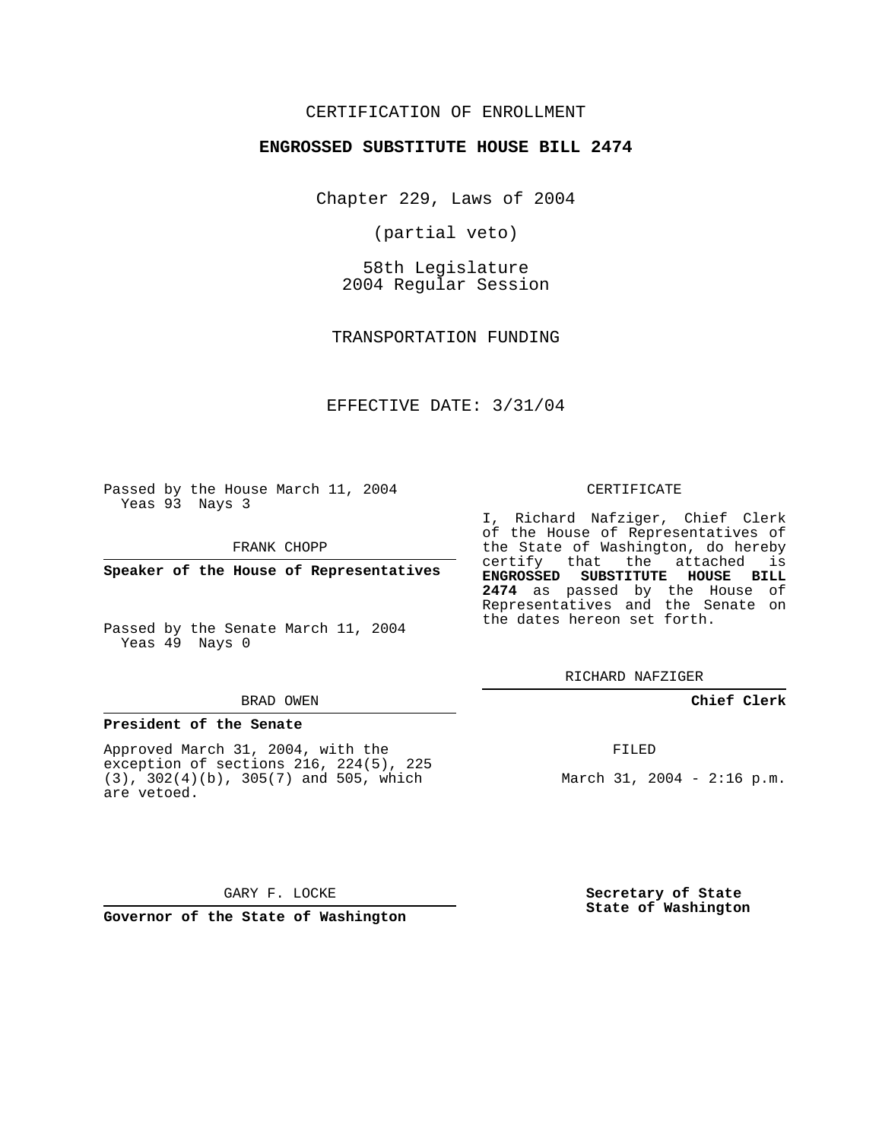#### CERTIFICATION OF ENROLLMENT

#### **ENGROSSED SUBSTITUTE HOUSE BILL 2474**

Chapter 229, Laws of 2004

(partial veto)

58th Legislature 2004 Regular Session

TRANSPORTATION FUNDING

EFFECTIVE DATE: 3/31/04

Passed by the House March 11, 2004 Yeas 93 Nays 3

FRANK CHOPP

**Speaker of the House of Representatives**

Passed by the Senate March 11, 2004 Yeas 49 Nays 0

#### BRAD OWEN

#### **President of the Senate**

Approved March 31, 2004, with the exception of sections 216, 224(5), 225 (3), 302(4)(b), 305(7) and 505, which are vetoed.

#### CERTIFICATE

I, Richard Nafziger, Chief Clerk of the House of Representatives of the State of Washington, do hereby certify that the attached is **ENGROSSED SUBSTITUTE HOUSE BILL 2474** as passed by the House of Representatives and the Senate on the dates hereon set forth.

RICHARD NAFZIGER

#### **Chief Clerk**

FILED

March 31, 2004 - 2:16 p.m.

GARY F. LOCKE

**Governor of the State of Washington**

**Secretary of State State of Washington**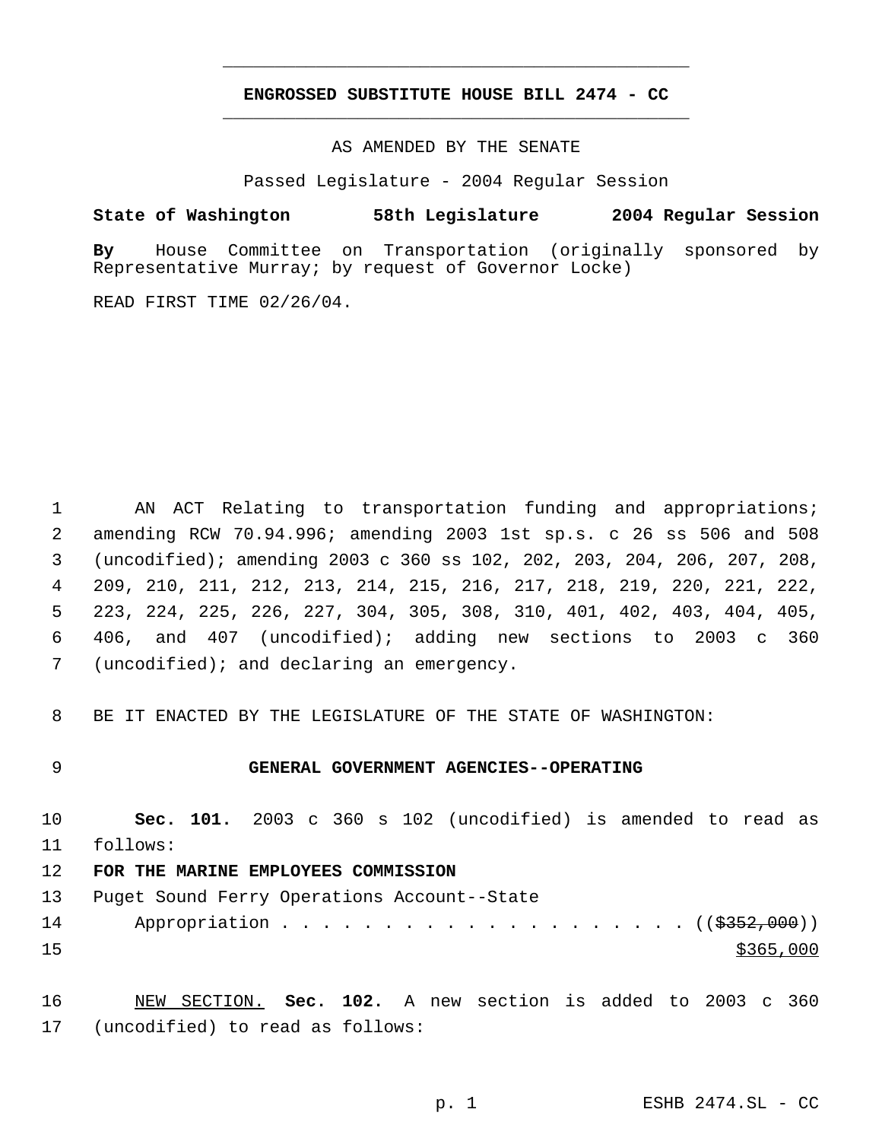# **ENGROSSED SUBSTITUTE HOUSE BILL 2474 - CC** \_\_\_\_\_\_\_\_\_\_\_\_\_\_\_\_\_\_\_\_\_\_\_\_\_\_\_\_\_\_\_\_\_\_\_\_\_\_\_\_\_\_\_\_\_

\_\_\_\_\_\_\_\_\_\_\_\_\_\_\_\_\_\_\_\_\_\_\_\_\_\_\_\_\_\_\_\_\_\_\_\_\_\_\_\_\_\_\_\_\_

AS AMENDED BY THE SENATE

Passed Legislature - 2004 Regular Session

**State of Washington 58th Legislature 2004 Regular Session**

**By** House Committee on Transportation (originally sponsored by Representative Murray; by request of Governor Locke)

READ FIRST TIME 02/26/04.

 AN ACT Relating to transportation funding and appropriations; amending RCW 70.94.996; amending 2003 1st sp.s. c 26 ss 506 and 508 (uncodified); amending 2003 c 360 ss 102, 202, 203, 204, 206, 207, 208, 209, 210, 211, 212, 213, 214, 215, 216, 217, 218, 219, 220, 221, 222, 223, 224, 225, 226, 227, 304, 305, 308, 310, 401, 402, 403, 404, 405, 406, and 407 (uncodified); adding new sections to 2003 c 360 (uncodified); and declaring an emergency.

8 BE IT ENACTED BY THE LEGISLATURE OF THE STATE OF WASHINGTON:

## 9 **GENERAL GOVERNMENT AGENCIES--OPERATING**

10 **Sec. 101.** 2003 c 360 s 102 (uncodified) is amended to read as 11 follows:

## 12 **FOR THE MARINE EMPLOYEES COMMISSION**

13 Puget Sound Ferry Operations Account--State 14 Appropriation . . . . . . . . . . . . . . . . . ((\$<del>352,000</del>))  $15$  \$365,000

16 NEW SECTION. **Sec. 102.** A new section is added to 2003 c 360 17 (uncodified) to read as follows: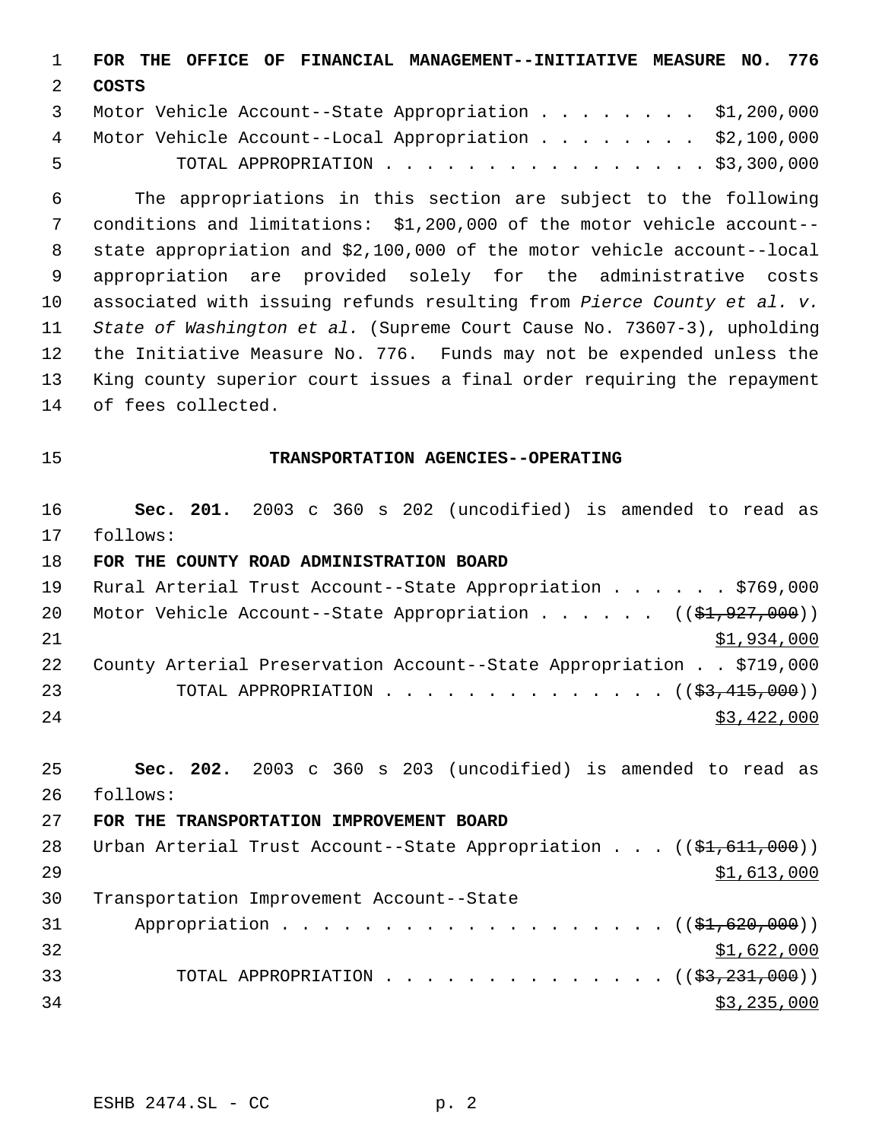**FOR THE OFFICE OF FINANCIAL MANAGEMENT--INITIATIVE MEASURE NO. 776**

3 Motor Vehicle Account--State Appropriation . . . . . . . \$1,200,000 Motor Vehicle Account--Local Appropriation . . . . . . . . \$2,100,000 TOTAL APPROPRIATION . . . . . . . . . . . . . . . . \$3,300,000

 The appropriations in this section are subject to the following conditions and limitations: \$1,200,000 of the motor vehicle account-- state appropriation and \$2,100,000 of the motor vehicle account--local appropriation are provided solely for the administrative costs associated with issuing refunds resulting from *Pierce County et al. v. State of Washington et al.* (Supreme Court Cause No. 73607-3), upholding the Initiative Measure No. 776. Funds may not be expended unless the King county superior court issues a final order requiring the repayment of fees collected.

**COSTS**

#### **TRANSPORTATION AGENCIES--OPERATING**

 **Sec. 201.** 2003 c 360 s 202 (uncodified) is amended to read as follows:

**FOR THE COUNTY ROAD ADMINISTRATION BOARD**

|     | 19 Rural Arterial Trust Account--State Appropriation \$769,000           |
|-----|--------------------------------------------------------------------------|
| 20  | Motor Vehicle Account--State Appropriation ( $(\frac{1}{2}, 927, 000)$ ) |
| 2.1 | \$1,934,000                                                              |
| 22  | County Arterial Preservation Account--State Appropriation \$719,000      |
| 23  | TOTAL APPROPRIATION $($ $($ \$3,415,000) $)$                             |
| 2.4 | \$3,422,000                                                              |

 **Sec. 202.** 2003 c 360 s 203 (uncodified) is amended to read as follows:

**FOR THE TRANSPORTATION IMPROVEMENT BOARD**

| 28 | Urban Arterial Trust Account--State Appropriation ((\$1,611,000)) |
|----|-------------------------------------------------------------------|
| 29 | \$1,613,000                                                       |
| 30 | Transportation Improvement Account--State                         |
| 31 | Appropriation $($ $(\frac{1}{21}, 620, 000))$                     |
| 32 | \$1,622,000                                                       |
| 33 | TOTAL APPROPRIATION $($ $(\frac{27}{27}, \frac{231}{231}, 000))$  |
| 34 | \$3,235,000                                                       |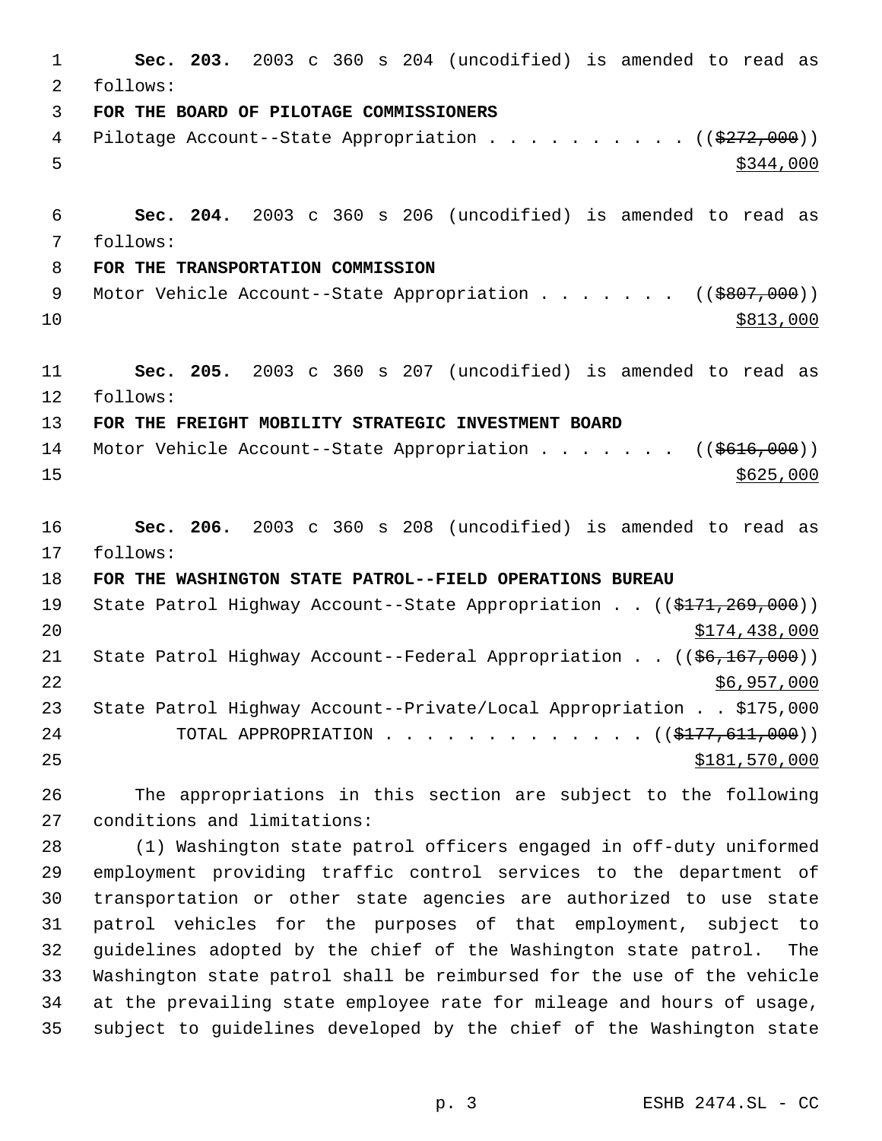**Sec. 203.** 2003 c 360 s 204 (uncodified) is amended to read as follows: **FOR THE BOARD OF PILOTAGE COMMISSIONERS** 4 Pilotage Account--State Appropriation . . . . . . . . . ((\$272,000))  $5 - 5$  **Sec. 204.** 2003 c 360 s 206 (uncodified) is amended to read as follows: **FOR THE TRANSPORTATION COMMISSION** 9 Motor Vehicle Account--State Appropriation . . . . . . ((\$807,000))  $10 \frac{\$813,000}{}$  **Sec. 205.** 2003 c 360 s 207 (uncodified) is amended to read as follows: **FOR THE FREIGHT MOBILITY STRATEGIC INVESTMENT BOARD** 14 Motor Vehicle Account--State Appropriation . . . . . . ((\$616,000)) \$625,000 **Sec. 206.** 2003 c 360 s 208 (uncodified) is amended to read as follows: **FOR THE WASHINGTON STATE PATROL--FIELD OPERATIONS BUREAU** 19 State Patrol Highway Account--State Appropriation . . ((\$171,269,000)) \$174,438,000 21 State Patrol Highway Account--Federal Appropriation . . ((\$6,167,000))  $\frac{$6,957,000}{2}$  State Patrol Highway Account--Private/Local Appropriation . . \$175,000 24 TOTAL APPROPRIATION . . . . . . . . . . . . ((\$<del>177,611,000</del>))  $\frac{$181,570,000}{9}$  The appropriations in this section are subject to the following conditions and limitations: (1) Washington state patrol officers engaged in off-duty uniformed employment providing traffic control services to the department of transportation or other state agencies are authorized to use state patrol vehicles for the purposes of that employment, subject to

 guidelines adopted by the chief of the Washington state patrol. The Washington state patrol shall be reimbursed for the use of the vehicle at the prevailing state employee rate for mileage and hours of usage, subject to guidelines developed by the chief of the Washington state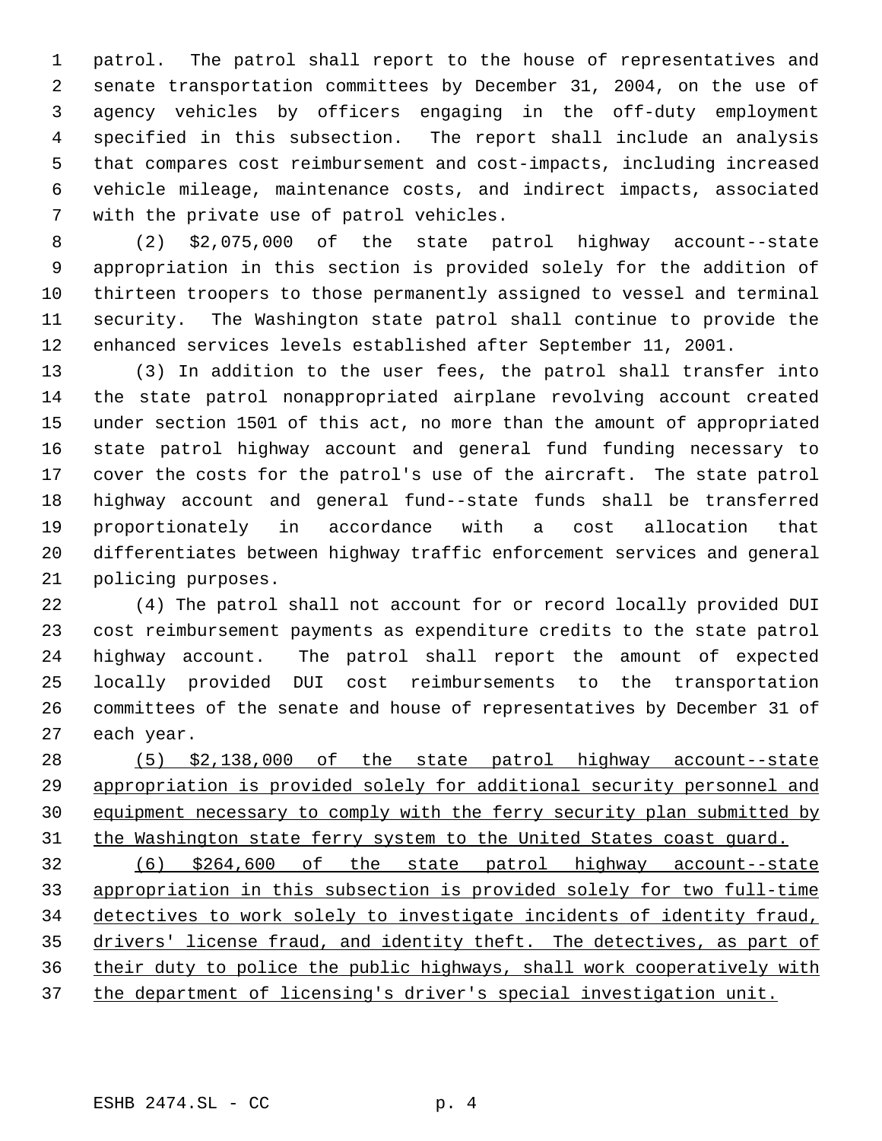patrol. The patrol shall report to the house of representatives and senate transportation committees by December 31, 2004, on the use of agency vehicles by officers engaging in the off-duty employment specified in this subsection. The report shall include an analysis that compares cost reimbursement and cost-impacts, including increased vehicle mileage, maintenance costs, and indirect impacts, associated with the private use of patrol vehicles.

 (2) \$2,075,000 of the state patrol highway account--state appropriation in this section is provided solely for the addition of thirteen troopers to those permanently assigned to vessel and terminal security. The Washington state patrol shall continue to provide the enhanced services levels established after September 11, 2001.

 (3) In addition to the user fees, the patrol shall transfer into the state patrol nonappropriated airplane revolving account created under section 1501 of this act, no more than the amount of appropriated state patrol highway account and general fund funding necessary to cover the costs for the patrol's use of the aircraft. The state patrol highway account and general fund--state funds shall be transferred proportionately in accordance with a cost allocation that differentiates between highway traffic enforcement services and general policing purposes.

 (4) The patrol shall not account for or record locally provided DUI cost reimbursement payments as expenditure credits to the state patrol highway account. The patrol shall report the amount of expected locally provided DUI cost reimbursements to the transportation committees of the senate and house of representatives by December 31 of each year.

 (5) \$2,138,000 of the state patrol highway account--state appropriation is provided solely for additional security personnel and 30 equipment necessary to comply with the ferry security plan submitted by 31 the Washington state ferry system to the United States coast guard.

 (6) \$264,600 of the state patrol highway account--state appropriation in this subsection is provided solely for two full-time detectives to work solely to investigate incidents of identity fraud, 35 drivers' license fraud, and identity theft. The detectives, as part of their duty to police the public highways, shall work cooperatively with 37 the department of licensing's driver's special investigation unit.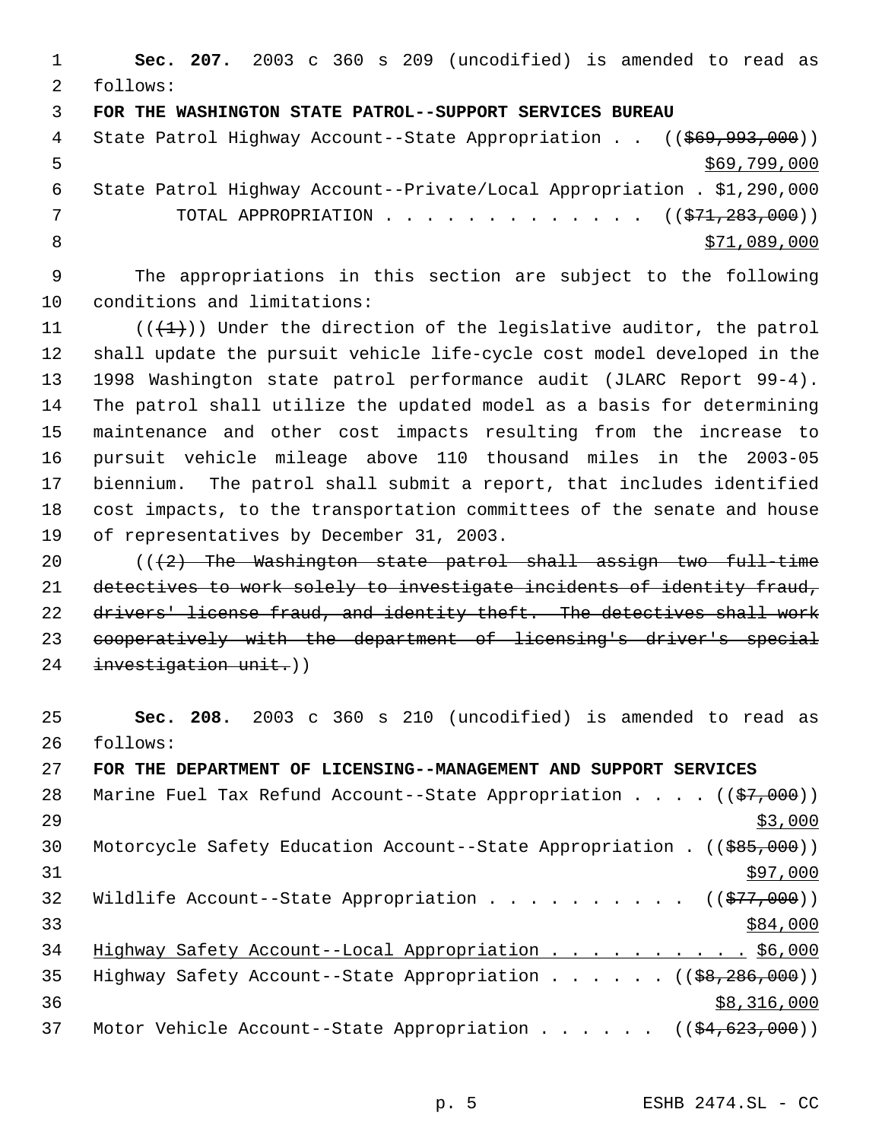**Sec. 207.** 2003 c 360 s 209 (uncodified) is amended to read as follows: **FOR THE WASHINGTON STATE PATROL--SUPPORT SERVICES BUREAU** 4 State Patrol Highway Account--State Appropriation . . ((\$69,993,000))  $5 - 5$   $\frac{$69,799,000}{5}$  State Patrol Highway Account--Private/Local Appropriation . \$1,290,000 7 TOTAL APPROPRIATION . . . . . . . . . . . . ((\$<del>71,283,000</del>))  $8 \times 71,089,000$ 

 The appropriations in this section are subject to the following conditions and limitations:

 $((+1))$  Under the direction of the legislative auditor, the patrol shall update the pursuit vehicle life-cycle cost model developed in the 1998 Washington state patrol performance audit (JLARC Report 99-4). The patrol shall utilize the updated model as a basis for determining maintenance and other cost impacts resulting from the increase to pursuit vehicle mileage above 110 thousand miles in the 2003-05 biennium. The patrol shall submit a report, that includes identified cost impacts, to the transportation committees of the senate and house of representatives by December 31, 2003.

 $((2)$  The Washington state patrol shall assign two full-time detectives to work solely to investigate incidents of identity fraud, drivers' license fraud, and identity theft. The detectives shall work cooperatively with the department of licensing's driver's special investigation unit.))

 **Sec. 208.** 2003 c 360 s 210 (uncodified) is amended to read as follows:

| 27 | FOR THE DEPARTMENT OF LICENSING--MANAGEMENT AND SUPPORT SERVICES                    |
|----|-------------------------------------------------------------------------------------|
| 28 | Marine Fuel Tax Refund Account--State Appropriation $($ $($ $\frac{1}{57},000)$ $)$ |
| 29 | \$3,000                                                                             |
| 30 | Motorcycle Safety Education Account--State Appropriation . $((\frac{285}{600}))$    |
| 31 | \$97,000                                                                            |
| 32 | Wildlife Account--State Appropriation $($ $($ \$77,000))                            |
| 33 | \$84,000                                                                            |
| 34 | Highway Safety Account--Local Appropriation \$6,000                                 |
| 35 | Highway Safety Account--State Appropriation ( $(\frac{68}{66}, \frac{286}{100})$ )  |
| 36 | \$8,316,000                                                                         |
| 37 | Motor Vehicle Account--State Appropriation ( $(\frac{24}{64}, 623, 000)$ )          |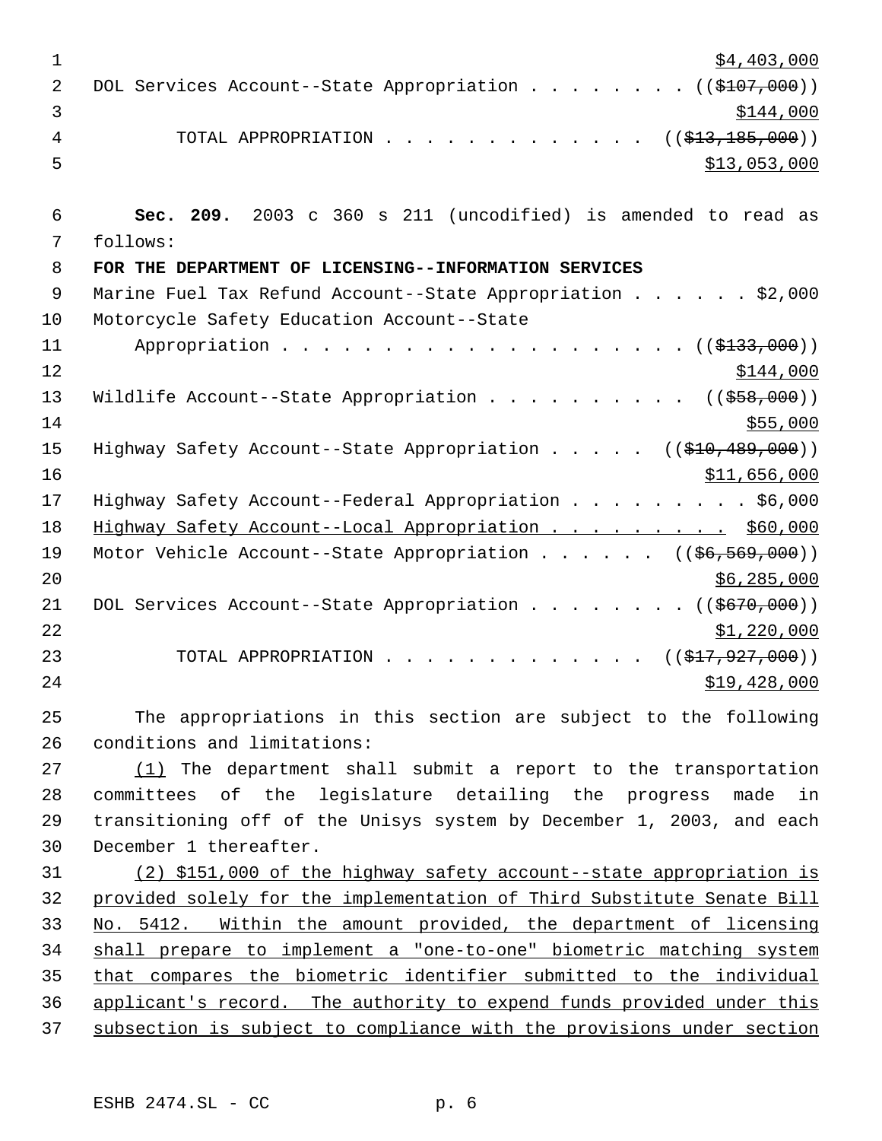| 1  | \$4,403,000                                                          |
|----|----------------------------------------------------------------------|
| 2  | DOL Services Account--State Appropriation ( $(\frac{2107}{100})$ )   |
| 3  | \$144,000                                                            |
| 4  | TOTAL APPROPRIATION ( $(\frac{213}{13}, \frac{185}{100})$ )          |
| 5  | \$13,053,000                                                         |
|    |                                                                      |
| 6  | Sec. 209. 2003 c 360 s 211 (uncodified) is amended to read as        |
| 7  | follows:                                                             |
| 8  | FOR THE DEPARTMENT OF LICENSING--INFORMATION SERVICES                |
| 9  | Marine Fuel Tax Refund Account--State Appropriation \$2,000          |
| 10 | Motorcycle Safety Education Account--State                           |
| 11 |                                                                      |
| 12 | \$144,000                                                            |
| 13 | Wildlife Account--State Appropriation $($ $($ \$58,000) $)$          |
| 14 | \$55,000                                                             |
| 15 | Highway Safety Account--State Appropriation $($ $($ \$10,489,000))   |
| 16 | \$11,656,000                                                         |
| 17 | Highway Safety Account--Federal Appropriation \$6,000                |
| 18 | Highway Safety Account--Local Appropriation \$60,000                 |
| 19 | Motor Vehicle Account--State Appropriation ((\$6,569,000))           |
| 20 | \$6,285,000                                                          |
| 21 | DOL Services Account--State Appropriation ( $(\frac{2670}{100})$ )   |
| 22 | \$1,220,000                                                          |
| 23 | TOTAL APPROPRIATION ( $(\frac{217}{927}, 927, 000)$ )                |
| 24 | \$19,428,000                                                         |
| 25 | The appropriations in this section are subject to the following      |
| 26 | conditions and limitations:                                          |
| 27 | (1) The department shall submit a report to the transportation       |
| 28 | committees of the legislature detailing the progress made in         |
| 29 | transitioning off of the Unisys system by December 1, 2003, and each |
| 30 | December 1 thereafter.                                               |

 (2) \$151,000 of the highway safety account--state appropriation is provided solely for the implementation of Third Substitute Senate Bill No. 5412. Within the amount provided, the department of licensing shall prepare to implement a "one-to-one" biometric matching system that compares the biometric identifier submitted to the individual applicant's record. The authority to expend funds provided under this subsection is subject to compliance with the provisions under section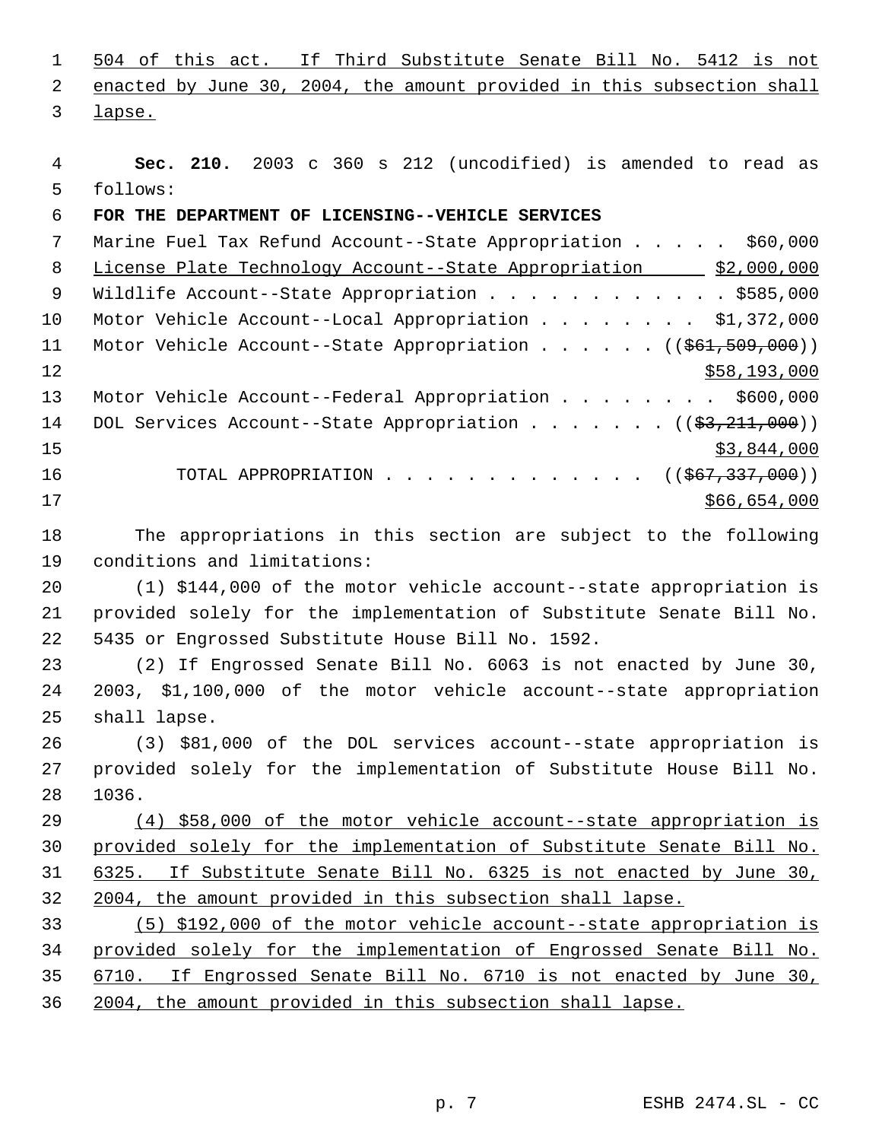504 of this act. If Third Substitute Senate Bill No. 5412 is not enacted by June 30, 2004, the amount provided in this subsection shall lapse.

 **Sec. 210.** 2003 c 360 s 212 (uncodified) is amended to read as follows: **FOR THE DEPARTMENT OF LICENSING--VEHICLE SERVICES** Marine Fuel Tax Refund Account--State Appropriation . . . . . \$60,000 8 License Plate Technology Account--State Appropriation 52,000,000 9 Wildlife Account--State Appropriation . . . . . . . . . . . \$585,000 Motor Vehicle Account--Local Appropriation . . . . . . . . \$1,372,000 11 Motor Vehicle Account--State Appropriation . . . . . ((\$61,509,000)) \$58,193,000 Motor Vehicle Account--Federal Appropriation . . . . . . . . \$600,000 14 DOL Services Account--State Appropriation . . . . . . ((\$3,211,000)) \$3,844,000 16 TOTAL APPROPRIATION . . . . . . . . . . . . . ((\$67,337,000)) \$66,654,000

 The appropriations in this section are subject to the following conditions and limitations:

 (1) \$144,000 of the motor vehicle account--state appropriation is provided solely for the implementation of Substitute Senate Bill No. 5435 or Engrossed Substitute House Bill No. 1592.

 (2) If Engrossed Senate Bill No. 6063 is not enacted by June 30, 2003, \$1,100,000 of the motor vehicle account--state appropriation shall lapse.

 (3) \$81,000 of the DOL services account--state appropriation is provided solely for the implementation of Substitute House Bill No. 1036.

 (4) \$58,000 of the motor vehicle account--state appropriation is provided solely for the implementation of Substitute Senate Bill No. 6325. If Substitute Senate Bill No. 6325 is not enacted by June 30, 2004, the amount provided in this subsection shall lapse.

 (5) \$192,000 of the motor vehicle account--state appropriation is provided solely for the implementation of Engrossed Senate Bill No. 6710. If Engrossed Senate Bill No. 6710 is not enacted by June 30, 2004, the amount provided in this subsection shall lapse.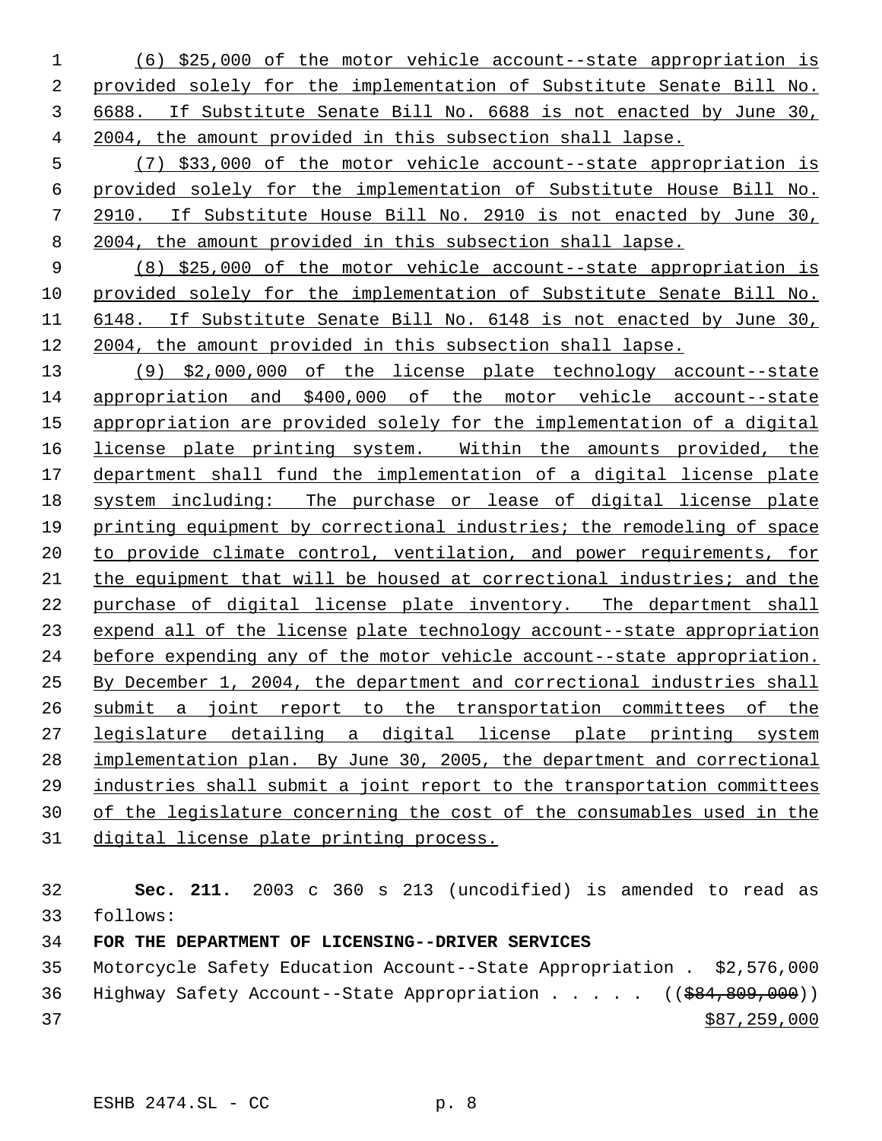(6) \$25,000 of the motor vehicle account--state appropriation is provided solely for the implementation of Substitute Senate Bill No. 6688. If Substitute Senate Bill No. 6688 is not enacted by June 30, 2004, the amount provided in this subsection shall lapse.

 (7) \$33,000 of the motor vehicle account--state appropriation is provided solely for the implementation of Substitute House Bill No. 2910. If Substitute House Bill No. 2910 is not enacted by June 30, 2004, the amount provided in this subsection shall lapse.

9 (8) \$25,000 of the motor vehicle account--state appropriation is provided solely for the implementation of Substitute Senate Bill No. 6148. If Substitute Senate Bill No. 6148 is not enacted by June 30, 2004, the amount provided in this subsection shall lapse.

 (9) \$2,000,000 of the license plate technology account--state appropriation and \$400,000 of the motor vehicle account--state appropriation are provided solely for the implementation of a digital license plate printing system. Within the amounts provided, the department shall fund the implementation of a digital license plate 18 system including: The purchase or lease of digital license plate printing equipment by correctional industries; the remodeling of space to provide climate control, ventilation, and power requirements, for the equipment that will be housed at correctional industries; and the purchase of digital license plate inventory. The department shall expend all of the license plate technology account--state appropriation before expending any of the motor vehicle account--state appropriation. By December 1, 2004, the department and correctional industries shall submit a joint report to the transportation committees of the legislature detailing a digital license plate printing system implementation plan. By June 30, 2005, the department and correctional 29 industries shall submit a joint report to the transportation committees of the legislature concerning the cost of the consumables used in the digital license plate printing process.

 **Sec. 211.** 2003 c 360 s 213 (uncodified) is amended to read as follows:

**FOR THE DEPARTMENT OF LICENSING--DRIVER SERVICES**

 Motorcycle Safety Education Account--State Appropriation . \$2,576,000 36 Highway Safety Account--State Appropriation . . . . ((\$84,809,000)) \$87,259,000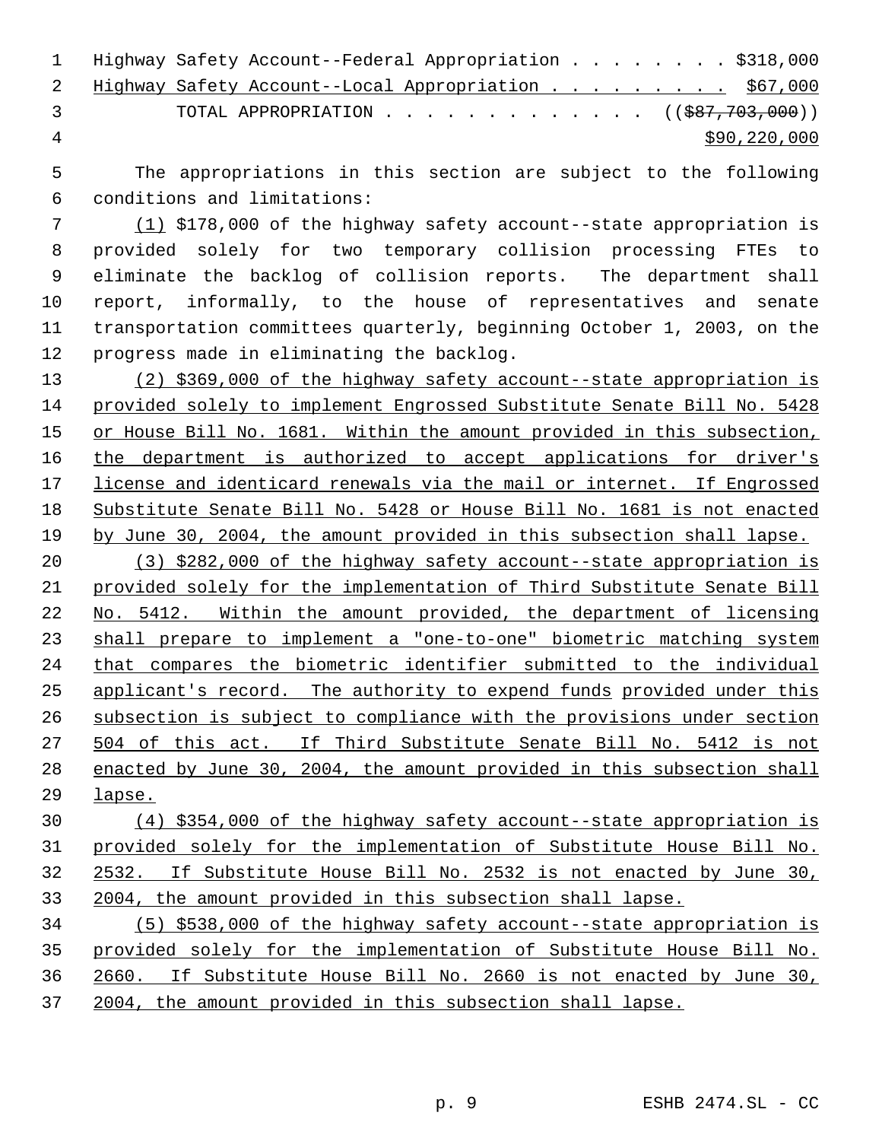|                | 1 Highway Safety Account--Federal Appropriation \$318,000 |
|----------------|-----------------------------------------------------------|
|                | 2 Highway Safety Account--Local Appropriation \$67,000    |
| $\overline{3}$ | TOTAL APPROPRIATION $($ $($ \$87,703,000 $)$              |
| -4             | \$90,220,000                                              |

 The appropriations in this section are subject to the following conditions and limitations:

 (1) \$178,000 of the highway safety account--state appropriation is provided solely for two temporary collision processing FTEs to eliminate the backlog of collision reports. The department shall report, informally, to the house of representatives and senate transportation committees quarterly, beginning October 1, 2003, on the progress made in eliminating the backlog.

 (2) \$369,000 of the highway safety account--state appropriation is provided solely to implement Engrossed Substitute Senate Bill No. 5428 15 or House Bill No. 1681. Within the amount provided in this subsection, 16 the department is authorized to accept applications for driver's license and identicard renewals via the mail or internet. If Engrossed Substitute Senate Bill No. 5428 or House Bill No. 1681 is not enacted by June 30, 2004, the amount provided in this subsection shall lapse.

 (3) \$282,000 of the highway safety account--state appropriation is provided solely for the implementation of Third Substitute Senate Bill 22 No. 5412. Within the amount provided, the department of licensing shall prepare to implement a "one-to-one" biometric matching system that compares the biometric identifier submitted to the individual 25 applicant's record. The authority to expend funds provided under this subsection is subject to compliance with the provisions under section 504 of this act. If Third Substitute Senate Bill No. 5412 is not enacted by June 30, 2004, the amount provided in this subsection shall lapse.

 (4) \$354,000 of the highway safety account--state appropriation is provided solely for the implementation of Substitute House Bill No. 2532. If Substitute House Bill No. 2532 is not enacted by June 30, 2004, the amount provided in this subsection shall lapse.

 (5) \$538,000 of the highway safety account--state appropriation is provided solely for the implementation of Substitute House Bill No. 2660. If Substitute House Bill No. 2660 is not enacted by June 30, 2004, the amount provided in this subsection shall lapse.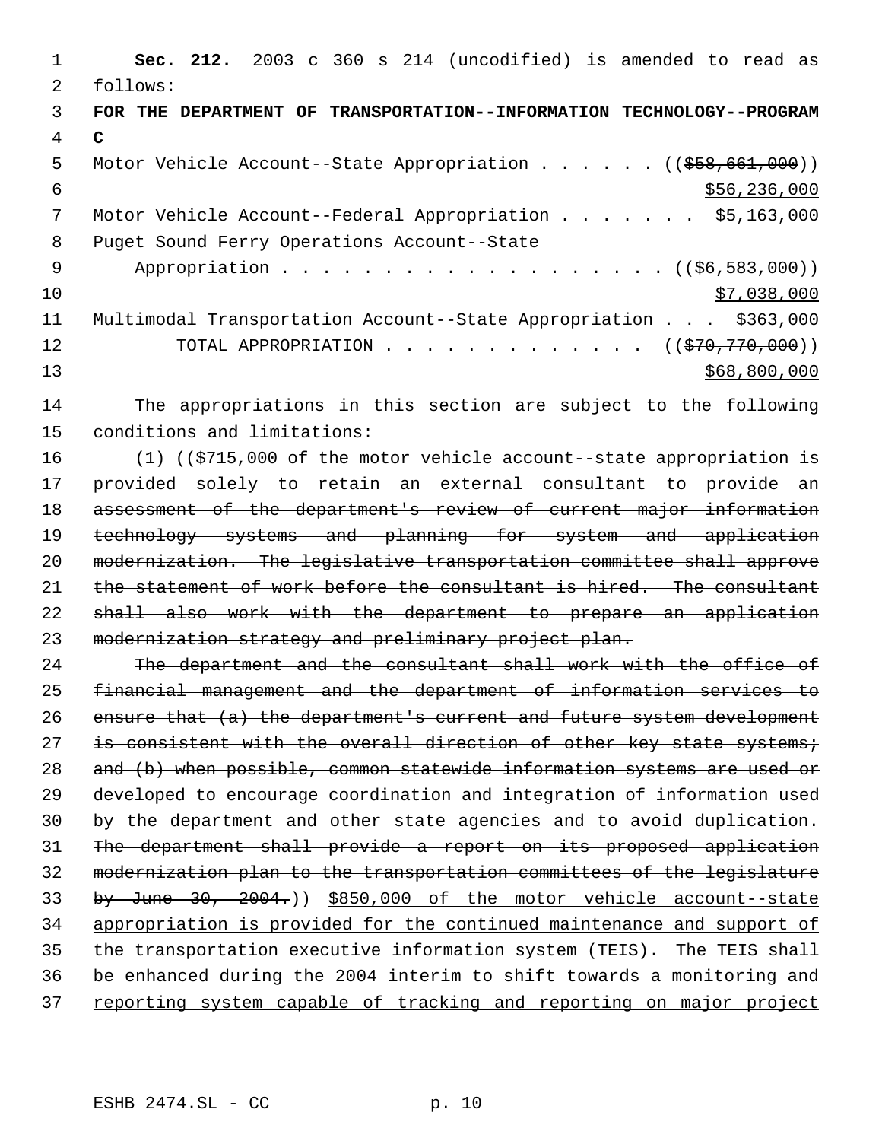**Sec. 212.** 2003 c 360 s 214 (uncodified) is amended to read as follows: **FOR THE DEPARTMENT OF TRANSPORTATION--INFORMATION TECHNOLOGY--PROGRAM C** 5 Motor Vehicle Account--State Appropriation . . . . . ((\$58,661,000))  $\frac{$56,236,000}{200}$ 7 Motor Vehicle Account--Federal Appropriation . . . . . . \$5,163,000 Puget Sound Ferry Operations Account--State 9 Appropriation . . . . . . . . . . . . . . . . . ((\$6,583,000)) \$7,038,000 Multimodal Transportation Account--State Appropriation . . . \$363,000 12 TOTAL APPROPRIATION . . . . . . . . . . . . . ((\$70,770,000)) \$68,800,000 The appropriations in this section are subject to the following conditions and limitations: (1) ((\$715,000 of the motor vehicle account--state appropriation is provided solely to retain an external consultant to provide an 18 assessment of the department's review of current major information technology systems and planning for system and application modernization. The legislative transportation committee shall approve the statement of work before the consultant is hired. The consultant shall also work with the department to prepare an application modernization strategy and preliminary project plan. The department and the consultant shall work with the office of financial management and the department of information services to ensure that (a) the department's current and future system development 27 is consistent with the overall direction of other key state systems; and (b) when possible, common statewide information systems are used or developed to encourage coordination and integration of information used by the department and other state agencies and to avoid duplication. The department shall provide a report on its proposed application modernization plan to the transportation committees of the legislature by June 30, 2004.)) \$850,000 of the motor vehicle account--state appropriation is provided for the continued maintenance and support of the transportation executive information system (TEIS). The TEIS shall be enhanced during the 2004 interim to shift towards a monitoring and 37 reporting system capable of tracking and reporting on major project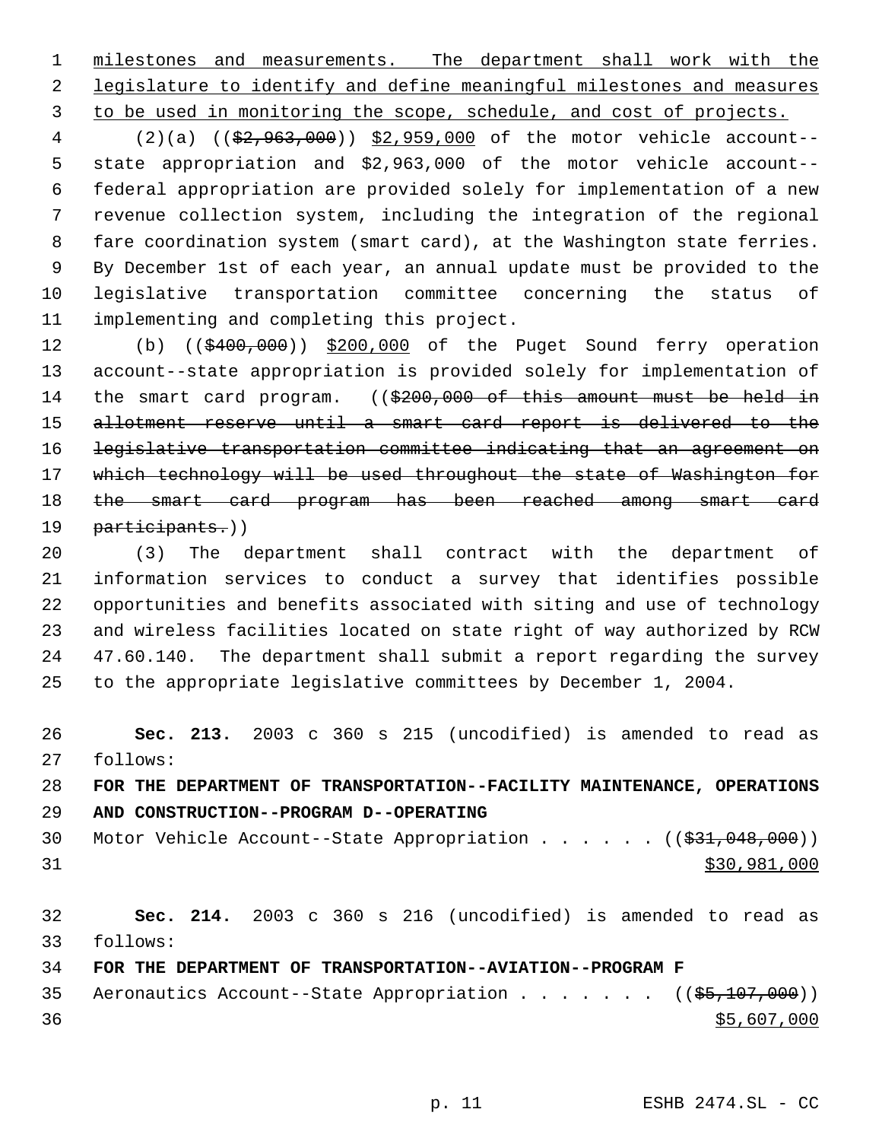milestones and measurements. The department shall work with the legislature to identify and define meaningful milestones and measures 3 to be used in monitoring the scope, schedule, and cost of projects.

 (2)(a) ((\$2,963,000)) \$2,959,000 of the motor vehicle account-- state appropriation and \$2,963,000 of the motor vehicle account-- federal appropriation are provided solely for implementation of a new revenue collection system, including the integration of the regional fare coordination system (smart card), at the Washington state ferries. By December 1st of each year, an annual update must be provided to the legislative transportation committee concerning the status of implementing and completing this project.

12 (b) ((\$400,000)) \$200,000 of the Puget Sound ferry operation account--state appropriation is provided solely for implementation of 14 the smart card program. ((\$200,000 of this amount must be held in allotment reserve until a smart card report is delivered to the legislative transportation committee indicating that an agreement on 17 which technology will be used throughout the state of Washington for 18 the smart card program has been reached among smart card participants.))

 (3) The department shall contract with the department of information services to conduct a survey that identifies possible opportunities and benefits associated with siting and use of technology and wireless facilities located on state right of way authorized by RCW 47.60.140. The department shall submit a report regarding the survey to the appropriate legislative committees by December 1, 2004.

 **Sec. 213.** 2003 c 360 s 215 (uncodified) is amended to read as follows:

 **FOR THE DEPARTMENT OF TRANSPORTATION--FACILITY MAINTENANCE, OPERATIONS AND CONSTRUCTION--PROGRAM D--OPERATING**

30 Motor Vehicle Account--State Appropriation . . . . . ((\$31,048,000)) \$30,981,000

 **Sec. 214.** 2003 c 360 s 216 (uncodified) is amended to read as follows:

**FOR THE DEPARTMENT OF TRANSPORTATION--AVIATION--PROGRAM F**

35 Aeronautics Account--State Appropriation . . . . . . ((\$5,107,000))  $\frac{$5,607,000}{2}$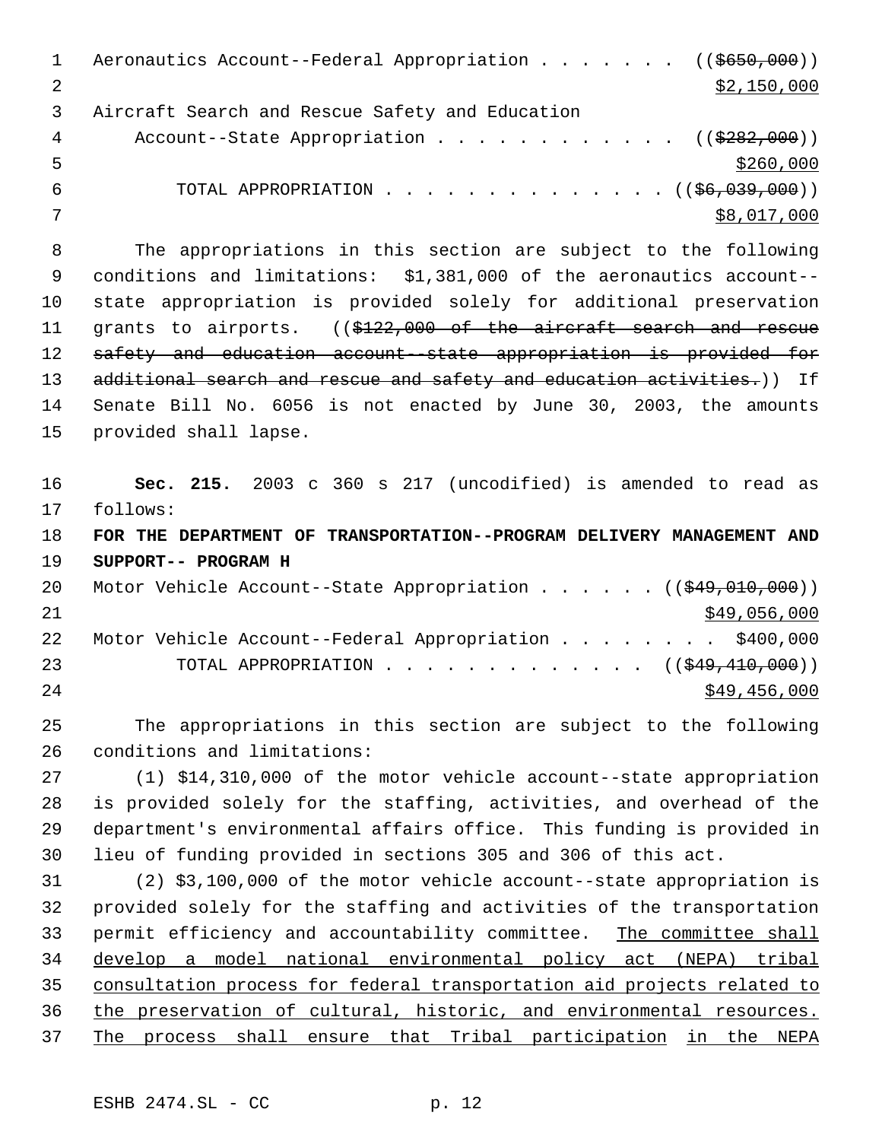1 Aeronautics Account--Federal Appropriation . . . . . . ((\$650,000))  $\frac{152,150,000}{2}$  Aircraft Search and Rescue Safety and Education 4 Account--State Appropriation . . . . . . . . . . . ((\$282,000))  $\frac{$260,000}{ }$ 6 TOTAL APPROPRIATION  $\ldots$ , . . . . . . . . . . ((\$6,039,000)) \$8,017,000 The appropriations in this section are subject to the following conditions and limitations: \$1,381,000 of the aeronautics account-- state appropriation is provided solely for additional preservation 11 grants to airports. ((\$122,000 of the aircraft search and rescue 12 safety and education account state appropriation is provided for 13 additional search and rescue and safety and education activities.)) If Senate Bill No. 6056 is not enacted by June 30, 2003, the amounts provided shall lapse. **Sec. 215.** 2003 c 360 s 217 (uncodified) is amended to read as follows: **FOR THE DEPARTMENT OF TRANSPORTATION--PROGRAM DELIVERY MANAGEMENT AND SUPPORT-- PROGRAM H** 20 Motor Vehicle Account--State Appropriation . . . . . ((\$49,010,000)) \$49,056,000 22 Motor Vehicle Account--Federal Appropriation . . . . . . . \$400,000 23 TOTAL APPROPRIATION . . . . . . . . . . . . . ((\$49,410,000)) \$49,456,000 The appropriations in this section are subject to the following conditions and limitations: (1) \$14,310,000 of the motor vehicle account--state appropriation is provided solely for the staffing, activities, and overhead of the department's environmental affairs office. This funding is provided in lieu of funding provided in sections 305 and 306 of this act. (2) \$3,100,000 of the motor vehicle account--state appropriation is provided solely for the staffing and activities of the transportation 33 permit efficiency and accountability committee. The committee shall develop a model national environmental policy act (NEPA) tribal consultation process for federal transportation aid projects related to the preservation of cultural, historic, and environmental resources. The process shall ensure that Tribal participation in the NEPA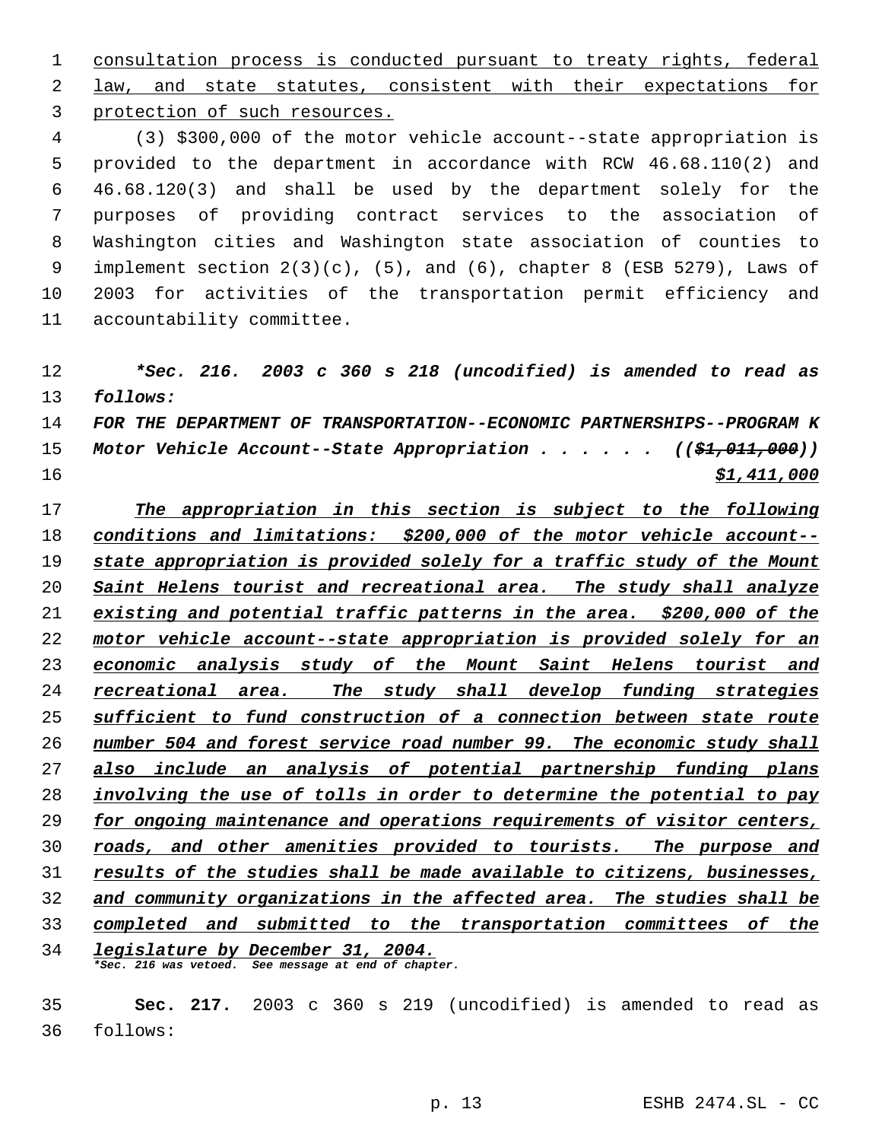consultation process is conducted pursuant to treaty rights, federal law, and state statutes, consistent with their expectations for protection of such resources.

 (3) \$300,000 of the motor vehicle account--state appropriation is provided to the department in accordance with RCW 46.68.110(2) and 46.68.120(3) and shall be used by the department solely for the purposes of providing contract services to the association of Washington cities and Washington state association of counties to 9 implement section  $2(3)(c)$ ,  $(5)$ , and  $(6)$ , chapter 8 (ESB 5279), Laws of 2003 for activities of the transportation permit efficiency and accountability committee.

 *\*Sec. 216. 2003 c 360 s 218 (uncodified) is amended to read as follows:*

 *FOR THE DEPARTMENT OF TRANSPORTATION--ECONOMIC PARTNERSHIPS--PROGRAM K Motor Vehicle Account--State Appropriation . . . . . . ((\$1,011,000)) \$1,411,000*

 *The appropriation in this section is subject to the following conditions and limitations: \$200,000 of the motor vehicle account-- state appropriation is provided solely for a traffic study of the Mount Saint Helens tourist and recreational area. The study shall analyze existing and potential traffic patterns in the area. \$200,000 of the motor vehicle account--state appropriation is provided solely for an economic analysis study of the Mount Saint Helens tourist and recreational area. The study shall develop funding strategies sufficient to fund construction of a connection between state route number 504 and forest service road number 99. The economic study shall also include an analysis of potential partnership funding plans involving the use of tolls in order to determine the potential to pay for ongoing maintenance and operations requirements of visitor centers, roads, and other amenities provided to tourists. The purpose and results of the studies shall be made available to citizens, businesses, and community organizations in the affected area. The studies shall be completed and submitted to the transportation committees of the*

*legislature by December 31, 2004. \*Sec. 216 was vetoed. See message at end of chapter.*

 **Sec. 217.** 2003 c 360 s 219 (uncodified) is amended to read as follows: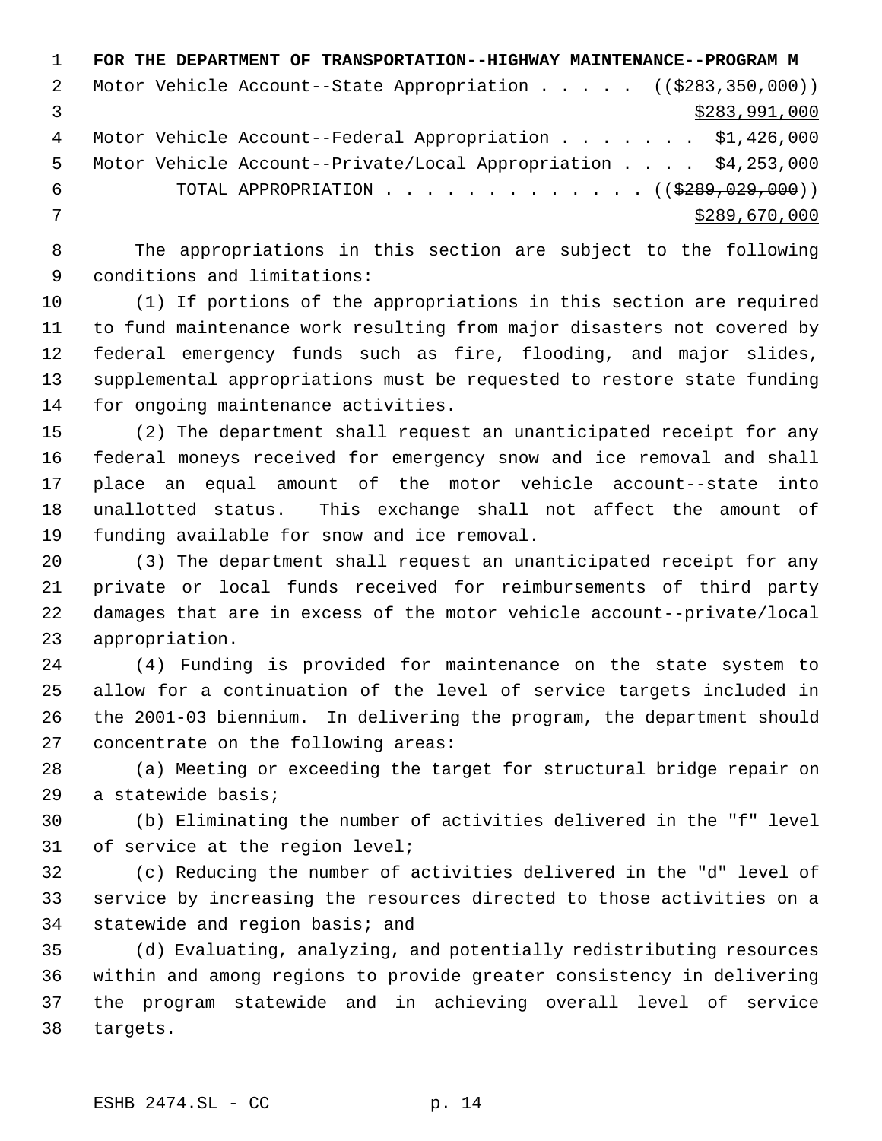**FOR THE DEPARTMENT OF TRANSPORTATION--HIGHWAY MAINTENANCE--PROGRAM M** 2 Motor Vehicle Account--State Appropriation . . . . . ((\$283,350,000))  $3 \times 283,991,000$  Motor Vehicle Account--Federal Appropriation . . . . . . . \$1,426,000 Motor Vehicle Account--Private/Local Appropriation . . . . \$4,253,000 6 TOTAL APPROPRIATION . . . . . . . . . . . . ((\$289,029,000)) \$289,670,000

 The appropriations in this section are subject to the following conditions and limitations:

 (1) If portions of the appropriations in this section are required to fund maintenance work resulting from major disasters not covered by federal emergency funds such as fire, flooding, and major slides, supplemental appropriations must be requested to restore state funding for ongoing maintenance activities.

 (2) The department shall request an unanticipated receipt for any federal moneys received for emergency snow and ice removal and shall place an equal amount of the motor vehicle account--state into unallotted status. This exchange shall not affect the amount of funding available for snow and ice removal.

 (3) The department shall request an unanticipated receipt for any private or local funds received for reimbursements of third party damages that are in excess of the motor vehicle account--private/local appropriation.

 (4) Funding is provided for maintenance on the state system to allow for a continuation of the level of service targets included in the 2001-03 biennium. In delivering the program, the department should concentrate on the following areas:

 (a) Meeting or exceeding the target for structural bridge repair on a statewide basis;

 (b) Eliminating the number of activities delivered in the "f" level of service at the region level;

 (c) Reducing the number of activities delivered in the "d" level of service by increasing the resources directed to those activities on a statewide and region basis; and

 (d) Evaluating, analyzing, and potentially redistributing resources within and among regions to provide greater consistency in delivering the program statewide and in achieving overall level of service targets.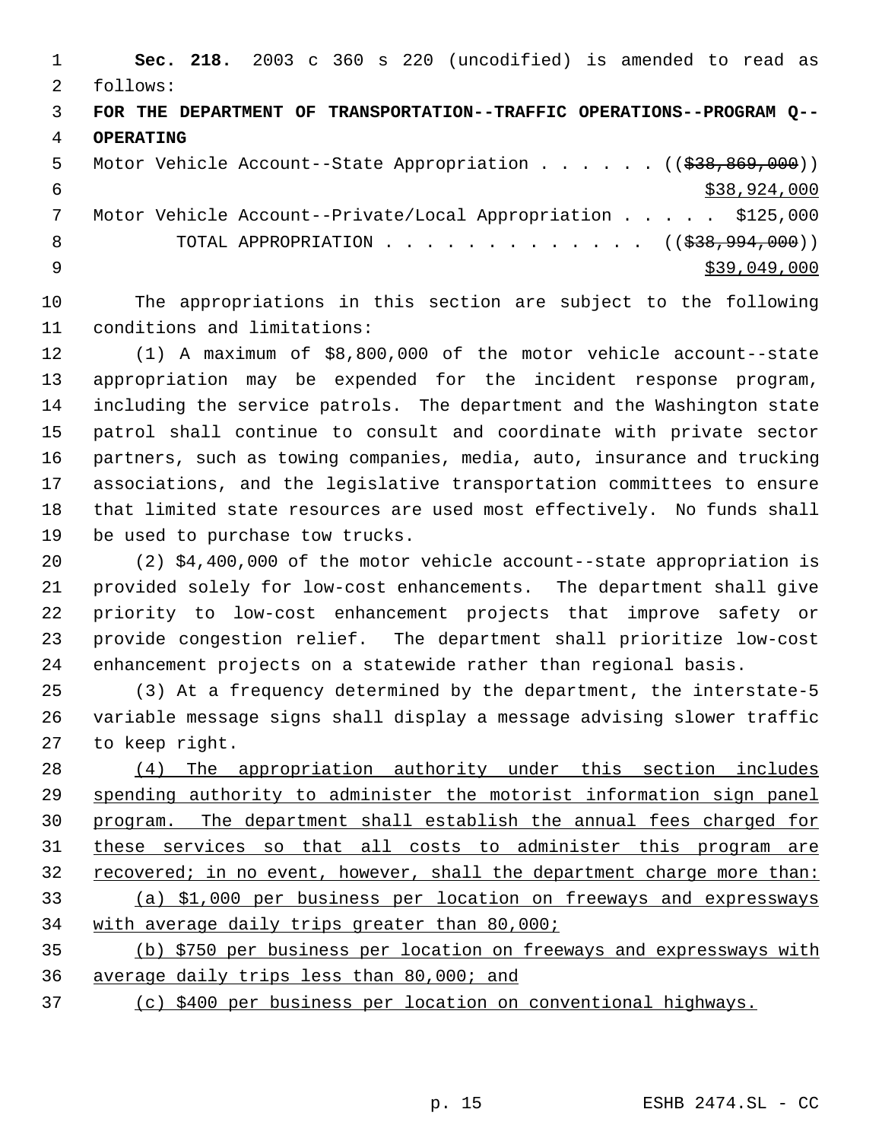**Sec. 218.** 2003 c 360 s 220 (uncodified) is amended to read as follows: **FOR THE DEPARTMENT OF TRANSPORTATION--TRAFFIC OPERATIONS--PROGRAM Q-- OPERATING** 5 Motor Vehicle Account--State Appropriation . . . . . ((\$38,869,000))  $\frac{$38,924,000}{538,924,000}$ 

 Motor Vehicle Account--Private/Local Appropriation . . . . . \$125,000 8 TOTAL APPROPRIATION . . . . . . . . . . . . ((\$38,994,000))  $9 \times 39,049,000$ 

 The appropriations in this section are subject to the following conditions and limitations:

 (1) A maximum of \$8,800,000 of the motor vehicle account--state appropriation may be expended for the incident response program, including the service patrols. The department and the Washington state patrol shall continue to consult and coordinate with private sector partners, such as towing companies, media, auto, insurance and trucking associations, and the legislative transportation committees to ensure that limited state resources are used most effectively. No funds shall be used to purchase tow trucks.

 (2) \$4,400,000 of the motor vehicle account--state appropriation is provided solely for low-cost enhancements. The department shall give priority to low-cost enhancement projects that improve safety or provide congestion relief. The department shall prioritize low-cost enhancement projects on a statewide rather than regional basis.

 (3) At a frequency determined by the department, the interstate-5 variable message signs shall display a message advising slower traffic to keep right.

 (4) The appropriation authority under this section includes spending authority to administer the motorist information sign panel program. The department shall establish the annual fees charged for these services so that all costs to administer this program are 32 recovered; in no event, however, shall the department charge more than: (a) \$1,000 per business per location on freeways and expressways with average daily trips greater than 80,000; (b) \$750 per business per location on freeways and expressways with

average daily trips less than 80,000; and

(c) \$400 per business per location on conventional highways.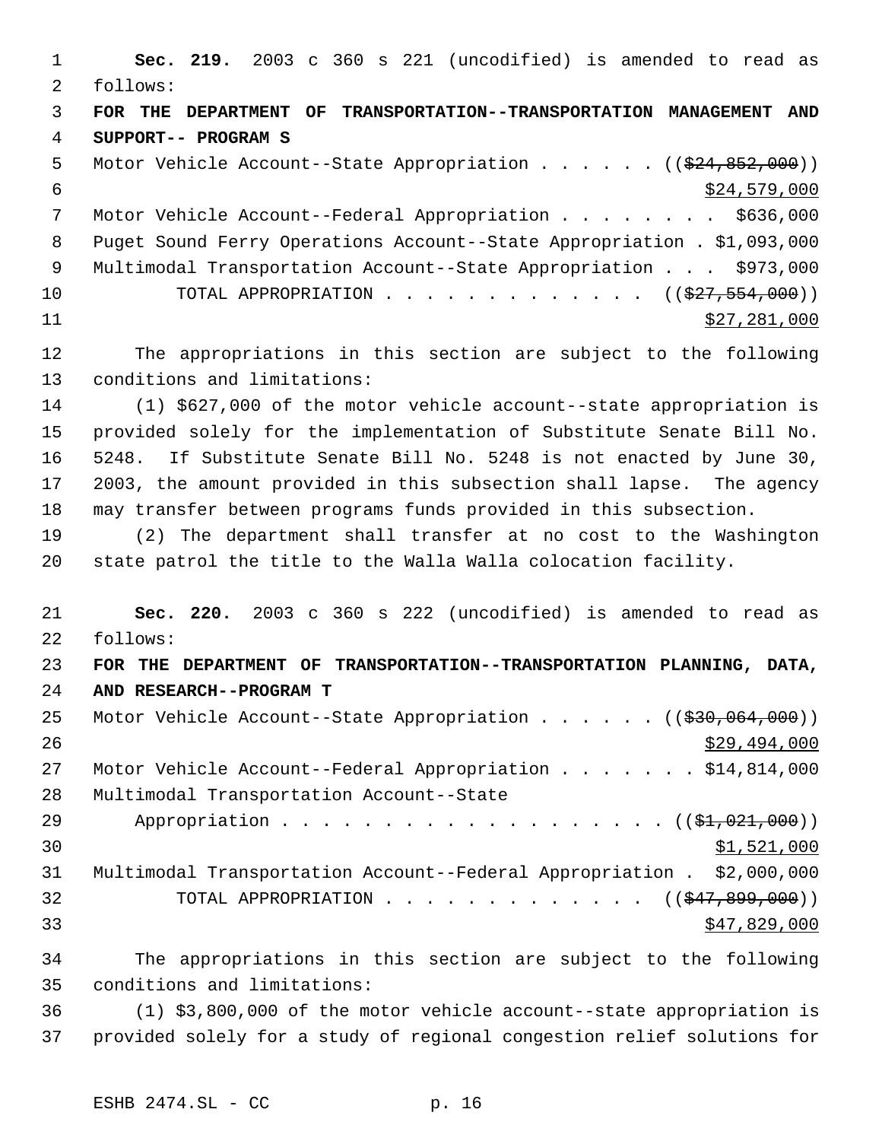**Sec. 219.** 2003 c 360 s 221 (uncodified) is amended to read as follows: **FOR THE DEPARTMENT OF TRANSPORTATION--TRANSPORTATION MANAGEMENT AND SUPPORT-- PROGRAM S** 5 Motor Vehicle Account--State Appropriation . . . . . ((\$24,852,000))  $\frac{$24,579,000}{2}$ 7 Motor Vehicle Account--Federal Appropriation . . . . . . . \$636,000 Puget Sound Ferry Operations Account--State Appropriation . \$1,093,000 Multimodal Transportation Account--State Appropriation . . . \$973,000 10 TOTAL APPROPRIATION . . . . . . . . . . . . ((<del>\$27,554,000</del>)) \$27,281,000 The appropriations in this section are subject to the following conditions and limitations: (1) \$627,000 of the motor vehicle account--state appropriation is provided solely for the implementation of Substitute Senate Bill No. 5248. If Substitute Senate Bill No. 5248 is not enacted by June 30, 2003, the amount provided in this subsection shall lapse. The agency may transfer between programs funds provided in this subsection. (2) The department shall transfer at no cost to the Washington state patrol the title to the Walla Walla colocation facility. **Sec. 220.** 2003 c 360 s 222 (uncodified) is amended to read as follows: **FOR THE DEPARTMENT OF TRANSPORTATION--TRANSPORTATION PLANNING, DATA, AND RESEARCH--PROGRAM T** 25 Motor Vehicle Account--State Appropriation . . . . . ((\$30,064,000)) \$29,494,000 Motor Vehicle Account--Federal Appropriation . . . . . . . \$14,814,000 Multimodal Transportation Account--State 29 Appropriation . . . . . . . . . . . . . . . . . ((<del>\$1,021,000</del>)) \$1,521,000 Multimodal Transportation Account--Federal Appropriation . \$2,000,000 32 TOTAL APPROPRIATION . . . . . . . . . . . . . ((\$47,899,000)) \$47,829,000 The appropriations in this section are subject to the following conditions and limitations:

 (1) \$3,800,000 of the motor vehicle account--state appropriation is provided solely for a study of regional congestion relief solutions for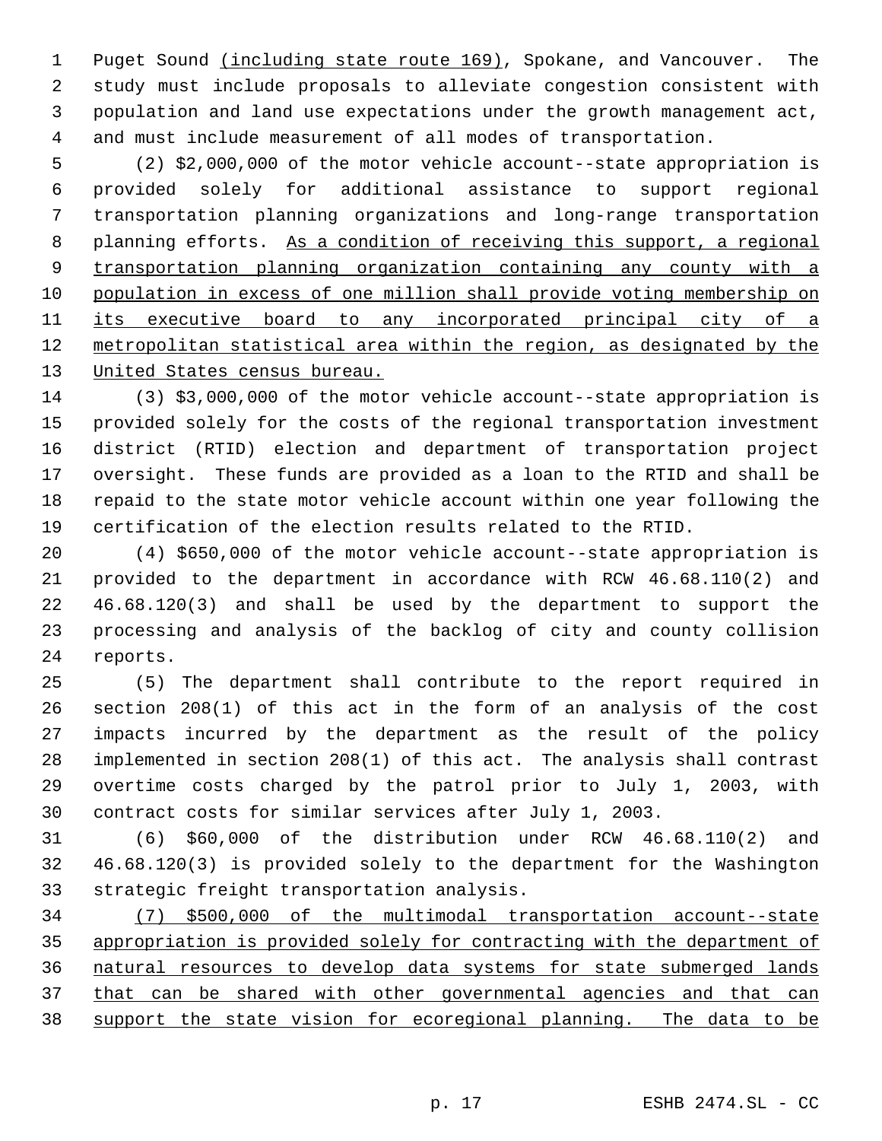1 Puget Sound (including state route 169), Spokane, and Vancouver. The study must include proposals to alleviate congestion consistent with population and land use expectations under the growth management act, and must include measurement of all modes of transportation.

 (2) \$2,000,000 of the motor vehicle account--state appropriation is provided solely for additional assistance to support regional transportation planning organizations and long-range transportation planning efforts. As a condition of receiving this support, a regional transportation planning organization containing any county with a population in excess of one million shall provide voting membership on 11 its executive board to any incorporated principal city of a metropolitan statistical area within the region, as designated by the 13 United States census bureau.

 (3) \$3,000,000 of the motor vehicle account--state appropriation is provided solely for the costs of the regional transportation investment district (RTID) election and department of transportation project oversight. These funds are provided as a loan to the RTID and shall be repaid to the state motor vehicle account within one year following the certification of the election results related to the RTID.

 (4) \$650,000 of the motor vehicle account--state appropriation is provided to the department in accordance with RCW 46.68.110(2) and 46.68.120(3) and shall be used by the department to support the processing and analysis of the backlog of city and county collision reports.

 (5) The department shall contribute to the report required in section 208(1) of this act in the form of an analysis of the cost impacts incurred by the department as the result of the policy implemented in section 208(1) of this act. The analysis shall contrast overtime costs charged by the patrol prior to July 1, 2003, with contract costs for similar services after July 1, 2003.

 (6) \$60,000 of the distribution under RCW 46.68.110(2) and 46.68.120(3) is provided solely to the department for the Washington strategic freight transportation analysis.

 (7) \$500,000 of the multimodal transportation account--state appropriation is provided solely for contracting with the department of natural resources to develop data systems for state submerged lands that can be shared with other governmental agencies and that can support the state vision for ecoregional planning. The data to be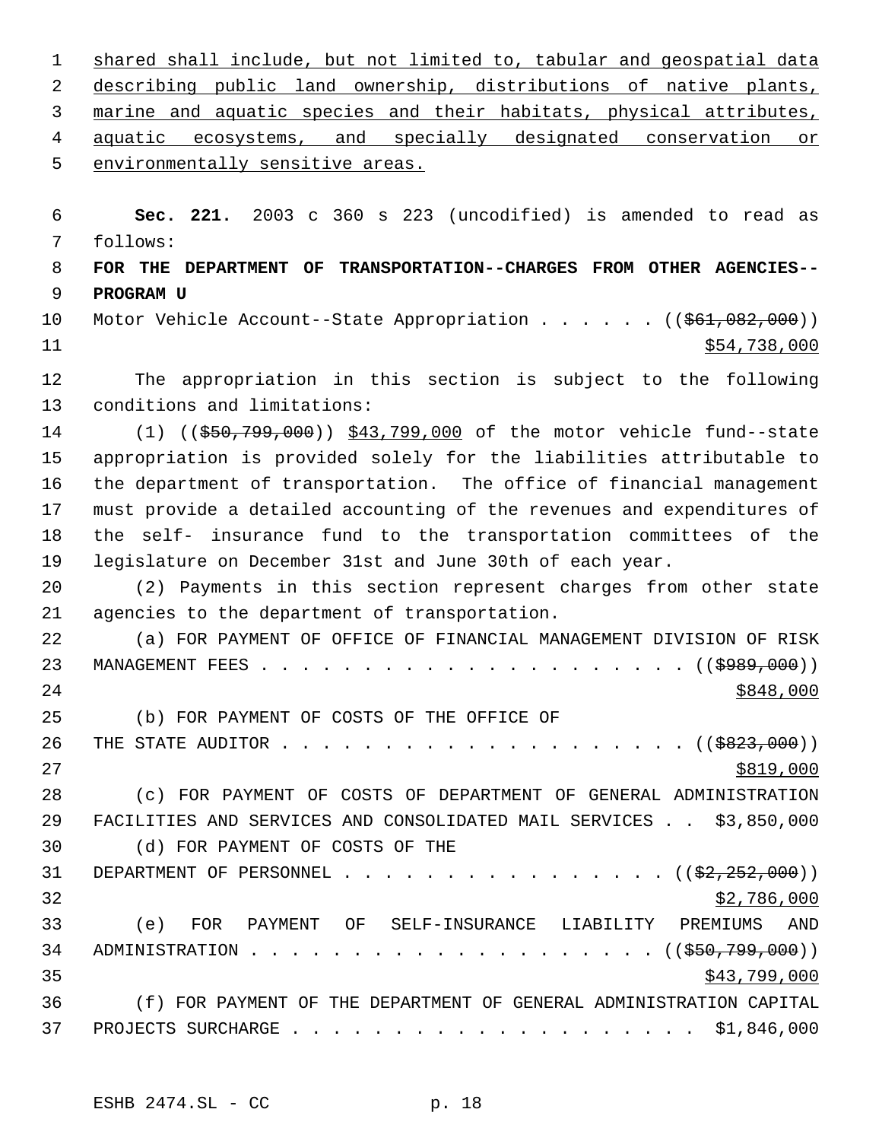1 shared shall include, but not limited to, tabular and geospatial data describing public land ownership, distributions of native plants, marine and aquatic species and their habitats, physical attributes, aquatic ecosystems, and specially designated conservation or environmentally sensitive areas. **Sec. 221.** 2003 c 360 s 223 (uncodified) is amended to read as follows: **FOR THE DEPARTMENT OF TRANSPORTATION--CHARGES FROM OTHER AGENCIES-- PROGRAM U** 10 Motor Vehicle Account--State Appropriation . . . . . ((\$61,082,000)) \$54,738,000 The appropriation in this section is subject to the following conditions and limitations: (1) ((\$50,799,000)) \$43,799,000 of the motor vehicle fund--state appropriation is provided solely for the liabilities attributable to the department of transportation. The office of financial management must provide a detailed accounting of the revenues and expenditures of the self- insurance fund to the transportation committees of the legislature on December 31st and June 30th of each year. (2) Payments in this section represent charges from other state agencies to the department of transportation. (a) FOR PAYMENT OF OFFICE OF FINANCIAL MANAGEMENT DIVISION OF RISK MANAGEMENT FEES . . . . . . . . . . . . . . . . . . . . . ((\$989,000)) (b) FOR PAYMENT OF COSTS OF THE OFFICE OF THE STATE AUDITOR . . . . . . . . . . . . . . . . . . . . ((\$823,000)) (c) FOR PAYMENT OF COSTS OF DEPARTMENT OF GENERAL ADMINISTRATION FACILITIES AND SERVICES AND CONSOLIDATED MAIL SERVICES . . \$3,850,000 (d) FOR PAYMENT OF COSTS OF THE 31 DEPARTMENT OF PERSONNEL . . . . . . . . . . . . . . . . ((\$2,252,000))  $$2,786,000$  (e) FOR PAYMENT OF SELF-INSURANCE LIABILITY PREMIUMS AND ADMINISTRATION . . . . . . . . . . . . . . . . . . . . ((\$50,799,000)) \$43,799,000 (f) FOR PAYMENT OF THE DEPARTMENT OF GENERAL ADMINISTRATION CAPITAL PROJECTS SURCHARGE . . . . . . . . . . . . . . . . . . . . \$1,846,000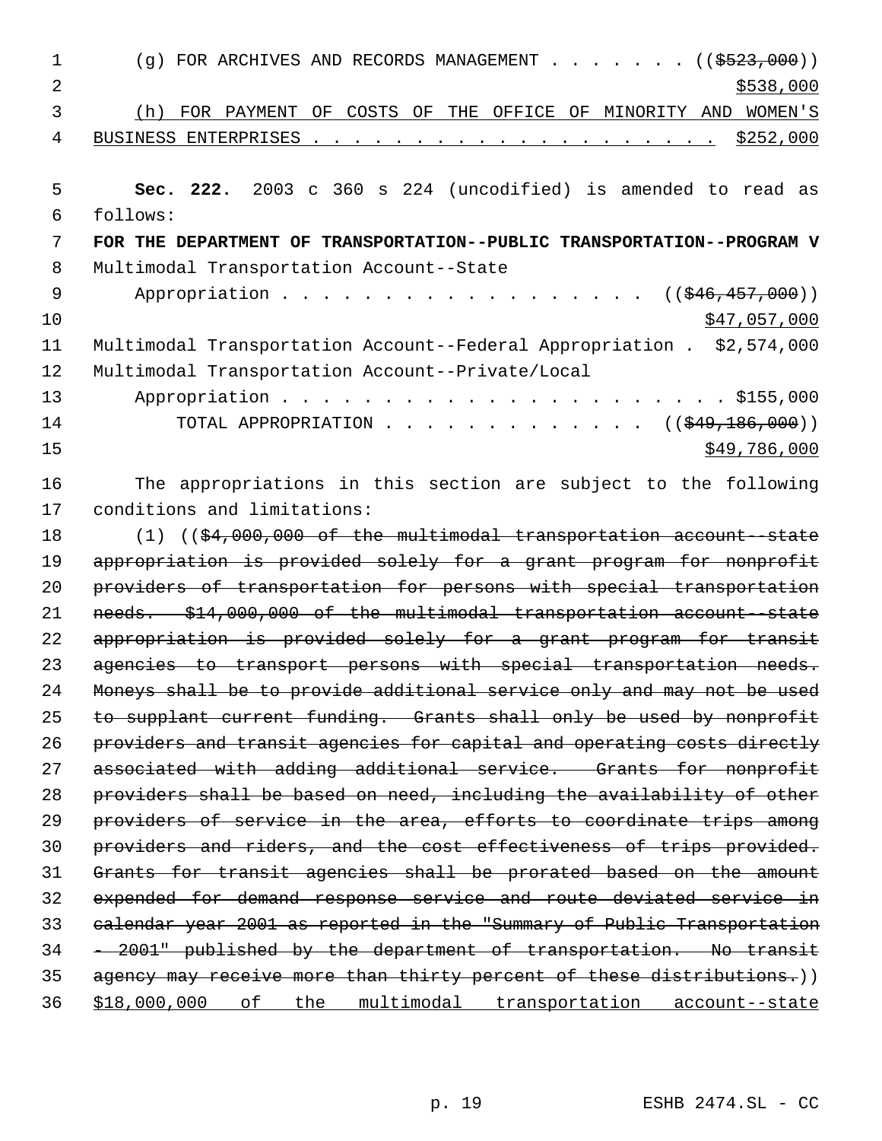| $\mathbf 1$    | (g) FOR ARCHIVES AND RECORDS MANAGEMENT ( $(\frac{2523}{100})$ )            |
|----------------|-----------------------------------------------------------------------------|
| $\overline{2}$ | \$538,000                                                                   |
| 3              | FOR PAYMENT OF COSTS OF THE OFFICE OF MINORITY AND<br><b>WOMEN'S</b><br>(h) |
| 4              |                                                                             |
| 5              |                                                                             |
| 6              | Sec. 222. 2003 c 360 s 224 (uncodified) is amended to read as<br>follows:   |
| 7              | FOR THE DEPARTMENT OF TRANSPORTATION--PUBLIC TRANSPORTATION--PROGRAM V      |
| 8              | Multimodal Transportation Account--State                                    |
| $\mathsf 9$    | Appropriation<br>$((\frac{1546}{1457},000))$                                |
| 10             | \$47,057,000                                                                |
| 11             | Multimodal Transportation Account--Federal Appropriation . \$2,574,000      |
| 12             | Multimodal Transportation Account--Private/Local                            |
| 13             |                                                                             |
| 14             | TOTAL APPROPRIATION ( $(\frac{249}{186},000)$ )                             |
| 15             | \$49,786,000                                                                |
| 16             | The appropriations in this section are subject to the following             |
| 17             | conditions and limitations:                                                 |
| 18             | (1) ((\$4,000,000 of the multimodal transportation account--state           |
| 19             | appropriation is provided solely for a grant program for nonprofit          |
| 20             | providers of transportation for persons with special transportation         |
| 21             | needs. \$14,000,000 of the multimodal transportation account--state         |
| 22             | appropriation is provided solely for a grant program for transit            |
| 23             | agencies to transport persons with special transportation needs.            |
| 24             | Moneys shall be to provide additional service only and may not be used      |
| 25             | to supplant current funding. Grants shall only be used by nonprofit         |
| 26             | providers and transit agencies for capital and operating costs directly     |
| 27             | associated with adding additional service. Grants for nonprofit             |
| 28             | providers shall be based on need, including the availability of other       |
| 29             | providers of service in the area, efforts to coordinate trips among         |
| 30             | providers and riders, and the cost effectiveness of trips provided.         |
| 31             | Grants for transit agencies shall be prorated based on the amount           |
| 32             | expended for demand response service and route deviated service in          |
| 33             | calendar year 2001 as reported in the "Summary of Public Transportation     |
| 34             | - 2001" published by the department of transportation. No transit           |
| 35             | agency may receive more than thirty percent of these distributions.))       |
| 36             | \$18,000,000 of the multimodal transportation account--state                |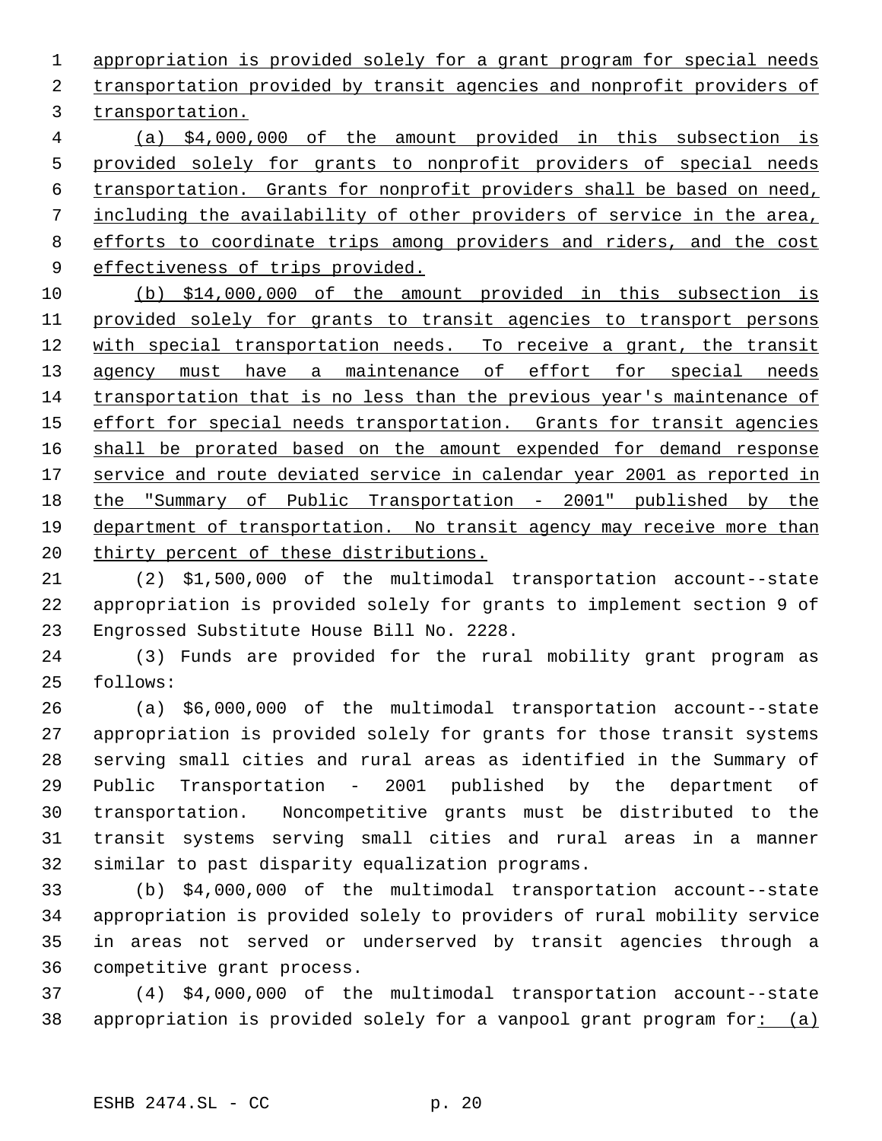appropriation is provided solely for a grant program for special needs transportation provided by transit agencies and nonprofit providers of transportation.

 (a) \$4,000,000 of the amount provided in this subsection is provided solely for grants to nonprofit providers of special needs transportation. Grants for nonprofit providers shall be based on need, including the availability of other providers of service in the area, efforts to coordinate trips among providers and riders, and the cost 9 effectiveness of trips provided.

 (b) \$14,000,000 of the amount provided in this subsection is provided solely for grants to transit agencies to transport persons 12 with special transportation needs. To receive a grant, the transit 13 agency must have a maintenance of effort for special needs transportation that is no less than the previous year's maintenance of 15 effort for special needs transportation. Grants for transit agencies 16 shall be prorated based on the amount expended for demand response 17 service and route deviated service in calendar year 2001 as reported in the "Summary of Public Transportation - 2001" published by the department of transportation. No transit agency may receive more than 20 thirty percent of these distributions.

 (2) \$1,500,000 of the multimodal transportation account--state appropriation is provided solely for grants to implement section 9 of Engrossed Substitute House Bill No. 2228.

 (3) Funds are provided for the rural mobility grant program as follows:

 (a) \$6,000,000 of the multimodal transportation account--state appropriation is provided solely for grants for those transit systems serving small cities and rural areas as identified in the Summary of Public Transportation - 2001 published by the department of transportation. Noncompetitive grants must be distributed to the transit systems serving small cities and rural areas in a manner similar to past disparity equalization programs.

 (b) \$4,000,000 of the multimodal transportation account--state appropriation is provided solely to providers of rural mobility service in areas not served or underserved by transit agencies through a competitive grant process.

 (4) \$4,000,000 of the multimodal transportation account--state appropriation is provided solely for a vanpool grant program for: (a)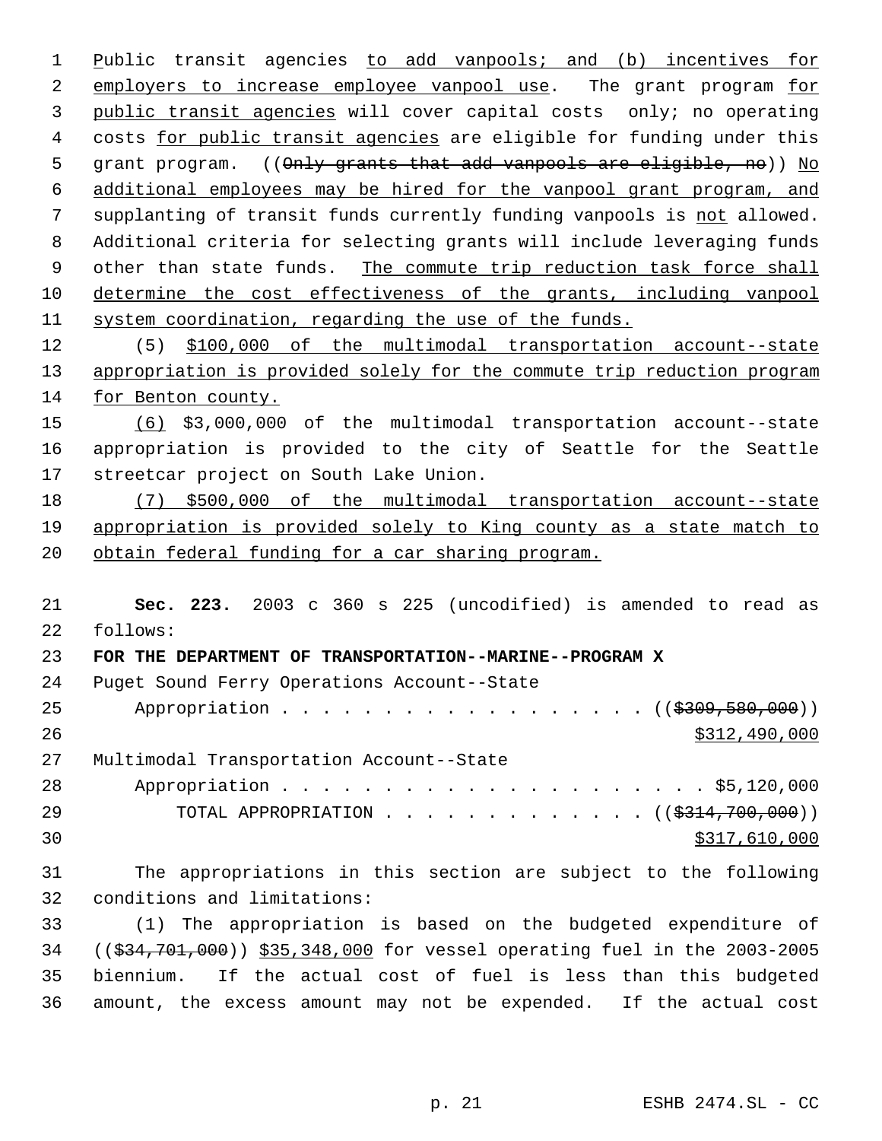Public transit agencies to add vanpools; and (b) incentives for 2 employers to increase employee vanpool use. The grant program for 3 public transit agencies will cover capital costs only; no operating 4 costs for public transit agencies are eligible for funding under this 5 grant program. ((Only grants that add vanpools are eligible, no)) No additional employees may be hired for the vanpool grant program, and supplanting of transit funds currently funding vanpools is not allowed. Additional criteria for selecting grants will include leveraging funds 9 other than state funds. The commute trip reduction task force shall determine the cost effectiveness of the grants, including vanpool system coordination, regarding the use of the funds. (5) \$100,000 of the multimodal transportation account--state 13 appropriation is provided solely for the commute trip reduction program for Benton county. (6) \$3,000,000 of the multimodal transportation account--state

 appropriation is provided to the city of Seattle for the Seattle streetcar project on South Lake Union.

 (7) \$500,000 of the multimodal transportation account--state appropriation is provided solely to King county as a state match to obtain federal funding for a car sharing program.

 **Sec. 223.** 2003 c 360 s 225 (uncodified) is amended to read as follows: **FOR THE DEPARTMENT OF TRANSPORTATION--MARINE--PROGRAM X** Puget Sound Ferry Operations Account--State 25 Appropriation . . . . . . . . . . . . . . . . ((\$309,580,000)) \$312,490,000 Multimodal Transportation Account--State Appropriation . . . . . . . . . . . . . . . . . . . . . \$5,120,000 29 TOTAL APPROPRIATION . . . . . . . . . . . . . ((\$314,700,000)) \$317,610,000

 The appropriations in this section are subject to the following conditions and limitations:

 (1) The appropriation is based on the budgeted expenditure of ((\$34,701,000)) \$35,348,000 for vessel operating fuel in the 2003-2005 biennium. If the actual cost of fuel is less than this budgeted amount, the excess amount may not be expended. If the actual cost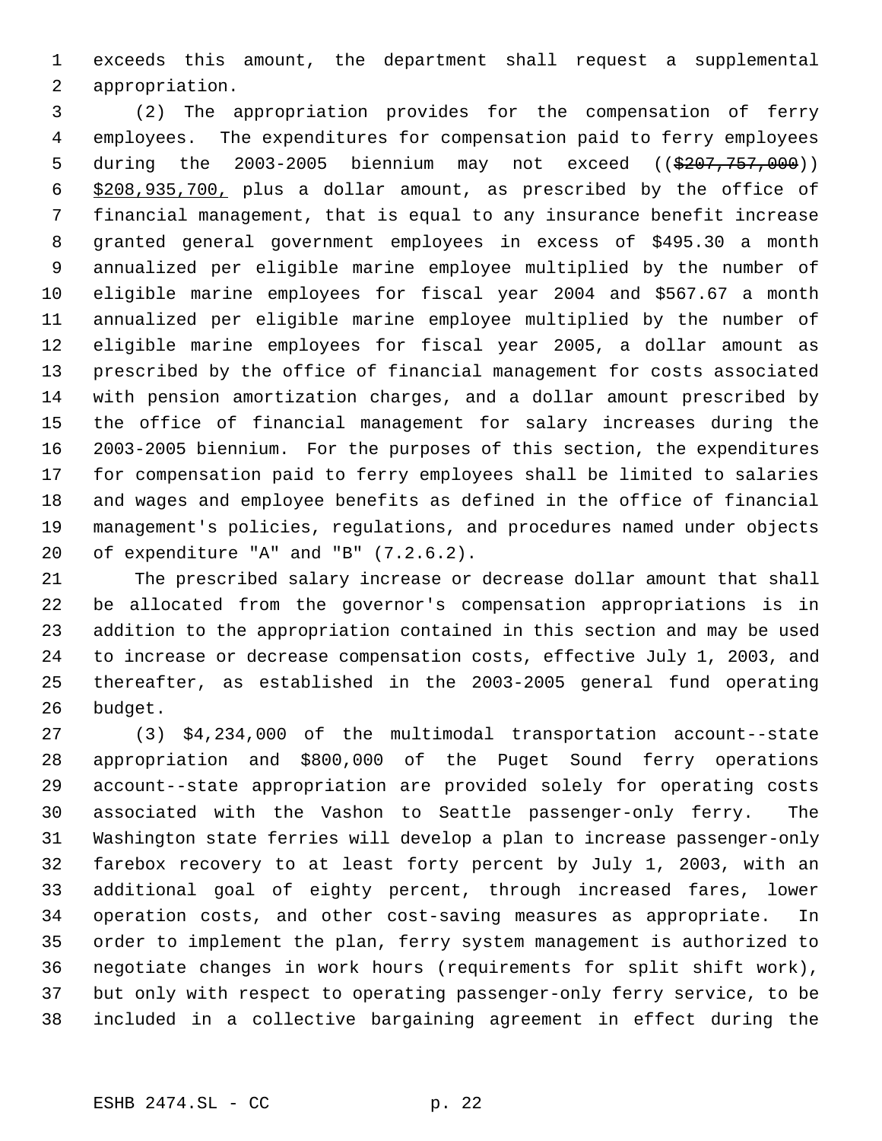exceeds this amount, the department shall request a supplemental appropriation.

 (2) The appropriation provides for the compensation of ferry employees. The expenditures for compensation paid to ferry employees 5 during the 2003-2005 biennium may not exceed ((\$207,757,000)) \$208,935,700, plus a dollar amount, as prescribed by the office of financial management, that is equal to any insurance benefit increase granted general government employees in excess of \$495.30 a month annualized per eligible marine employee multiplied by the number of eligible marine employees for fiscal year 2004 and \$567.67 a month annualized per eligible marine employee multiplied by the number of eligible marine employees for fiscal year 2005, a dollar amount as prescribed by the office of financial management for costs associated with pension amortization charges, and a dollar amount prescribed by the office of financial management for salary increases during the 2003-2005 biennium. For the purposes of this section, the expenditures for compensation paid to ferry employees shall be limited to salaries and wages and employee benefits as defined in the office of financial management's policies, regulations, and procedures named under objects of expenditure "A" and "B" (7.2.6.2).

 The prescribed salary increase or decrease dollar amount that shall be allocated from the governor's compensation appropriations is in addition to the appropriation contained in this section and may be used to increase or decrease compensation costs, effective July 1, 2003, and thereafter, as established in the 2003-2005 general fund operating budget.

 (3) \$4,234,000 of the multimodal transportation account--state appropriation and \$800,000 of the Puget Sound ferry operations account--state appropriation are provided solely for operating costs associated with the Vashon to Seattle passenger-only ferry. The Washington state ferries will develop a plan to increase passenger-only farebox recovery to at least forty percent by July 1, 2003, with an additional goal of eighty percent, through increased fares, lower operation costs, and other cost-saving measures as appropriate. In order to implement the plan, ferry system management is authorized to negotiate changes in work hours (requirements for split shift work), but only with respect to operating passenger-only ferry service, to be included in a collective bargaining agreement in effect during the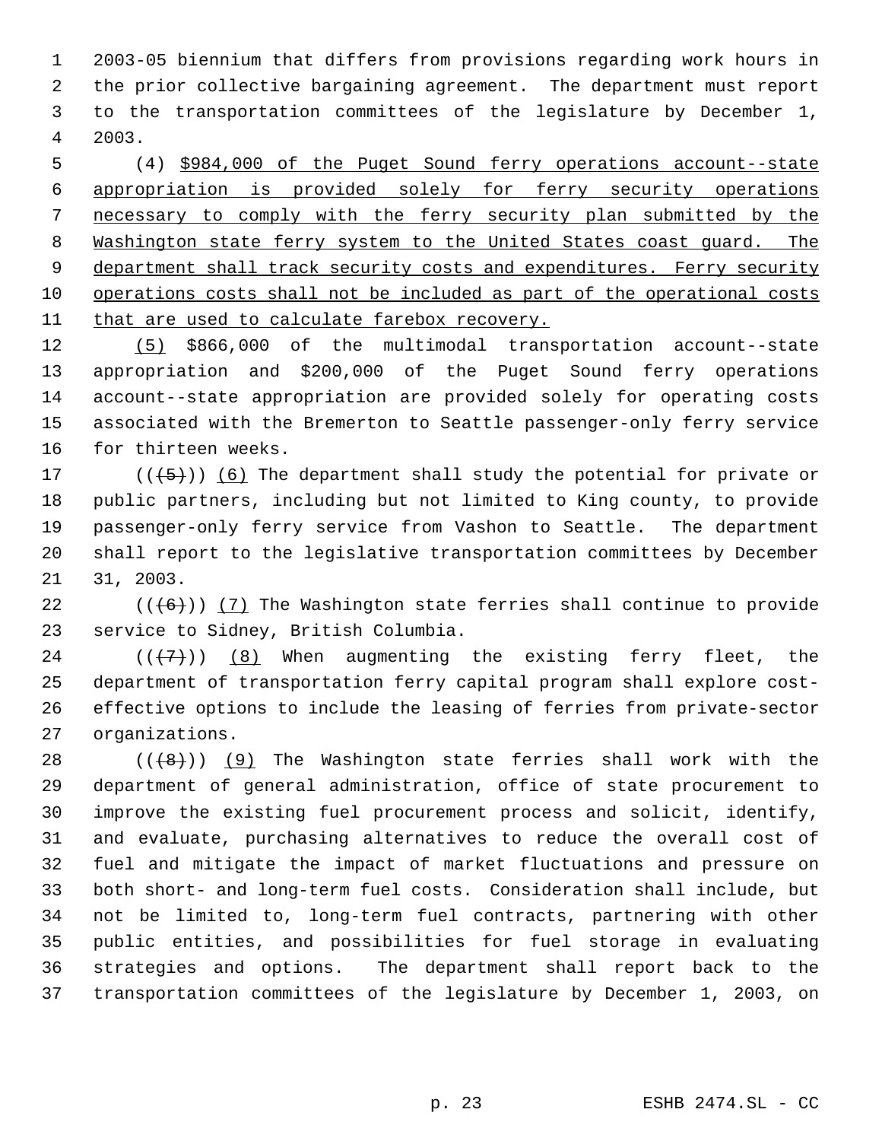2003-05 biennium that differs from provisions regarding work hours in the prior collective bargaining agreement. The department must report to the transportation committees of the legislature by December 1, 2003.

 (4) \$984,000 of the Puget Sound ferry operations account--state appropriation is provided solely for ferry security operations necessary to comply with the ferry security plan submitted by the 8 Washington state ferry system to the United States coast guard. The 9 department shall track security costs and expenditures. Ferry security operations costs shall not be included as part of the operational costs 11 that are used to calculate farebox recovery.

 (5) \$866,000 of the multimodal transportation account--state appropriation and \$200,000 of the Puget Sound ferry operations account--state appropriation are provided solely for operating costs associated with the Bremerton to Seattle passenger-only ferry service for thirteen weeks.

17 ( $(\overline{5})$ ) (6) The department shall study the potential for private or public partners, including but not limited to King county, to provide passenger-only ferry service from Vashon to Seattle. The department shall report to the legislative transportation committees by December 31, 2003.

22  $((+6))$   $(7)$  The Washington state ferries shall continue to provide service to Sidney, British Columbia.

 $((+7))$  (8) When augmenting the existing ferry fleet, the department of transportation ferry capital program shall explore cost- effective options to include the leasing of ferries from private-sector organizations.

 $((+8))$  (9) The Washington state ferries shall work with the department of general administration, office of state procurement to improve the existing fuel procurement process and solicit, identify, and evaluate, purchasing alternatives to reduce the overall cost of fuel and mitigate the impact of market fluctuations and pressure on both short- and long-term fuel costs. Consideration shall include, but not be limited to, long-term fuel contracts, partnering with other public entities, and possibilities for fuel storage in evaluating strategies and options. The department shall report back to the transportation committees of the legislature by December 1, 2003, on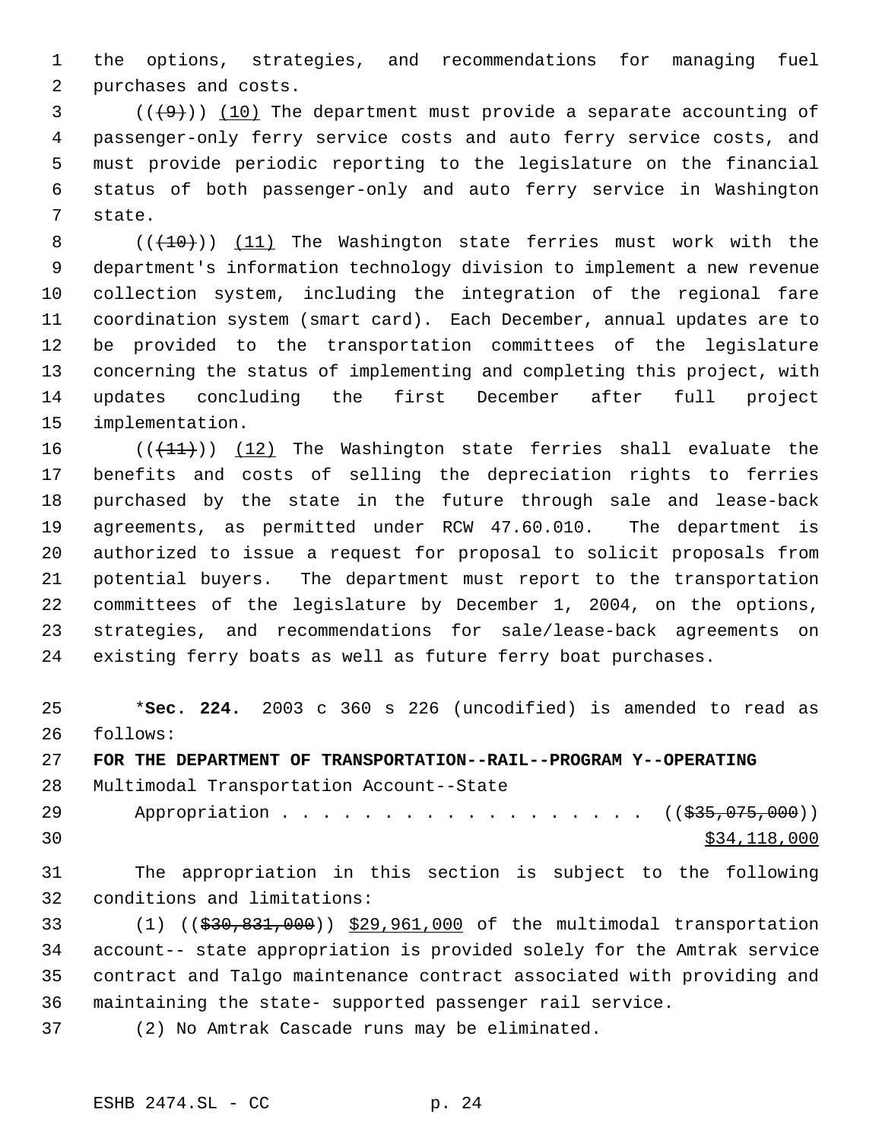the options, strategies, and recommendations for managing fuel purchases and costs.

 $(1)$  (( $(4)$ ))) (10) The department must provide a separate accounting of passenger-only ferry service costs and auto ferry service costs, and must provide periodic reporting to the legislature on the financial status of both passenger-only and auto ferry service in Washington state.

 $((+10))$  (11) The Washington state ferries must work with the department's information technology division to implement a new revenue collection system, including the integration of the regional fare coordination system (smart card). Each December, annual updates are to be provided to the transportation committees of the legislature concerning the status of implementing and completing this project, with updates concluding the first December after full project implementation.

 $((+11))$   $(12)$  The Washington state ferries shall evaluate the benefits and costs of selling the depreciation rights to ferries purchased by the state in the future through sale and lease-back agreements, as permitted under RCW 47.60.010. The department is authorized to issue a request for proposal to solicit proposals from potential buyers. The department must report to the transportation committees of the legislature by December 1, 2004, on the options, strategies, and recommendations for sale/lease-back agreements on existing ferry boats as well as future ferry boat purchases.

 \***Sec. 224.** 2003 c 360 s 226 (uncodified) is amended to read as follows:

**FOR THE DEPARTMENT OF TRANSPORTATION--RAIL--PROGRAM Y--OPERATING**

Multimodal Transportation Account--State

29 Appropriation . . . . . . . . . . . . . . . . ((\$35,075,000))  $\frac{$34,118,000}{ }$ 

 The appropriation in this section is subject to the following conditions and limitations:

 (1) ((\$30,831,000)) \$29,961,000 of the multimodal transportation account-- state appropriation is provided solely for the Amtrak service contract and Talgo maintenance contract associated with providing and maintaining the state- supported passenger rail service.

(2) No Amtrak Cascade runs may be eliminated.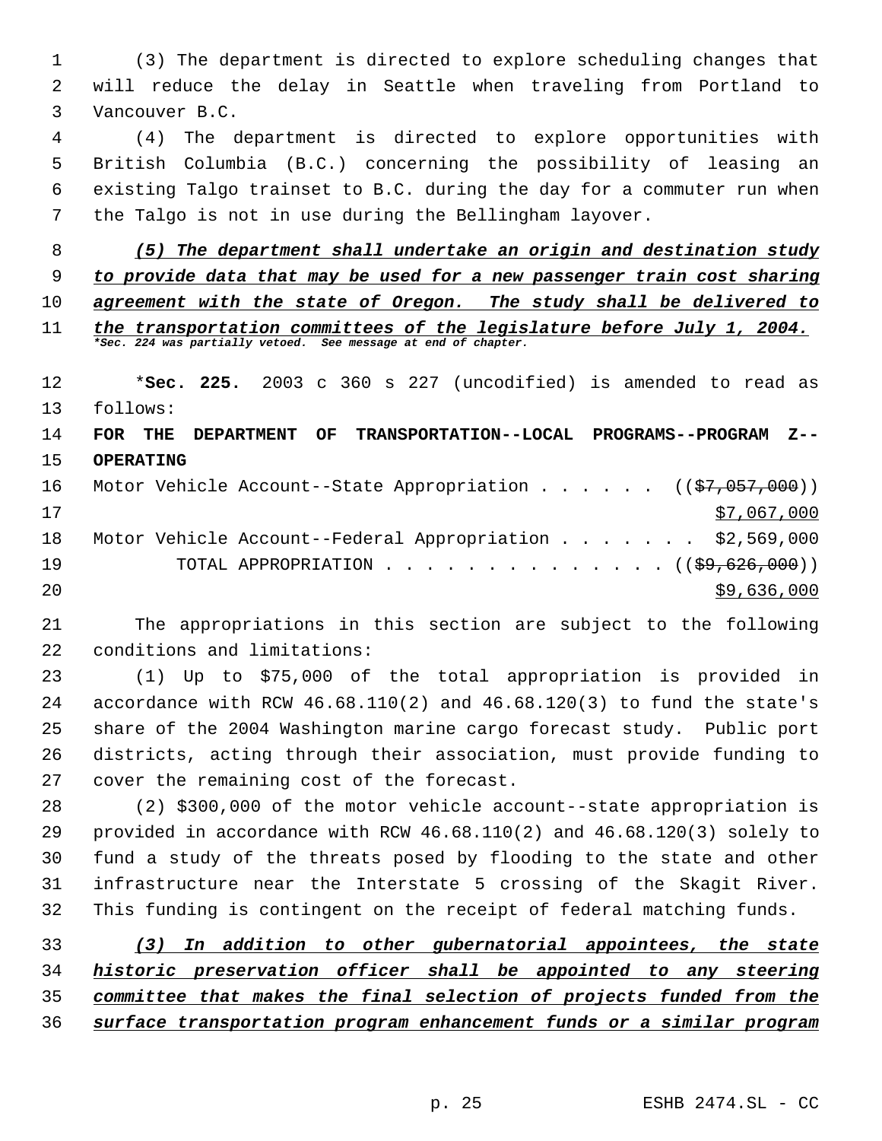(3) The department is directed to explore scheduling changes that will reduce the delay in Seattle when traveling from Portland to Vancouver B.C.

 (4) The department is directed to explore opportunities with British Columbia (B.C.) concerning the possibility of leasing an existing Talgo trainset to B.C. during the day for a commuter run when the Talgo is not in use during the Bellingham layover.

 *(5) The department shall undertake an origin and destination study to provide data that may be used for a new passenger train cost sharing agreement with the state of Oregon. The study shall be delivered to the transportation committees of the legislature before July 1, 2004. \*Sec. 224 was partially vetoed. See message at end of chapter.*

 \***Sec. 225.** 2003 c 360 s 227 (uncodified) is amended to read as follows:

 **FOR THE DEPARTMENT OF TRANSPORTATION--LOCAL PROGRAMS--PROGRAM Z-- OPERATING** 16 Motor Vehicle Account--State Appropriation  $(37,057,000)$ 

| 17 |  |                                                                       |  |  |  |  | \$7,067,000 |  |
|----|--|-----------------------------------------------------------------------|--|--|--|--|-------------|--|
| 18 |  | Motor Vehicle Account--Federal Appropriation \$2,569,000              |  |  |  |  |             |  |
| 19 |  | TOTAL APPROPRIATION $\ldots$ , ( $(\frac{29}{59}, \frac{626}{900})$ ) |  |  |  |  |             |  |
| 20 |  |                                                                       |  |  |  |  | \$9,636,000 |  |

 The appropriations in this section are subject to the following conditions and limitations:

 (1) Up to \$75,000 of the total appropriation is provided in accordance with RCW 46.68.110(2) and 46.68.120(3) to fund the state's share of the 2004 Washington marine cargo forecast study. Public port districts, acting through their association, must provide funding to cover the remaining cost of the forecast.

 (2) \$300,000 of the motor vehicle account--state appropriation is provided in accordance with RCW 46.68.110(2) and 46.68.120(3) solely to fund a study of the threats posed by flooding to the state and other infrastructure near the Interstate 5 crossing of the Skagit River. This funding is contingent on the receipt of federal matching funds.

 *(3) In addition to other gubernatorial appointees, the state historic preservation officer shall be appointed to any steering committee that makes the final selection of projects funded from the surface transportation program enhancement funds or a similar program*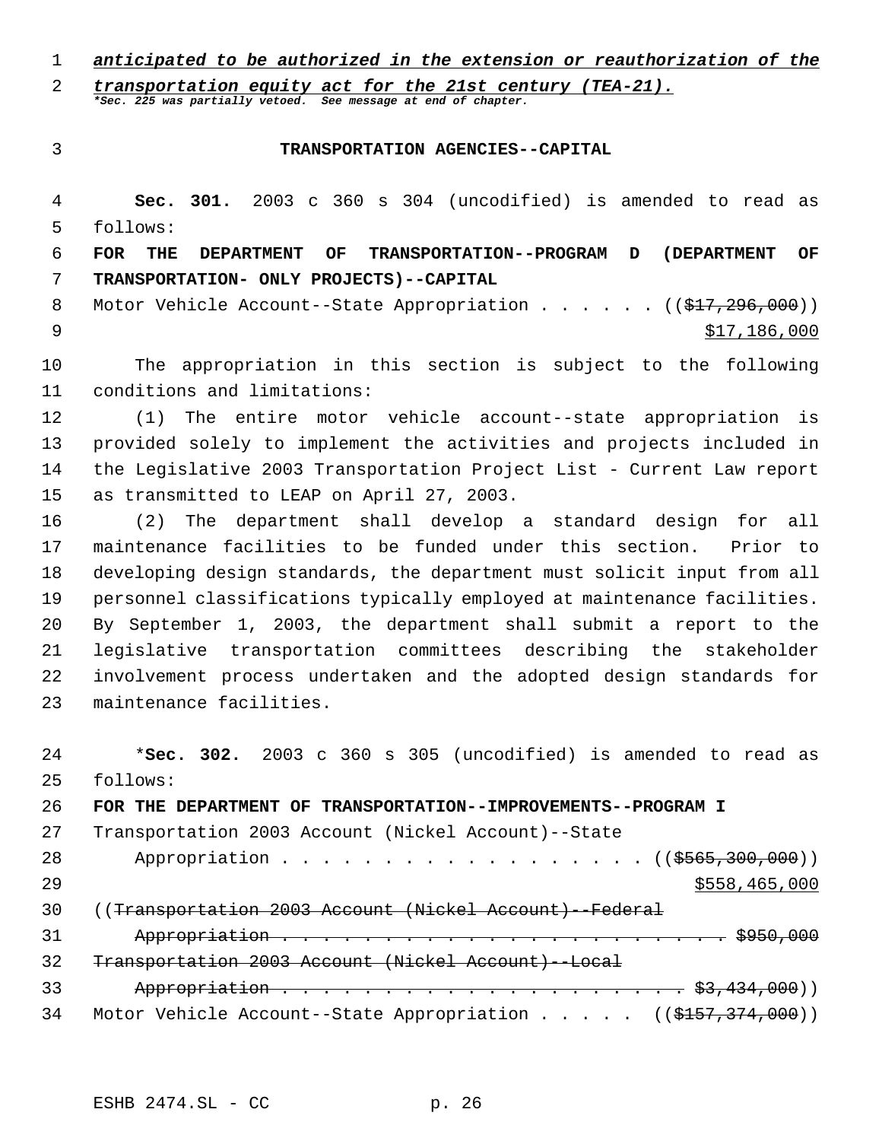#### *anticipated to be authorized in the extension or reauthorization of the*

*transportation equity act for the 21st century (TEA-21). \*Sec. 225 was partially vetoed. See message at end of chapter.*

## **TRANSPORTATION AGENCIES--CAPITAL**

 **Sec. 301.** 2003 c 360 s 304 (uncodified) is amended to read as follows:

 **FOR THE DEPARTMENT OF TRANSPORTATION--PROGRAM D (DEPARTMENT OF TRANSPORTATION- ONLY PROJECTS)--CAPITAL**

8 Motor Vehicle Account--State Appropriation . . . . . ((\$17,296,000))  $$17,186,000$ 

 The appropriation in this section is subject to the following conditions and limitations:

 (1) The entire motor vehicle account--state appropriation is provided solely to implement the activities and projects included in the Legislative 2003 Transportation Project List - Current Law report as transmitted to LEAP on April 27, 2003.

 (2) The department shall develop a standard design for all maintenance facilities to be funded under this section. Prior to developing design standards, the department must solicit input from all personnel classifications typically employed at maintenance facilities. By September 1, 2003, the department shall submit a report to the legislative transportation committees describing the stakeholder involvement process undertaken and the adopted design standards for maintenance facilities.

 \***Sec. 302.** 2003 c 360 s 305 (uncodified) is amended to read as follows: **FOR THE DEPARTMENT OF TRANSPORTATION--IMPROVEMENTS--PROGRAM I** Transportation 2003 Account (Nickel Account)--State 28 Appropriation . . . . . . . . . . . . . . . . ((\$565,300,000))  $5558,465,000$  ((Transportation 2003 Account (Nickel Account)--Federal Appropriation . . . . . . . . . . . . . . . . . . . . . . \$950,000 Transportation 2003 Account (Nickel Account)--Local Appropriation . . . . . . . . . . . . . . . . . . . . \$3,434,000)) 34 Motor Vehicle Account--State Appropriation . . . . . ((\$157,374,000))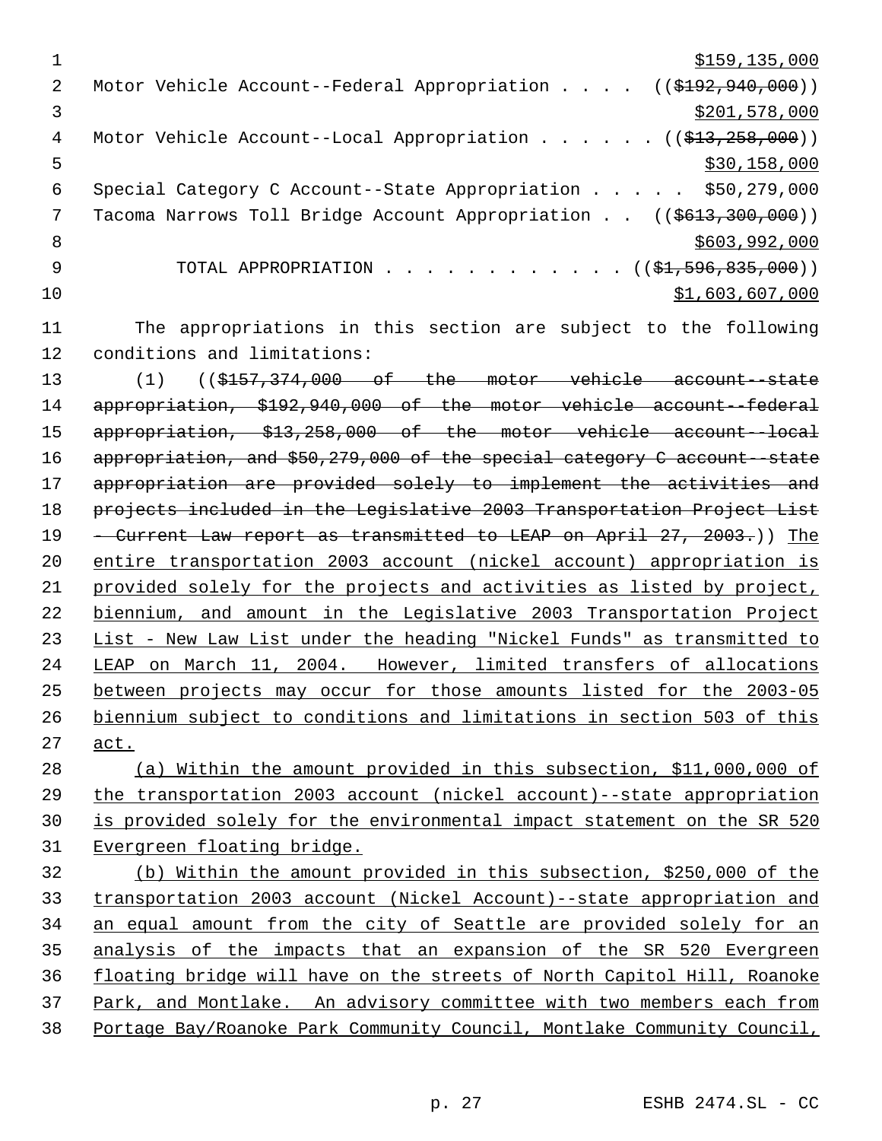| 1             | \$159, 135, 000                                                                    |
|---------------|------------------------------------------------------------------------------------|
| $\mathcal{L}$ | Motor Vehicle Account--Federal Appropriation ((\$192,940,000))                     |
| 3             | \$201,578,000                                                                      |
| 4             | Motor Vehicle Account--Local Appropriation ( $(\frac{213}{72}, \frac{258}{900})$ ) |
| 5             | \$30,158,000                                                                       |
| 6             | Special Category C Account--State Appropriation \$50,279,000                       |
| 7             | Tacoma Narrows Toll Bridge Account Appropriation ((\$613,300,000))                 |
| 8             | \$603,992,000                                                                      |
| -9            | TOTAL APPROPRIATION $($ $($ \$1,596,835,000) $)$                                   |
| 10            | \$1,603,607,000                                                                    |
| 11            | The appropriations in this section are subject to the following                    |
| 12            | conditions and limitations:                                                        |

13 (1) ((\$157,374,000 of the motor vehicle account-state appropriation, \$192,940,000 of the motor vehicle account--federal appropriation, \$13,258,000 of the motor vehicle account--local appropriation, and \$50,279,000 of the special category C account--state appropriation are provided solely to implement the activities and projects included in the Legislative 2003 Transportation Project List 19 - Current Law report as transmitted to LEAP on April 27, 2003.)) The entire transportation 2003 account (nickel account) appropriation is provided solely for the projects and activities as listed by project, biennium, and amount in the Legislative 2003 Transportation Project List - New Law List under the heading "Nickel Funds" as transmitted to LEAP on March 11, 2004. However, limited transfers of allocations between projects may occur for those amounts listed for the 2003-05 biennium subject to conditions and limitations in section 503 of this act.

 (a) Within the amount provided in this subsection, \$11,000,000 of the transportation 2003 account (nickel account)--state appropriation is provided solely for the environmental impact statement on the SR 520 Evergreen floating bridge.

 (b) Within the amount provided in this subsection, \$250,000 of the transportation 2003 account (Nickel Account)--state appropriation and an equal amount from the city of Seattle are provided solely for an analysis of the impacts that an expansion of the SR 520 Evergreen floating bridge will have on the streets of North Capitol Hill, Roanoke Park, and Montlake. An advisory committee with two members each from Portage Bay/Roanoke Park Community Council, Montlake Community Council,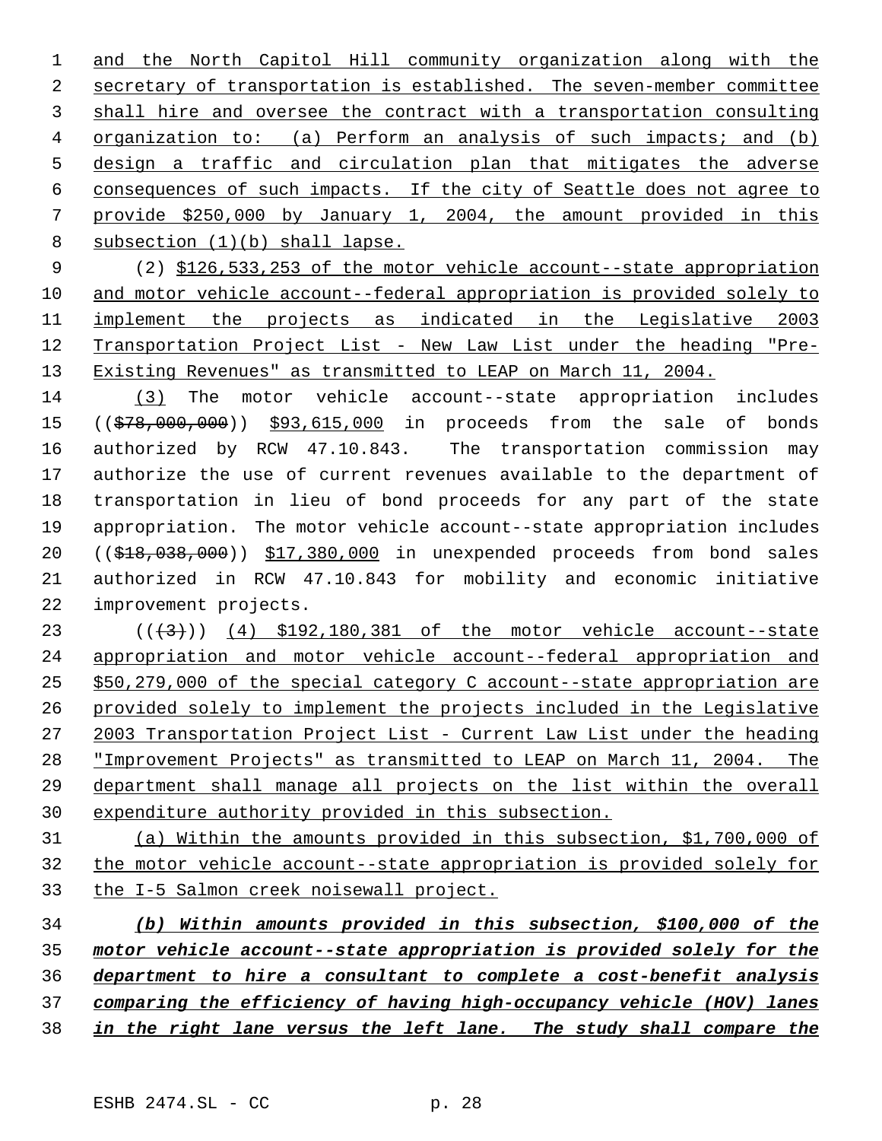and the North Capitol Hill community organization along with the secretary of transportation is established. The seven-member committee shall hire and oversee the contract with a transportation consulting organization to: (a) Perform an analysis of such impacts; and (b) design a traffic and circulation plan that mitigates the adverse consequences of such impacts. If the city of Seattle does not agree to provide \$250,000 by January 1, 2004, the amount provided in this subsection (1)(b) shall lapse.

 (2) \$126,533,253 of the motor vehicle account--state appropriation and motor vehicle account--federal appropriation is provided solely to implement the projects as indicated in the Legislative 2003 Transportation Project List - New Law List under the heading "Pre-Existing Revenues" as transmitted to LEAP on March 11, 2004.

 (3) The motor vehicle account--state appropriation includes ((\$78,000,000)) \$93,615,000 in proceeds from the sale of bonds authorized by RCW 47.10.843. The transportation commission may authorize the use of current revenues available to the department of transportation in lieu of bond proceeds for any part of the state appropriation. The motor vehicle account--state appropriation includes ((\$18,038,000)) \$17,380,000 in unexpended proceeds from bond sales authorized in RCW 47.10.843 for mobility and economic initiative improvement projects.

23 (((43))) (4) \$192,180,381 of the motor vehicle account--state appropriation and motor vehicle account--federal appropriation and \$50,279,000 of the special category C account--state appropriation are provided solely to implement the projects included in the Legislative 2003 Transportation Project List - Current Law List under the heading "Improvement Projects" as transmitted to LEAP on March 11, 2004. The department shall manage all projects on the list within the overall expenditure authority provided in this subsection.

 (a) Within the amounts provided in this subsection, \$1,700,000 of the motor vehicle account--state appropriation is provided solely for the I-5 Salmon creek noisewall project.

 *(b) Within amounts provided in this subsection, \$100,000 of the motor vehicle account--state appropriation is provided solely for the department to hire a consultant to complete a cost-benefit analysis comparing the efficiency of having high-occupancy vehicle (HOV) lanes in the right lane versus the left lane. The study shall compare the*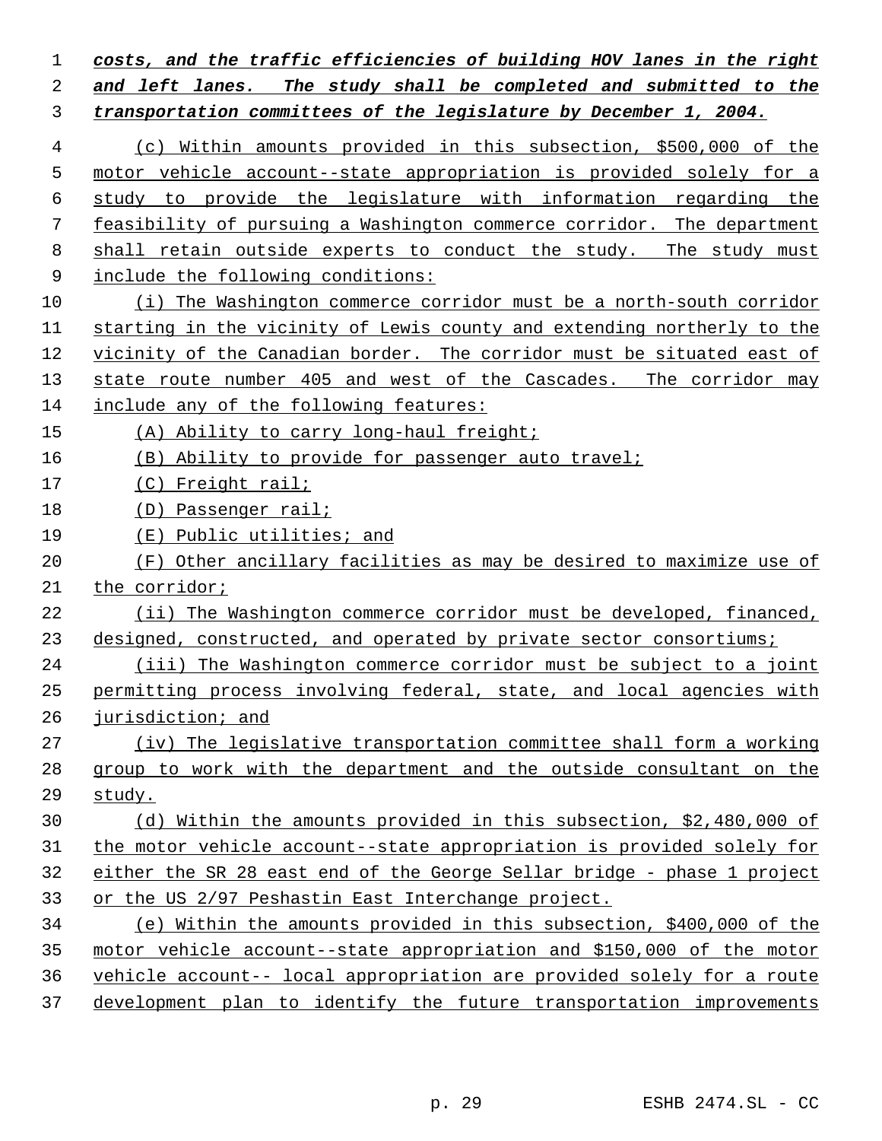*costs, and the traffic efficiencies of building HOV lanes in the right and left lanes. The study shall be completed and submitted to the transportation committees of the legislature by December 1, 2004.* (c) Within amounts provided in this subsection, \$500,000 of the motor vehicle account--state appropriation is provided solely for a study to provide the legislature with information regarding the feasibility of pursuing a Washington commerce corridor. The department 8 shall retain outside experts to conduct the study. The study must include the following conditions: (i) The Washington commerce corridor must be a north-south corridor starting in the vicinity of Lewis county and extending northerly to the 12 vicinity of the Canadian border. The corridor must be situated east of 13 state route number 405 and west of the Cascades. The corridor may include any of the following features: (A) Ability to carry long-haul freight; (B) Ability to provide for passenger auto travel; (C) Freight rail; (D) Passenger rail; (E) Public utilities; and (F) Other ancillary facilities as may be desired to maximize use of the corridor; (ii) The Washington commerce corridor must be developed, financed, 23 designed, constructed, and operated by private sector consortiums; (iii) The Washington commerce corridor must be subject to a joint permitting process involving federal, state, and local agencies with jurisdiction; and (iv) The legislative transportation committee shall form a working group to work with the department and the outside consultant on the study. (d) Within the amounts provided in this subsection, \$2,480,000 of the motor vehicle account--state appropriation is provided solely for either the SR 28 east end of the George Sellar bridge - phase 1 project or the US 2/97 Peshastin East Interchange project. (e) Within the amounts provided in this subsection, \$400,000 of the motor vehicle account--state appropriation and \$150,000 of the motor vehicle account-- local appropriation are provided solely for a route development plan to identify the future transportation improvements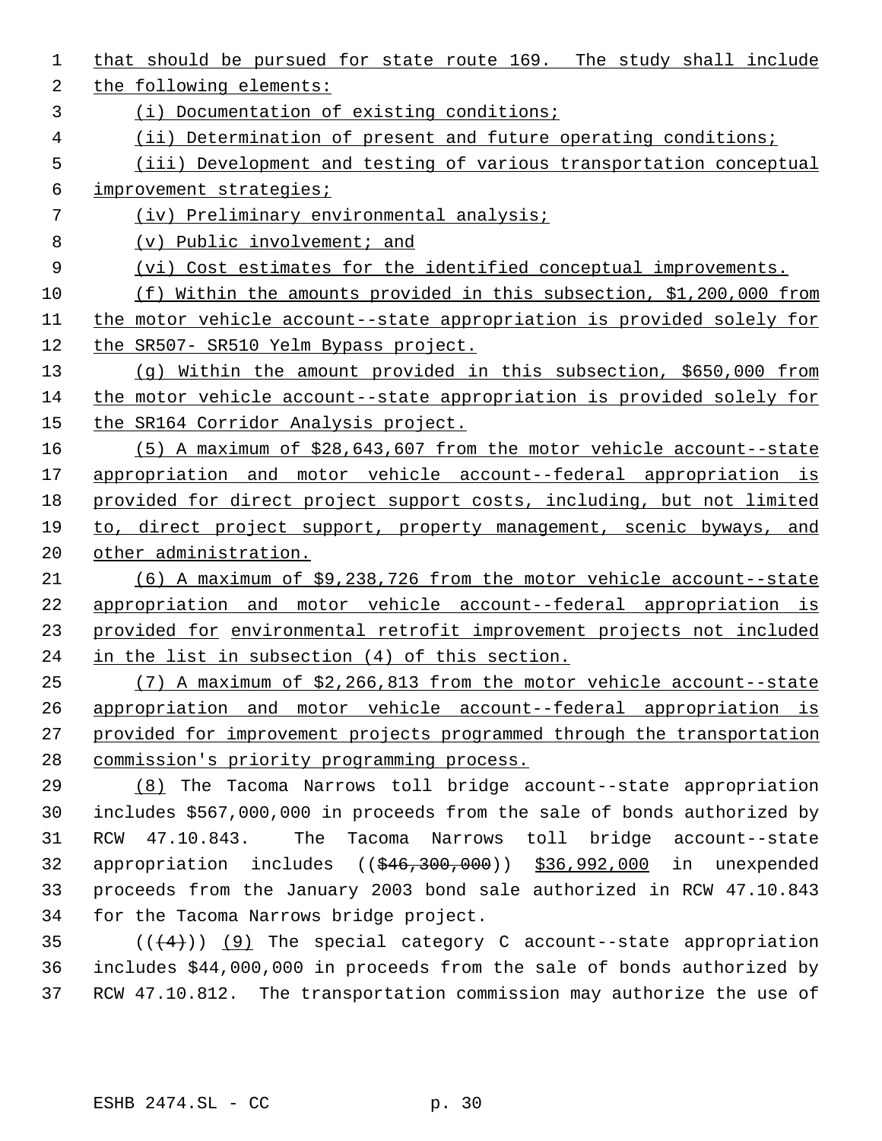that should be pursued for state route 169. The study shall include the following elements: (i) Documentation of existing conditions; (ii) Determination of present and future operating conditions; (iii) Development and testing of various transportation conceptual improvement strategies; (iv) Preliminary environmental analysis; 8 (v) Public involvement; and (vi) Cost estimates for the identified conceptual improvements. (f) Within the amounts provided in this subsection, \$1,200,000 from the motor vehicle account--state appropriation is provided solely for the SR507- SR510 Yelm Bypass project. (g) Within the amount provided in this subsection, \$650,000 from the motor vehicle account--state appropriation is provided solely for 15 the SR164 Corridor Analysis project. (5) A maximum of \$28,643,607 from the motor vehicle account--state 17 appropriation and motor vehicle account--federal appropriation is provided for direct project support costs, including, but not limited to, direct project support, property management, scenic byways, and other administration. (6) A maximum of \$9,238,726 from the motor vehicle account--state 22 appropriation and motor vehicle account--federal appropriation is provided for environmental retrofit improvement projects not included in the list in subsection (4) of this section. (7) A maximum of \$2,266,813 from the motor vehicle account--state appropriation and motor vehicle account--federal appropriation is provided for improvement projects programmed through the transportation commission's priority programming process. (8) The Tacoma Narrows toll bridge account--state appropriation includes \$567,000,000 in proceeds from the sale of bonds authorized by RCW 47.10.843. The Tacoma Narrows toll bridge account--state appropriation includes ((\$46,300,000)) \$36,992,000 in unexpended proceeds from the January 2003 bond sale authorized in RCW 47.10.843 for the Tacoma Narrows bridge project.  $((+4))$   $(9)$  The special category C account--state appropriation includes \$44,000,000 in proceeds from the sale of bonds authorized by

RCW 47.10.812. The transportation commission may authorize the use of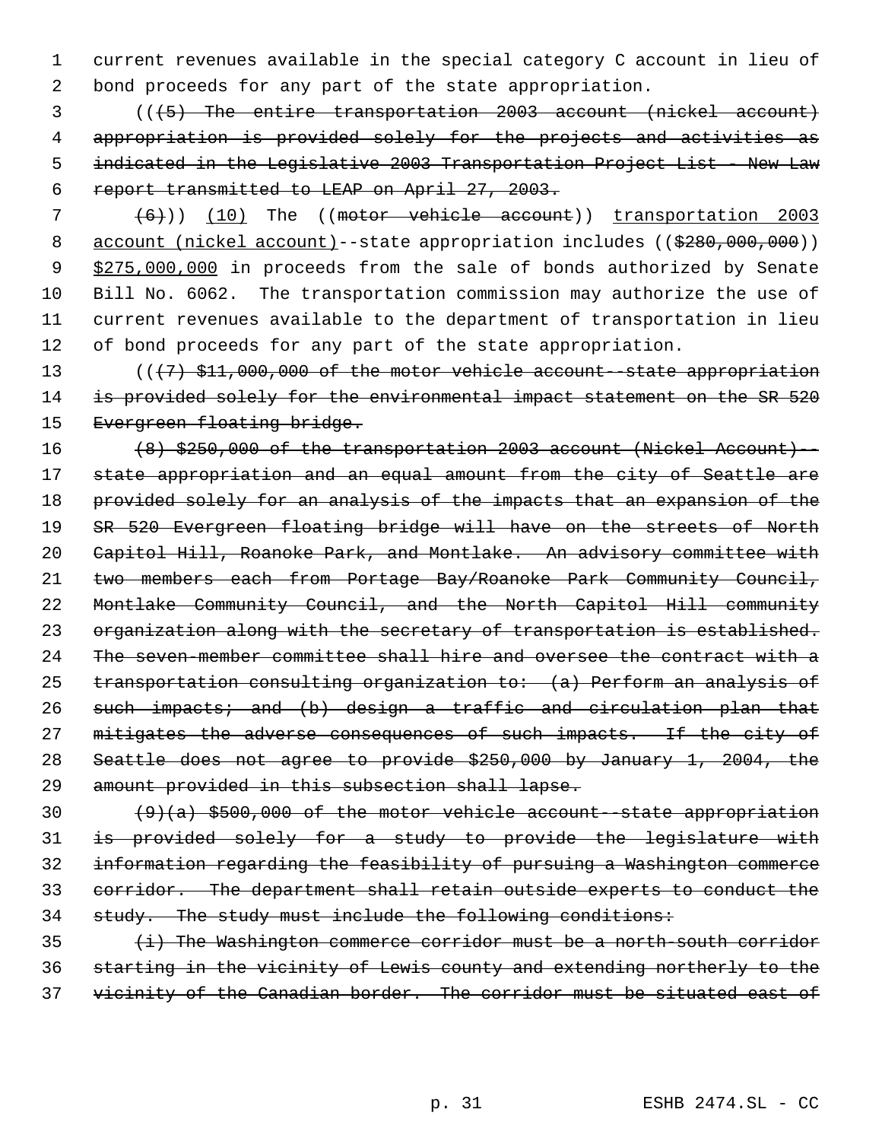current revenues available in the special category C account in lieu of bond proceeds for any part of the state appropriation.

 (((5) The entire transportation 2003 account (nickel account) appropriation is provided solely for the projects and activities as indicated in the Legislative 2003 Transportation Project List - New Law report transmitted to LEAP on April 27, 2003.

7 (6))) (10) The ((motor vehicle account)) transportation 2003 8 account (nickel account)--state appropriation includes ((\$280,000,000)) 9 \$275,000,000 in proceeds from the sale of bonds authorized by Senate Bill No. 6062. The transportation commission may authorize the use of current revenues available to the department of transportation in lieu of bond proceeds for any part of the state appropriation.

13 (( $(7)$  \$11,000,000 of the motor vehicle account--state appropriation 14 is provided solely for the environmental impact statement on the SR 520 15 Evergreen floating bridge.

 $(8)$  \$250,000 of the transportation 2003 account (Nickel Account) - state appropriation and an equal amount from the city of Seattle are provided solely for an analysis of the impacts that an expansion of the SR 520 Evergreen floating bridge will have on the streets of North Capitol Hill, Roanoke Park, and Montlake. An advisory committee with two members each from Portage Bay/Roanoke Park Community Council, Montlake Community Council, and the North Capitol Hill community 23 organization along with the secretary of transportation is established. The seven-member committee shall hire and oversee the contract with a 25 transportation consulting organization to: (a) Perform an analysis of 26 such impacts; and (b) design a traffic and circulation plan that 27 mitigates the adverse consequences of such impacts. If the city of Seattle does not agree to provide \$250,000 by January 1, 2004, the amount provided in this subsection shall lapse.

 $(9)(a)$  \$500,000 of the motor vehicle account--state appropriation is provided solely for a study to provide the legislature with information regarding the feasibility of pursuing a Washington commerce corridor. The department shall retain outside experts to conduct the study. The study must include the following conditions:

 $\{\frac{i}{r}\}$  The Washington commerce corridor must be a north-south corridor starting in the vicinity of Lewis county and extending northerly to the vicinity of the Canadian border. The corridor must be situated east of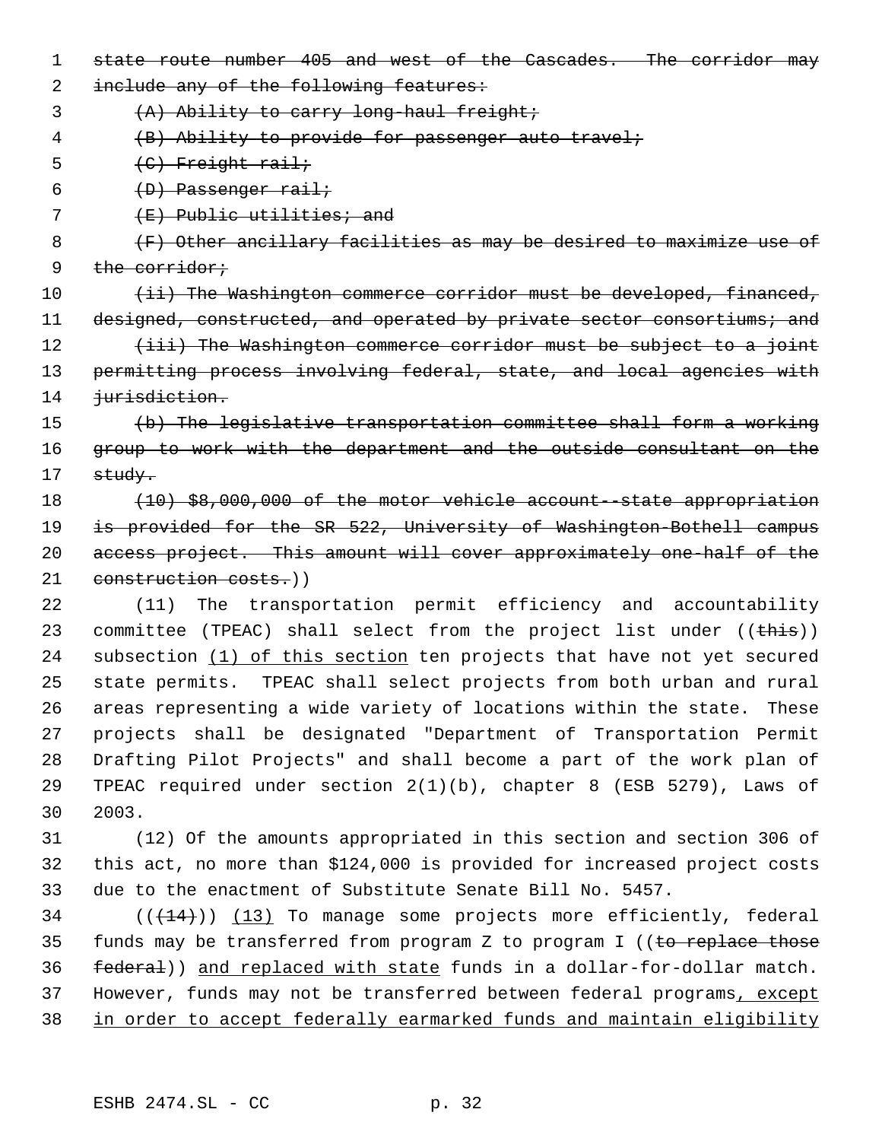1 state route number 405 and west of the Cascades. The corridor may

2 include any of the following features:

3 (A) Ability to carry long-haul freight;

- 4 (B) Ability to provide for passenger auto travel;
- 5  $\left\langle \left( \mathrm{C} \right) \right\rangle$  Freight rail;

6  $(D)$  Passenger rail;

7 (E) Public utilities; and

8 (F) Other ancillary facilities as may be desired to maximize use of 9 the corridor;

10 (ii) The Washington commerce corridor must be developed, financed, 11 designed, constructed, and operated by private sector consortiums; and 12 (iii) The Washington commerce corridor must be subject to a joint 13 permitting process involving federal, state, and local agencies with

14 jurisdiction.

15 (b) The legislative transportation committee shall form a working 16 group to work with the department and the outside consultant on the 17 study.

18 (10) \$8,000,000 of the motor vehicle account-state appropriation 19 is provided for the SR 522, University of Washington-Bothell campus 20 access project. This amount will cover approximately one half of the 21 construction costs.))

 (11) The transportation permit efficiency and accountability 23 committee (TPEAC) shall select from the project list under ((this)) 24 subsection (1) of this section ten projects that have not yet secured state permits. TPEAC shall select projects from both urban and rural areas representing a wide variety of locations within the state. These projects shall be designated "Department of Transportation Permit Drafting Pilot Projects" and shall become a part of the work plan of TPEAC required under section 2(1)(b), chapter 8 (ESB 5279), Laws of 30 2003.

31 (12) Of the amounts appropriated in this section and section 306 of 32 this act, no more than \$124,000 is provided for increased project costs 33 due to the enactment of Substitute Senate Bill No. 5457.

34  $((+14))$   $(13)$  To manage some projects more efficiently, federal 35 funds may be transferred from program Z to program I ((to replace those 36 federal)) and replaced with state funds in a dollar-for-dollar match. 37 However, funds may not be transferred between federal programs, except 38 in order to accept federally earmarked funds and maintain eligibility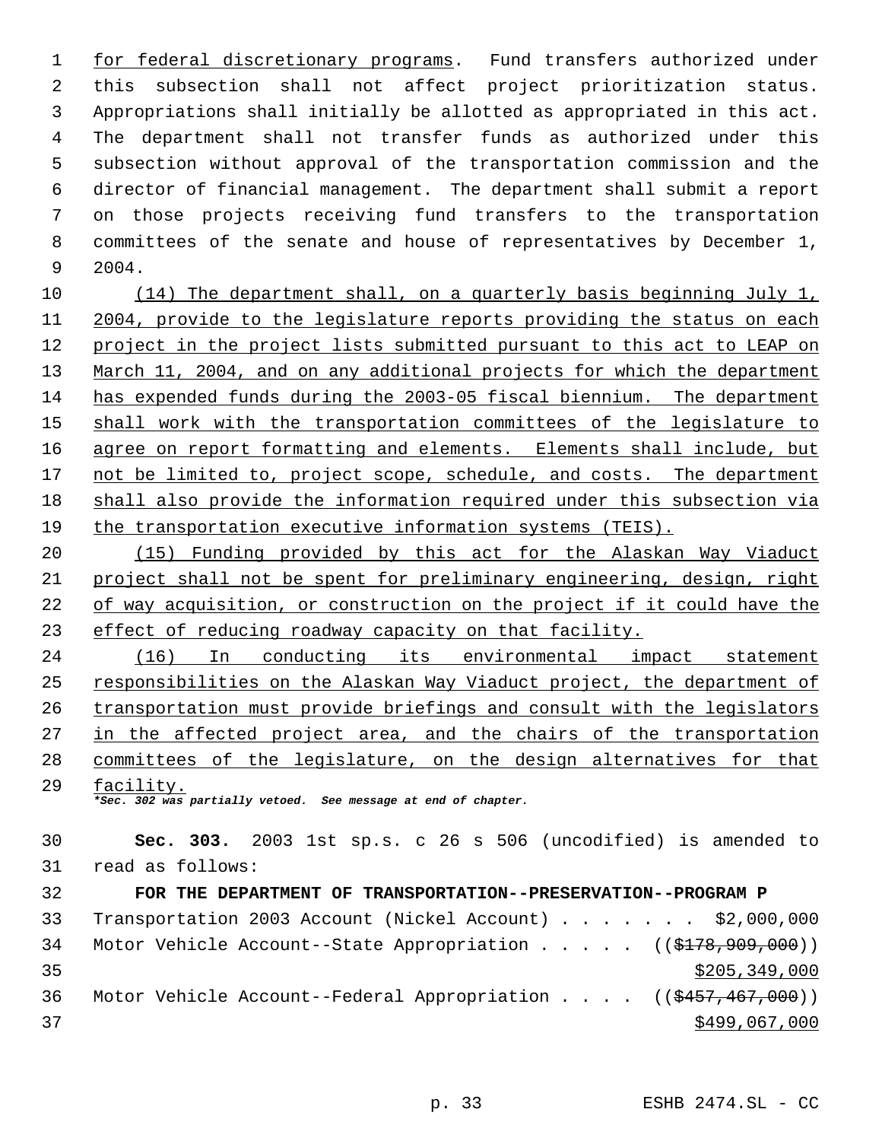for federal discretionary programs. Fund transfers authorized under this subsection shall not affect project prioritization status. Appropriations shall initially be allotted as appropriated in this act. The department shall not transfer funds as authorized under this subsection without approval of the transportation commission and the director of financial management. The department shall submit a report on those projects receiving fund transfers to the transportation committees of the senate and house of representatives by December 1, 2004.

 (14) The department shall, on a quarterly basis beginning July 1, 2004, provide to the legislature reports providing the status on each project in the project lists submitted pursuant to this act to LEAP on 13 March 11, 2004, and on any additional projects for which the department has expended funds during the 2003-05 fiscal biennium. The department shall work with the transportation committees of the legislature to agree on report formatting and elements. Elements shall include, but not be limited to, project scope, schedule, and costs. The department shall also provide the information required under this subsection via the transportation executive information systems (TEIS).

 (15) Funding provided by this act for the Alaskan Way Viaduct project shall not be spent for preliminary engineering, design, right of way acquisition, or construction on the project if it could have the effect of reducing roadway capacity on that facility.

 (16) In conducting its environmental impact statement responsibilities on the Alaskan Way Viaduct project, the department of transportation must provide briefings and consult with the legislators in the affected project area, and the chairs of the transportation committees of the legislature, on the design alternatives for that facility.

*\*Sec. 302 was partially vetoed. See message at end of chapter.*

 **Sec. 303.** 2003 1st sp.s. c 26 s 506 (uncodified) is amended to read as follows:

 **FOR THE DEPARTMENT OF TRANSPORTATION--PRESERVATION--PROGRAM P** Transportation 2003 Account (Nickel Account) . . . . . . . \$2,000,000 34 Motor Vehicle Account--State Appropriation . . . . . ((\$178,909,000)) \$205,349,000 36 Motor Vehicle Account--Federal Appropriation . . . . ((\$457,467,000)) \$499,067,000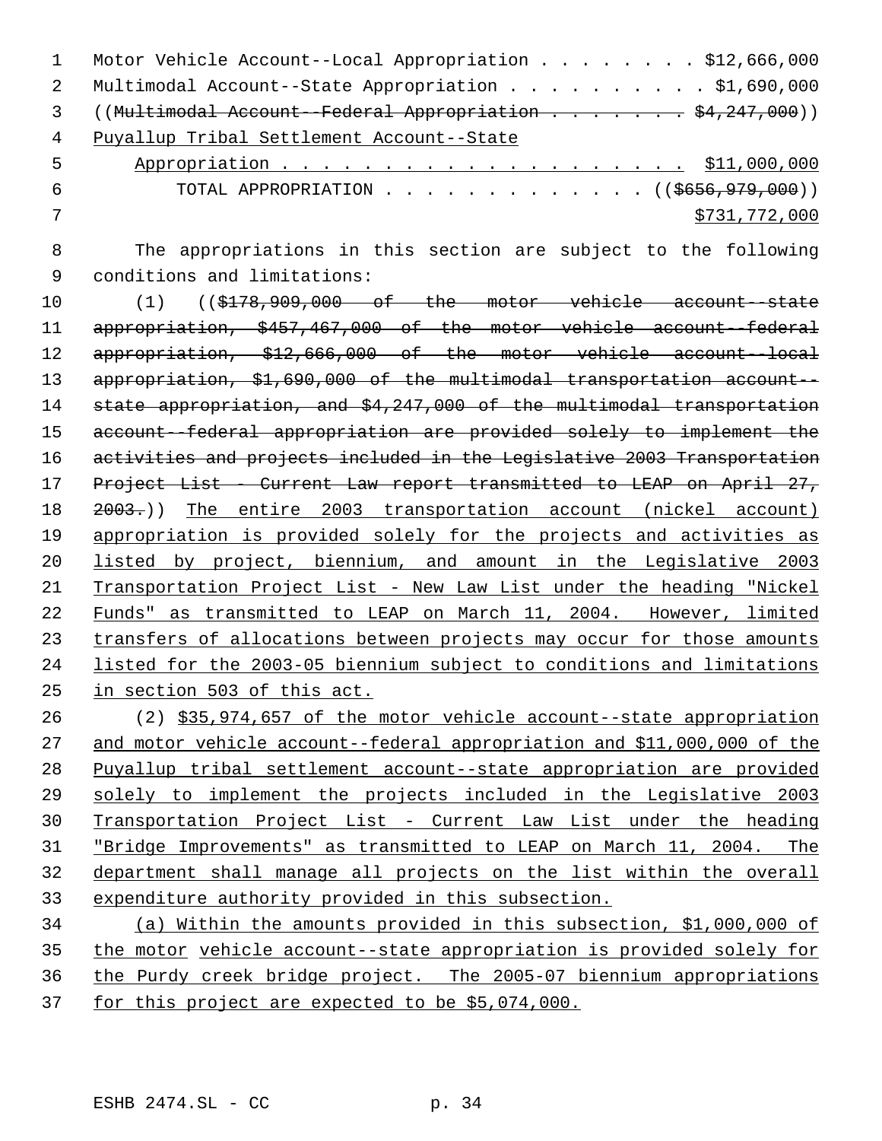| $\mathbf{1}$   | Motor Vehicle Account--Local Appropriation \$12,666,000                         |
|----------------|---------------------------------------------------------------------------------|
| 2              | Multimodal Account--State Appropriation \$1,690,000                             |
| 3              | ((Multimodal Account--Federal Appropriation \$4,247,000))                       |
| $\overline{4}$ | Puyallup Tribal Settlement Account--State                                       |
| 5              |                                                                                 |
| 6              | TOTAL APPROPRIATION ( $(\frac{26556}{979},000)$ )                               |
| 7              | \$731,772,000                                                                   |
| 8              | The appropriations in this section are subject to the following                 |
| 9              | conditions and limitations:                                                     |
| 10             | $(1)$ $((\frac{2178}{909}, \frac{900}{900})$ of the motor vehicle account state |
| 11             | appropriation, \$457,467,000 of the motor vehicle account-federal               |
| 12             | appropriation, \$12,666,000 of the motor vehicle account-local                  |
| 13             | appropriation, \$1,690,000 of the multimodal transportation account -           |
| 14             | state appropriation, and \$4,247,000 of the multimodal transportation           |
| 15             | account-federal appropriation are provided solely to implement the              |
| 16             | activities and projects included in the Legislative 2003 Transportation         |
| 17             | Project List - Current Law report transmitted to LEAP on April 27,              |
| 18             | The entire 2003 transportation account (nickel account)<br><del>2003.</del> ))  |
| 19             | appropriation is provided solely for the projects and activities as             |
| 20             | listed by project, biennium, and amount in the Legislative 2003                 |
| 21             | Transportation Project List - New Law List under the heading "Nickel            |
| 22             | Funds" as transmitted to LEAP on March 11, 2004. However, limited               |
| 23             | transfers of allocations between projects may occur for those amounts           |
| 24             | listed for the 2003-05 biennium subject to conditions and limitations           |
| 25             | in section 503 of this act.                                                     |
| 26             | (2) \$35,974,657 of the motor vehicle account--state appropriation              |
| 27             | and motor vehicle account--federal appropriation and \$11,000,000 of the        |
| 28             | Puyallup tribal settlement account--state appropriation are provided            |
| 29             | solely to implement the projects included in the Legislative 2003               |
| 30             | Transportation Project List - Current Law List under the heading                |
| 31             | "Bridge Improvements" as transmitted to LEAP on March 11, 2004. The             |
| 32             | department shall manage all projects on the list within the overall             |
| 33             | expenditure authority provided in this subsection.                              |
| 34             | (a) Within the amounts provided in this subsection, \$1,000,000 of              |
| 35             | the motor vehicle account--state appropriation is provided solely for           |
| 36             | the Purdy creek bridge project. The 2005-07 biennium appropriations             |
| 37             | <u>for this project are expected to be \$5,074,000.</u>                         |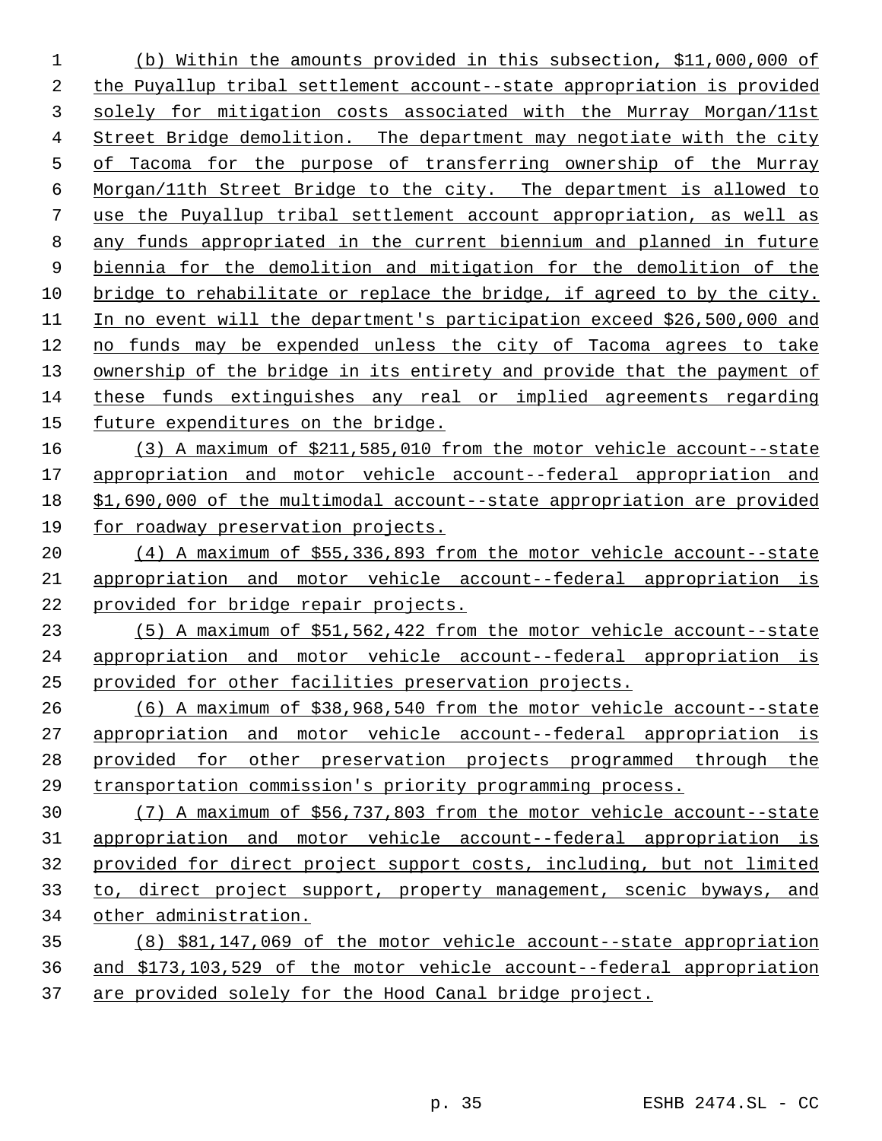(b) Within the amounts provided in this subsection, \$11,000,000 of the Puyallup tribal settlement account--state appropriation is provided solely for mitigation costs associated with the Murray Morgan/11st Street Bridge demolition. The department may negotiate with the city of Tacoma for the purpose of transferring ownership of the Murray Morgan/11th Street Bridge to the city. The department is allowed to use the Puyallup tribal settlement account appropriation, as well as any funds appropriated in the current biennium and planned in future biennia for the demolition and mitigation for the demolition of the bridge to rehabilitate or replace the bridge, if agreed to by the city. In no event will the department's participation exceed \$26,500,000 and no funds may be expended unless the city of Tacoma agrees to take ownership of the bridge in its entirety and provide that the payment of these funds extinguishes any real or implied agreements regarding future expenditures on the bridge.

 (3) A maximum of \$211,585,010 from the motor vehicle account--state appropriation and motor vehicle account--federal appropriation and \$1,690,000 of the multimodal account--state appropriation are provided for roadway preservation projects.

 (4) A maximum of \$55,336,893 from the motor vehicle account--state appropriation and motor vehicle account--federal appropriation is provided for bridge repair projects.

 (5) A maximum of \$51,562,422 from the motor vehicle account--state appropriation and motor vehicle account--federal appropriation is provided for other facilities preservation projects.

 (6) A maximum of \$38,968,540 from the motor vehicle account--state appropriation and motor vehicle account--federal appropriation is provided for other preservation projects programmed through the transportation commission's priority programming process.

 (7) A maximum of \$56,737,803 from the motor vehicle account--state appropriation and motor vehicle account--federal appropriation is provided for direct project support costs, including, but not limited 33 to, direct project support, property management, scenic byways, and other administration.

 (8) \$81,147,069 of the motor vehicle account--state appropriation and \$173,103,529 of the motor vehicle account--federal appropriation are provided solely for the Hood Canal bridge project.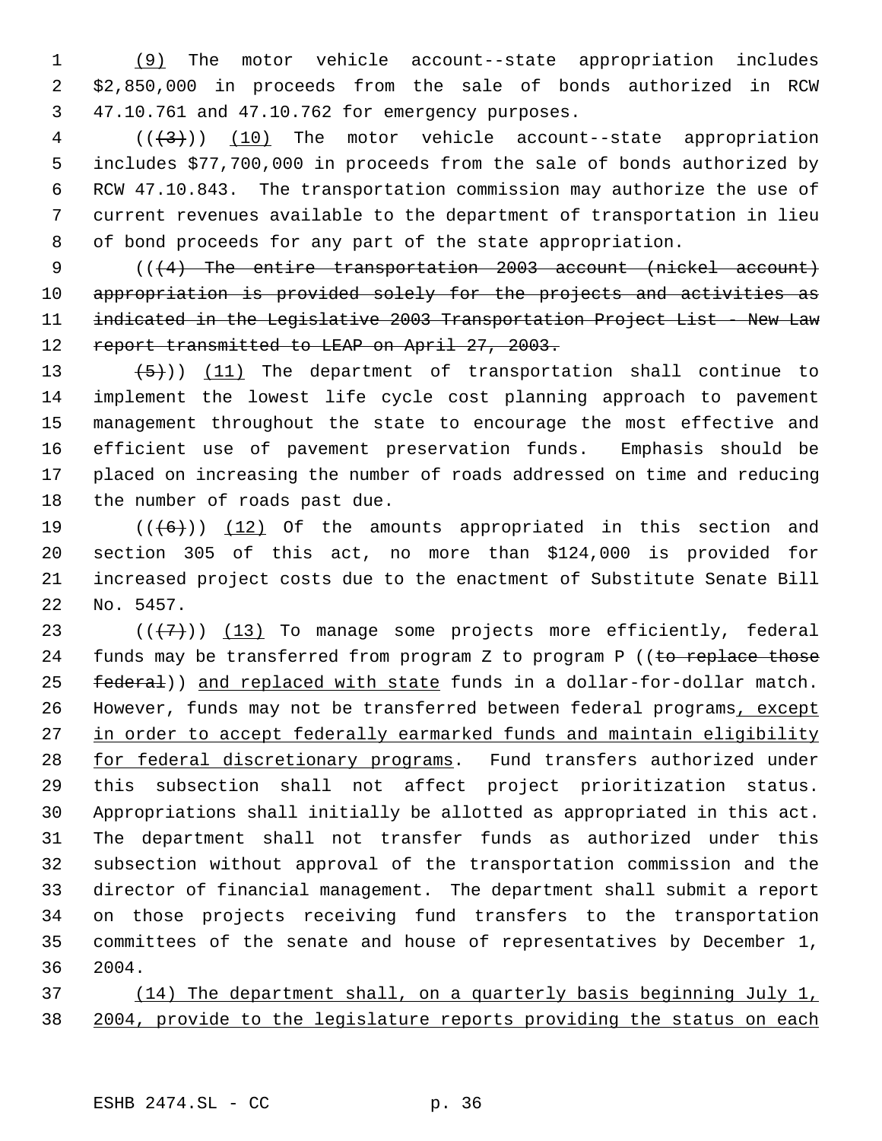(9) The motor vehicle account--state appropriation includes \$2,850,000 in proceeds from the sale of bonds authorized in RCW 47.10.761 and 47.10.762 for emergency purposes.

  $((+3))$   $(10)$  The motor vehicle account--state appropriation includes \$77,700,000 in proceeds from the sale of bonds authorized by RCW 47.10.843. The transportation commission may authorize the use of current revenues available to the department of transportation in lieu of bond proceeds for any part of the state appropriation.

 (((4) The entire transportation 2003 account (nickel account) appropriation is provided solely for the projects and activities as indicated in the Legislative 2003 Transportation Project List - New Law 12 report transmitted to LEAP on April 27, 2003.

 $(5)$ )) (11) The department of transportation shall continue to implement the lowest life cycle cost planning approach to pavement management throughout the state to encourage the most effective and efficient use of pavement preservation funds. Emphasis should be placed on increasing the number of roads addressed on time and reducing the number of roads past due.

 $((+6))$   $(12)$  Of the amounts appropriated in this section and section 305 of this act, no more than \$124,000 is provided for increased project costs due to the enactment of Substitute Senate Bill No. 5457.

23  $((+7))$   $(13)$  To manage some projects more efficiently, federal 24 funds may be transferred from program Z to program P ((to replace those 25 federal)) and replaced with state funds in a dollar-for-dollar match. 26 However, funds may not be transferred between federal programs, except 27 in order to accept federally earmarked funds and maintain eligibility 28 for federal discretionary programs. Fund transfers authorized under this subsection shall not affect project prioritization status. Appropriations shall initially be allotted as appropriated in this act. The department shall not transfer funds as authorized under this subsection without approval of the transportation commission and the director of financial management. The department shall submit a report on those projects receiving fund transfers to the transportation committees of the senate and house of representatives by December 1, 2004.

 (14) The department shall, on a quarterly basis beginning July 1, 2004, provide to the legislature reports providing the status on each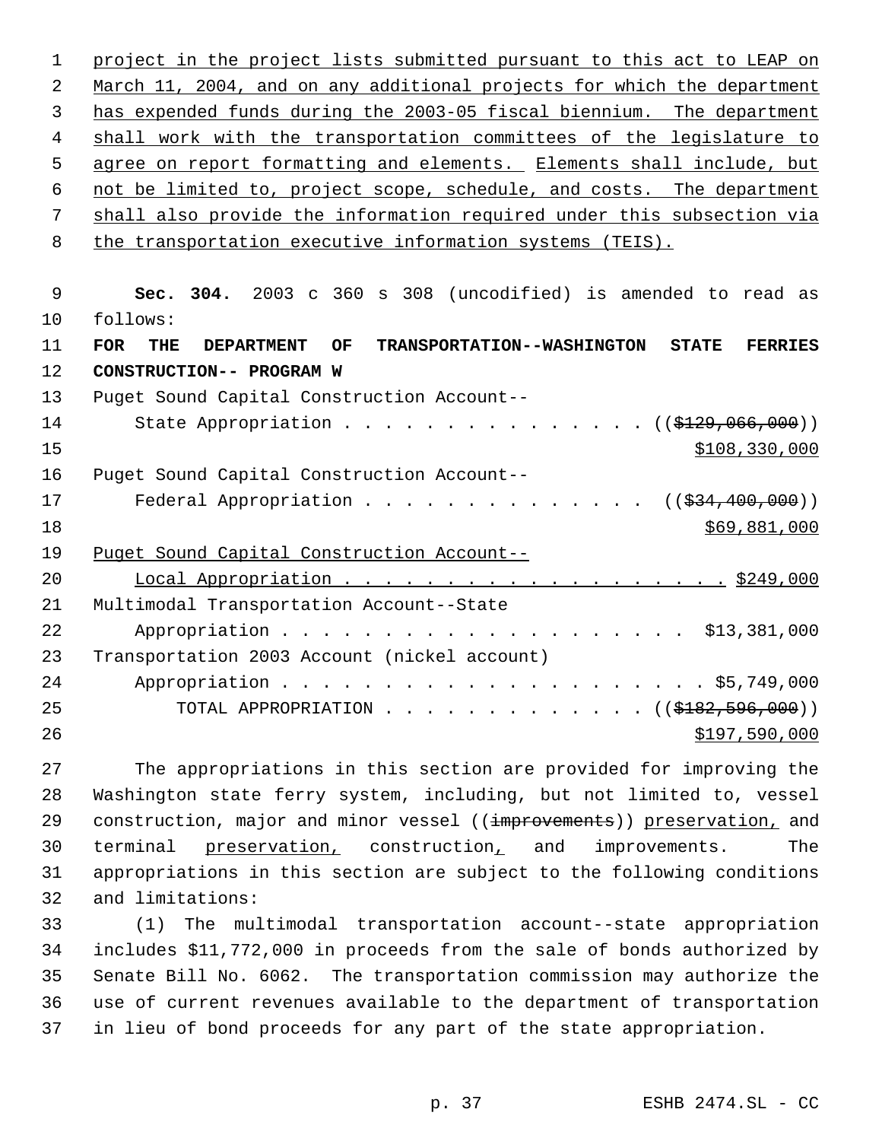project in the project lists submitted pursuant to this act to LEAP on 2 March 11, 2004, and on any additional projects for which the department has expended funds during the 2003-05 fiscal biennium. The department shall work with the transportation committees of the legislature to agree on report formatting and elements. Elements shall include, but not be limited to, project scope, schedule, and costs. The department shall also provide the information required under this subsection via the transportation executive information systems (TEIS).

 **Sec. 304.** 2003 c 360 s 308 (uncodified) is amended to read as follows: **FOR THE DEPARTMENT OF TRANSPORTATION--WASHINGTON STATE FERRIES CONSTRUCTION-- PROGRAM W** Puget Sound Capital Construction Account-- 14 State Appropriation . . . . . . . . . . . . . . ((\$129,066,000)) \$108,330,000 Puget Sound Capital Construction Account-- 17 Federal Appropriation . . . . . . . . . . . . . ((\$34,400,000)) \$69,881,000 Puget Sound Capital Construction Account-- 20 Local Appropriation . . . . . . . . . . . . . . . . . . \$249,000 Multimodal Transportation Account--State 22 Appropriation . . . . . . . . . . . . . . . . . . \$13,381,000 Transportation 2003 Account (nickel account) Appropriation . . . . . . . . . . . . . . . . . . . . . \$5,749,000 25 TOTAL APPROPRIATION . . . . . . . . . . . . . ((\$182,596,000))  $$197,590,000$ 

 The appropriations in this section are provided for improving the Washington state ferry system, including, but not limited to, vessel 29 construction, major and minor vessel ((improvements)) preservation, and terminal preservation, construction, and improvements. The appropriations in this section are subject to the following conditions and limitations:

 (1) The multimodal transportation account--state appropriation includes \$11,772,000 in proceeds from the sale of bonds authorized by Senate Bill No. 6062. The transportation commission may authorize the use of current revenues available to the department of transportation in lieu of bond proceeds for any part of the state appropriation.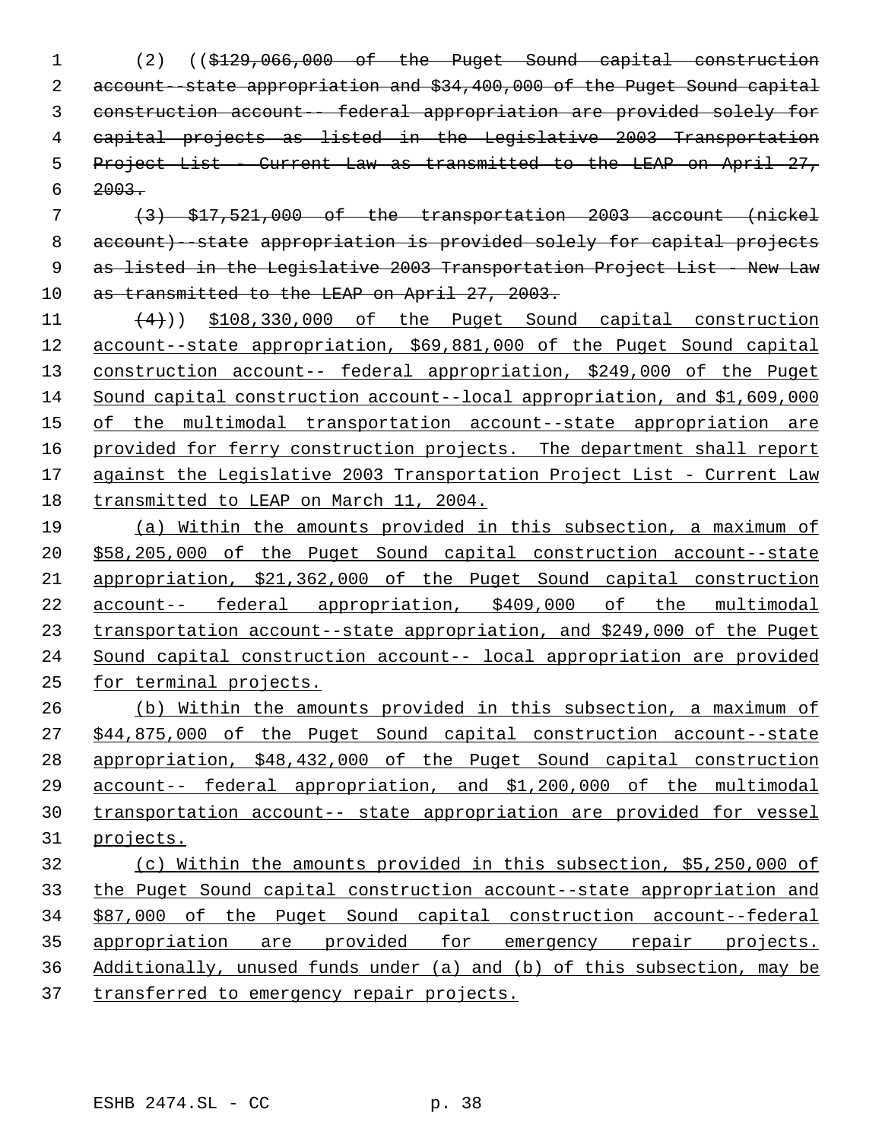(2) ((\$129,066,000 of the Puget Sound capital construction account--state appropriation and \$34,400,000 of the Puget Sound capital construction account-- federal appropriation are provided solely for capital projects as listed in the Legislative 2003 Transportation Project List - Current Law as transmitted to the LEAP on April 27,  $6 \quad 2003.$ 

 (3) \$17,521,000 of the transportation 2003 account (nickel account)--state appropriation is provided solely for capital projects 9 as listed in the Legislative 2003 Transportation Project List - New Law 10 as transmitted to the LEAP on April 27, 2003.

11 (4))) \$108,330,000 of the Puget Sound capital construction account--state appropriation, \$69,881,000 of the Puget Sound capital construction account-- federal appropriation, \$249,000 of the Puget Sound capital construction account--local appropriation, and \$1,609,000 15 of the multimodal transportation account--state appropriation are 16 provided for ferry construction projects. The department shall report 17 against the Legislative 2003 Transportation Project List - Current Law transmitted to LEAP on March 11, 2004.

 (a) Within the amounts provided in this subsection, a maximum of \$58,205,000 of the Puget Sound capital construction account--state appropriation, \$21,362,000 of the Puget Sound capital construction account-- federal appropriation, \$409,000 of the multimodal transportation account--state appropriation, and \$249,000 of the Puget Sound capital construction account-- local appropriation are provided for terminal projects.

 (b) Within the amounts provided in this subsection, a maximum of \$44,875,000 of the Puget Sound capital construction account--state appropriation, \$48,432,000 of the Puget Sound capital construction account-- federal appropriation, and \$1,200,000 of the multimodal transportation account-- state appropriation are provided for vessel projects.

 (c) Within the amounts provided in this subsection, \$5,250,000 of the Puget Sound capital construction account--state appropriation and \$87,000 of the Puget Sound capital construction account--federal appropriation are provided for emergency repair projects. Additionally, unused funds under (a) and (b) of this subsection, may be 37 transferred to emergency repair projects.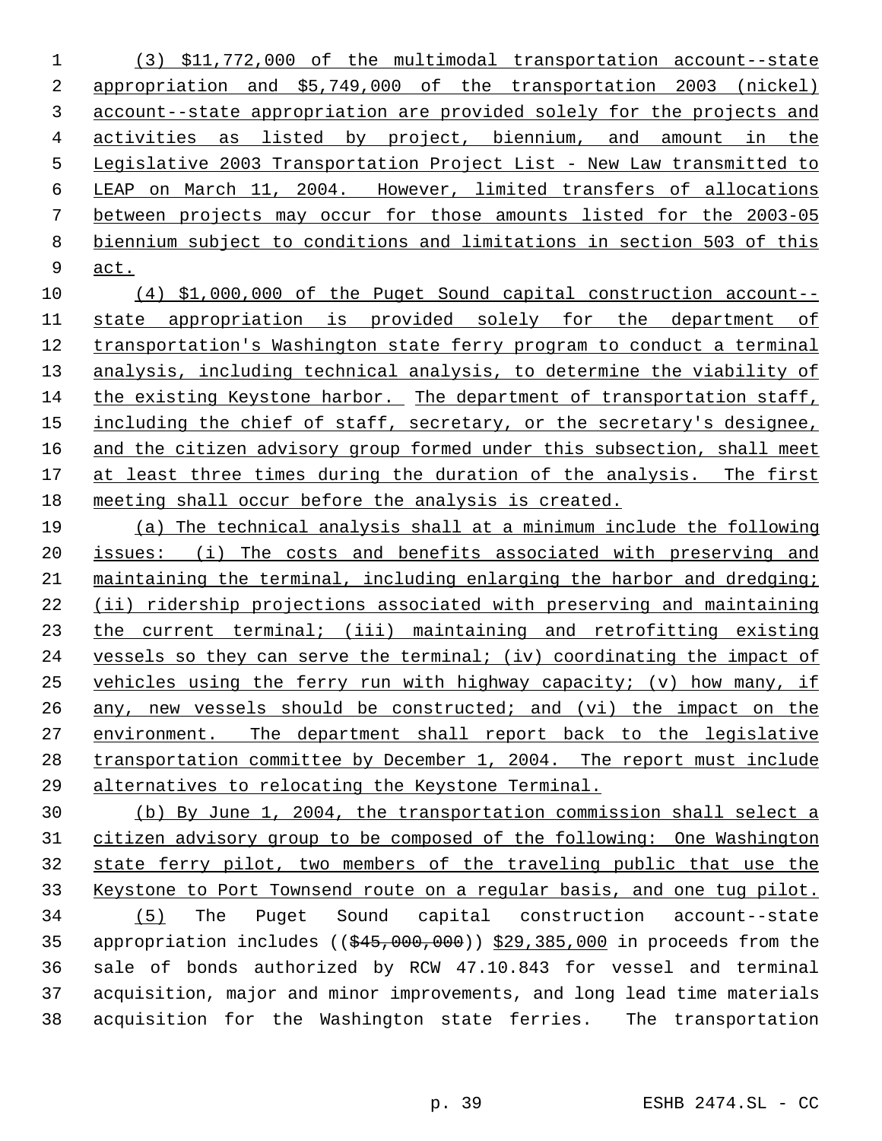(3) \$11,772,000 of the multimodal transportation account--state appropriation and \$5,749,000 of the transportation 2003 (nickel) account--state appropriation are provided solely for the projects and activities as listed by project, biennium, and amount in the Legislative 2003 Transportation Project List - New Law transmitted to LEAP on March 11, 2004. However, limited transfers of allocations between projects may occur for those amounts listed for the 2003-05 biennium subject to conditions and limitations in section 503 of this act.

 (4) \$1,000,000 of the Puget Sound capital construction account-- state appropriation is provided solely for the department of transportation's Washington state ferry program to conduct a terminal analysis, including technical analysis, to determine the viability of the existing Keystone harbor. The department of transportation staff, including the chief of staff, secretary, or the secretary's designee, 16 and the citizen advisory group formed under this subsection, shall meet 17 at least three times during the duration of the analysis. The first meeting shall occur before the analysis is created.

 (a) The technical analysis shall at a minimum include the following issues: (i) The costs and benefits associated with preserving and maintaining the terminal, including enlarging the harbor and dredging; (ii) ridership projections associated with preserving and maintaining the current terminal; (iii) maintaining and retrofitting existing vessels so they can serve the terminal; (iv) coordinating the impact of vehicles using the ferry run with highway capacity; (v) how many, if any, new vessels should be constructed; and (vi) the impact on the environment. The department shall report back to the legislative transportation committee by December 1, 2004. The report must include alternatives to relocating the Keystone Terminal.

 (b) By June 1, 2004, the transportation commission shall select a citizen advisory group to be composed of the following: One Washington state ferry pilot, two members of the traveling public that use the Keystone to Port Townsend route on a regular basis, and one tug pilot. (5) The Puget Sound capital construction account--state 35 appropriation includes ((\$45,000,000)) \$29,385,000 in proceeds from the sale of bonds authorized by RCW 47.10.843 for vessel and terminal acquisition, major and minor improvements, and long lead time materials acquisition for the Washington state ferries. The transportation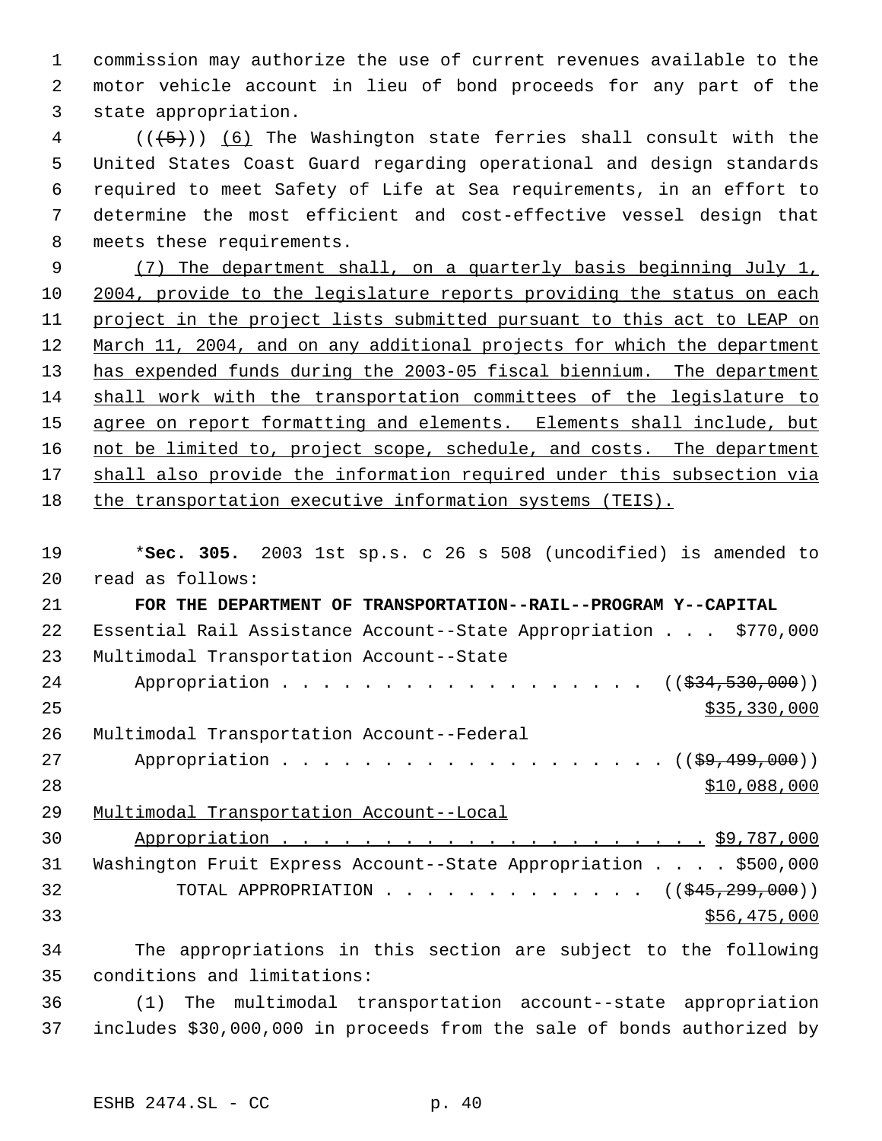commission may authorize the use of current revenues available to the motor vehicle account in lieu of bond proceeds for any part of the state appropriation.

 (( $\overline{(+5)}$ )) (6) The Washington state ferries shall consult with the United States Coast Guard regarding operational and design standards required to meet Safety of Life at Sea requirements, in an effort to determine the most efficient and cost-effective vessel design that meets these requirements.

 (7) The department shall, on a quarterly basis beginning July 1, 2004, provide to the legislature reports providing the status on each project in the project lists submitted pursuant to this act to LEAP on March 11, 2004, and on any additional projects for which the department 13 has expended funds during the 2003-05 fiscal biennium. The department shall work with the transportation committees of the legislature to 15 agree on report formatting and elements. Elements shall include, but 16 not be limited to, project scope, schedule, and costs. The department 17 shall also provide the information required under this subsection via the transportation executive information systems (TEIS).

 \***Sec. 305.** 2003 1st sp.s. c 26 s 508 (uncodified) is amended to read as follows: **FOR THE DEPARTMENT OF TRANSPORTATION--RAIL--PROGRAM Y--CAPITAL** Essential Rail Assistance Account--State Appropriation . . . \$770,000 Multimodal Transportation Account--State 24 Appropriation . . . . . . . . . . . . . . . . ((\$34,530,000)) \$35,330,000 Multimodal Transportation Account--Federal 27 Appropriation . . . . . . . . . . . . . . . . . ( (\$9,499,000)) \$10,088,000 Multimodal Transportation Account--Local Appropriation . . . . . . . . . . . . . . . . . . . . . \$9,787,000 Washington Fruit Express Account--State Appropriation . . . . \$500,000 32 TOTAL APPROPRIATION . . . . . . . . . . . . ((\$45,299,000)) \$56,475,000 The appropriations in this section are subject to the following conditions and limitations: (1) The multimodal transportation account--state appropriation includes \$30,000,000 in proceeds from the sale of bonds authorized by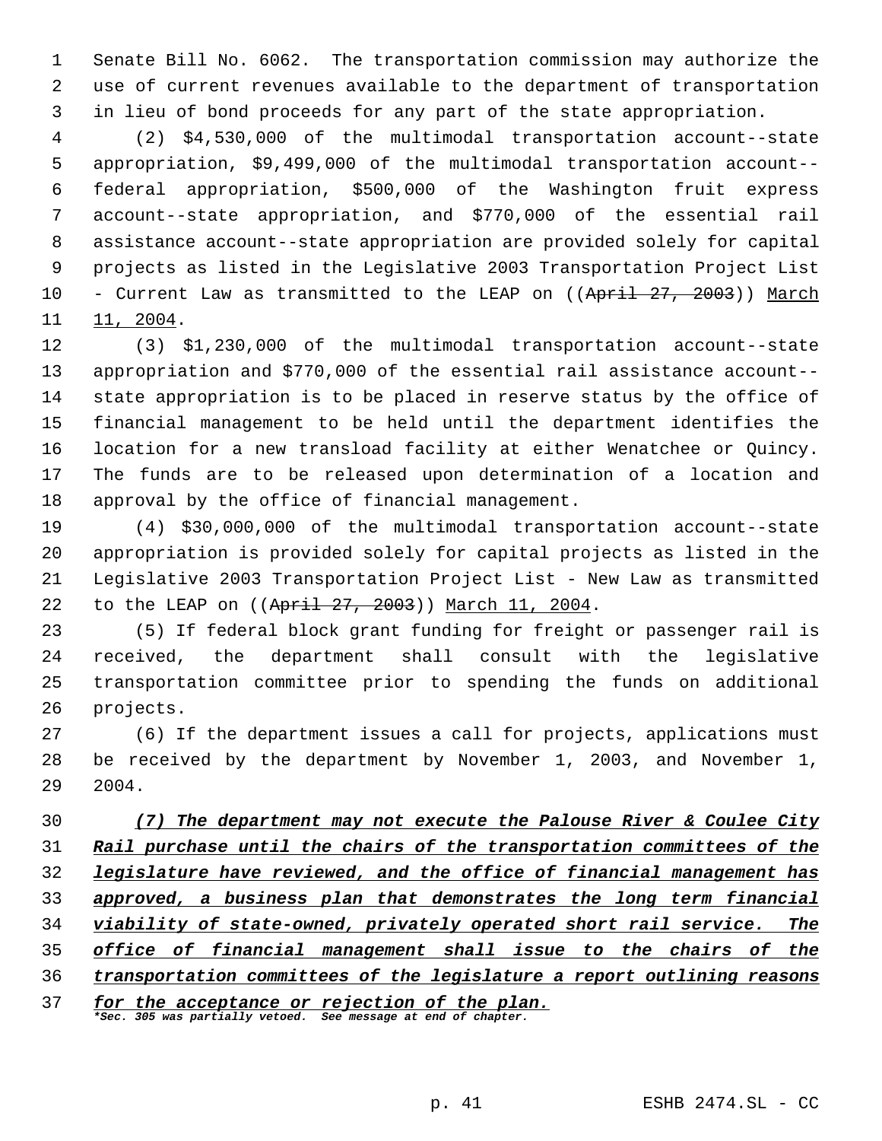Senate Bill No. 6062. The transportation commission may authorize the use of current revenues available to the department of transportation in lieu of bond proceeds for any part of the state appropriation.

 (2) \$4,530,000 of the multimodal transportation account--state appropriation, \$9,499,000 of the multimodal transportation account-- federal appropriation, \$500,000 of the Washington fruit express account--state appropriation, and \$770,000 of the essential rail assistance account--state appropriation are provided solely for capital projects as listed in the Legislative 2003 Transportation Project List 10 - Current Law as transmitted to the LEAP on ((April 27, 2003)) March 11, 2004.

 (3) \$1,230,000 of the multimodal transportation account--state appropriation and \$770,000 of the essential rail assistance account-- state appropriation is to be placed in reserve status by the office of financial management to be held until the department identifies the location for a new transload facility at either Wenatchee or Quincy. The funds are to be released upon determination of a location and approval by the office of financial management.

 (4) \$30,000,000 of the multimodal transportation account--state appropriation is provided solely for capital projects as listed in the Legislative 2003 Transportation Project List - New Law as transmitted 22 to the LEAP on ((April 27, 2003)) March 11, 2004.

 (5) If federal block grant funding for freight or passenger rail is received, the department shall consult with the legislative transportation committee prior to spending the funds on additional projects.

 (6) If the department issues a call for projects, applications must be received by the department by November 1, 2003, and November 1, 2004.

 *(7) The department may not execute the Palouse River & Coulee City Rail purchase until the chairs of the transportation committees of the legislature have reviewed, and the office of financial management has approved, a business plan that demonstrates the long term financial viability of state-owned, privately operated short rail service. The office of financial management shall issue to the chairs of the transportation committees of the legislature a report outlining reasons*

 *for the acceptance or rejection of the plan. \*Sec. 305 was partially vetoed. See message at end of chapter.*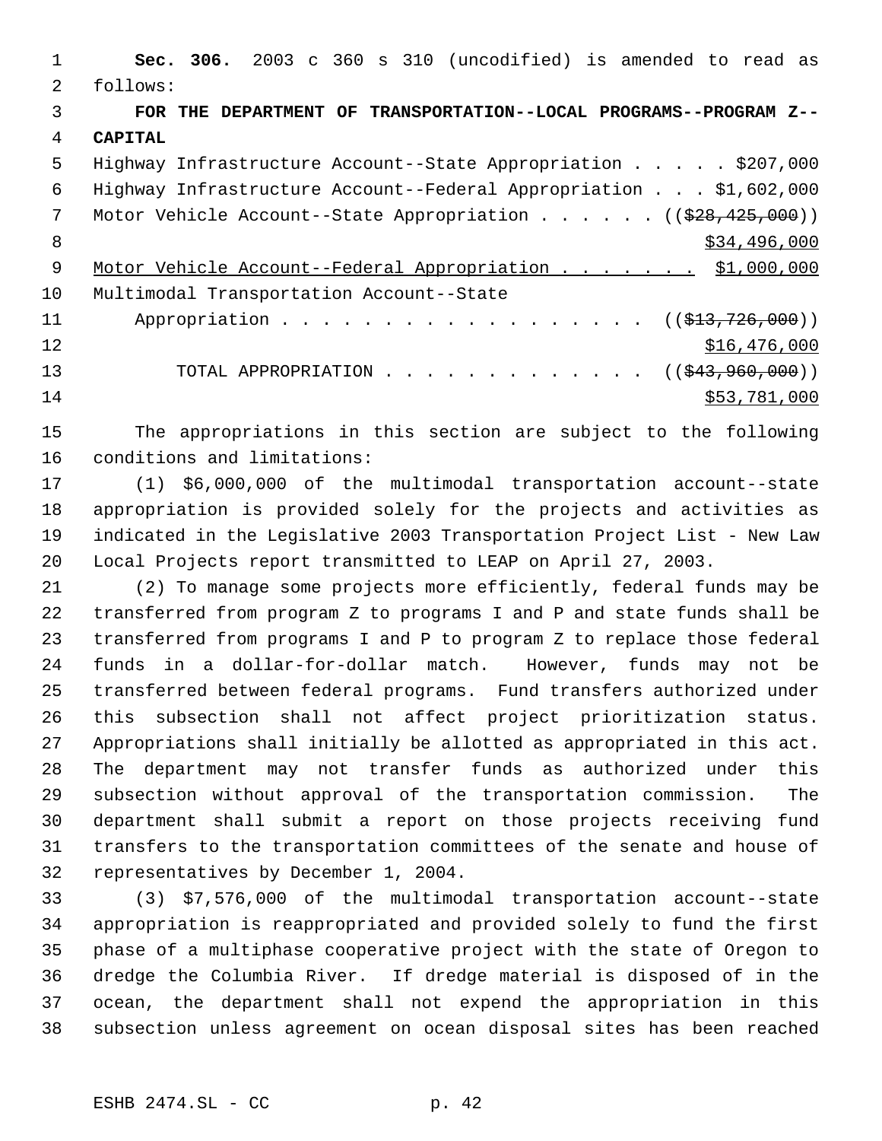**Sec. 306.** 2003 c 360 s 310 (uncodified) is amended to read as follows: **FOR THE DEPARTMENT OF TRANSPORTATION--LOCAL PROGRAMS--PROGRAM Z-- CAPITAL** Highway Infrastructure Account--State Appropriation . . . . . \$207,000 Highway Infrastructure Account--Federal Appropriation . . . \$1,602,000 7 Motor Vehicle Account--State Appropriation . . . . . ((\$28,425,000)) 8 \$34,496,000 \$34,496,000 9 Motor Vehicle Account--Federal Appropriation . . . . . . \$1,000,000 Multimodal Transportation Account--State 11 Appropriation . . . . . . . . . . . . . . . . ((\$13,726,000))  $12 \frac{\text{ }16,476,000}{\text{}}$ 13 TOTAL APPROPRIATION . . . . . . . . . . . . . ((\$43,960,000)) \$53,781,000

 The appropriations in this section are subject to the following conditions and limitations:

 (1) \$6,000,000 of the multimodal transportation account--state appropriation is provided solely for the projects and activities as indicated in the Legislative 2003 Transportation Project List - New Law Local Projects report transmitted to LEAP on April 27, 2003.

 (2) To manage some projects more efficiently, federal funds may be transferred from program Z to programs I and P and state funds shall be transferred from programs I and P to program Z to replace those federal funds in a dollar-for-dollar match. However, funds may not be transferred between federal programs. Fund transfers authorized under this subsection shall not affect project prioritization status. Appropriations shall initially be allotted as appropriated in this act. The department may not transfer funds as authorized under this subsection without approval of the transportation commission. The department shall submit a report on those projects receiving fund transfers to the transportation committees of the senate and house of representatives by December 1, 2004.

 (3) \$7,576,000 of the multimodal transportation account--state appropriation is reappropriated and provided solely to fund the first phase of a multiphase cooperative project with the state of Oregon to dredge the Columbia River. If dredge material is disposed of in the ocean, the department shall not expend the appropriation in this subsection unless agreement on ocean disposal sites has been reached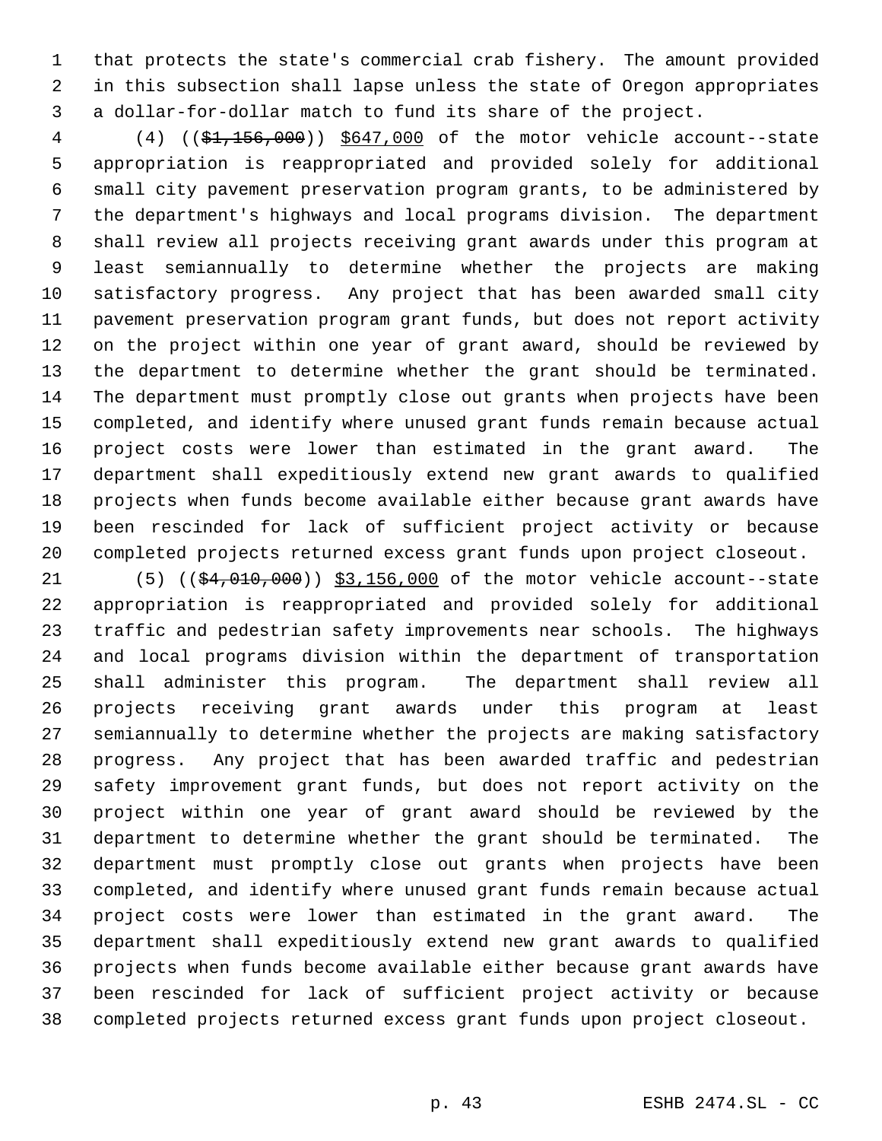that protects the state's commercial crab fishery. The amount provided in this subsection shall lapse unless the state of Oregon appropriates a dollar-for-dollar match to fund its share of the project.

4 (4) (( $\frac{1}{2}$ , 156,000)) \$647,000 of the motor vehicle account--state appropriation is reappropriated and provided solely for additional small city pavement preservation program grants, to be administered by the department's highways and local programs division. The department shall review all projects receiving grant awards under this program at least semiannually to determine whether the projects are making satisfactory progress. Any project that has been awarded small city pavement preservation program grant funds, but does not report activity on the project within one year of grant award, should be reviewed by the department to determine whether the grant should be terminated. The department must promptly close out grants when projects have been completed, and identify where unused grant funds remain because actual project costs were lower than estimated in the grant award. The department shall expeditiously extend new grant awards to qualified projects when funds become available either because grant awards have been rescinded for lack of sufficient project activity or because completed projects returned excess grant funds upon project closeout.

21 (5) ((\$4,010,000)) \$3,156,000 of the motor vehicle account--state appropriation is reappropriated and provided solely for additional traffic and pedestrian safety improvements near schools. The highways and local programs division within the department of transportation shall administer this program. The department shall review all projects receiving grant awards under this program at least semiannually to determine whether the projects are making satisfactory progress. Any project that has been awarded traffic and pedestrian safety improvement grant funds, but does not report activity on the project within one year of grant award should be reviewed by the department to determine whether the grant should be terminated. The department must promptly close out grants when projects have been completed, and identify where unused grant funds remain because actual project costs were lower than estimated in the grant award. The department shall expeditiously extend new grant awards to qualified projects when funds become available either because grant awards have been rescinded for lack of sufficient project activity or because completed projects returned excess grant funds upon project closeout.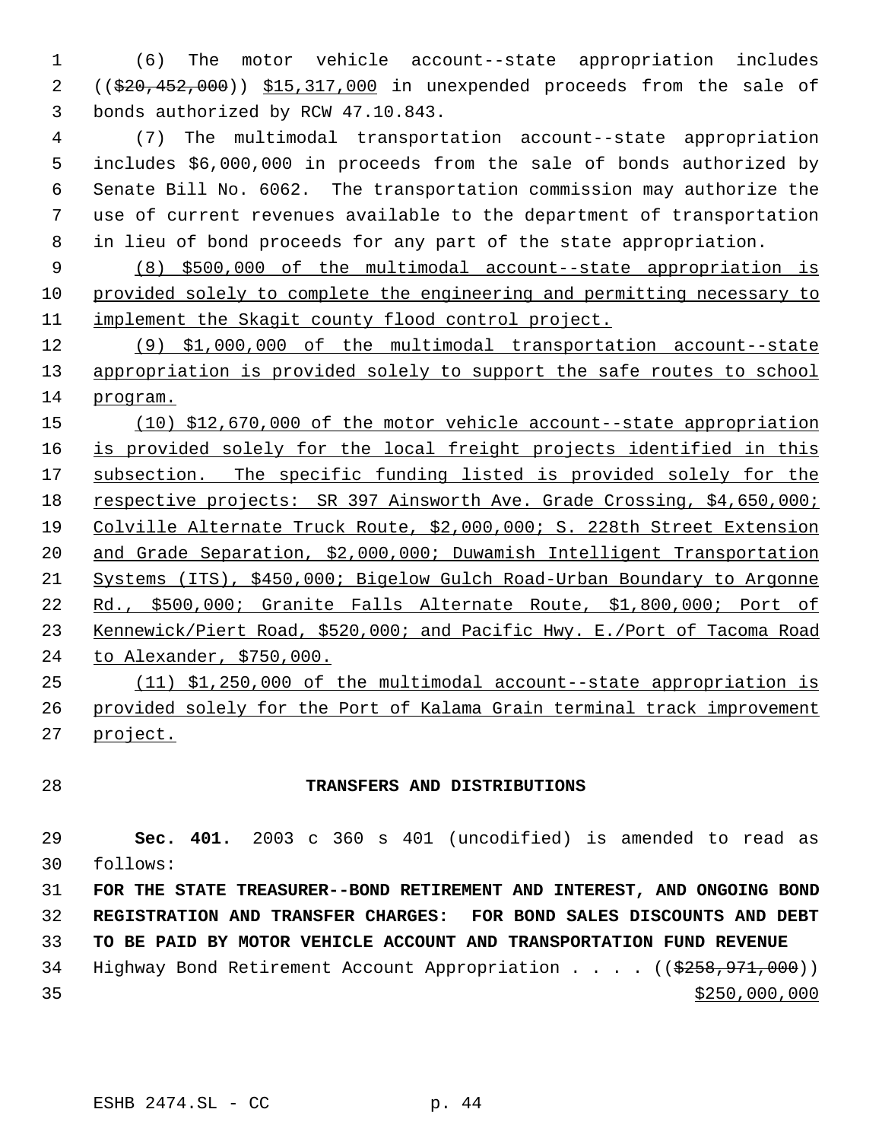(6) The motor vehicle account--state appropriation includes 2 ((\$20,452,000)) \$15,317,000 in unexpended proceeds from the sale of bonds authorized by RCW 47.10.843.

 (7) The multimodal transportation account--state appropriation includes \$6,000,000 in proceeds from the sale of bonds authorized by Senate Bill No. 6062. The transportation commission may authorize the use of current revenues available to the department of transportation in lieu of bond proceeds for any part of the state appropriation.

 (8) \$500,000 of the multimodal account--state appropriation is provided solely to complete the engineering and permitting necessary to implement the Skagit county flood control project.

 (9) \$1,000,000 of the multimodal transportation account--state 13 appropriation is provided solely to support the safe routes to school program.

 (10) \$12,670,000 of the motor vehicle account--state appropriation is provided solely for the local freight projects identified in this 17 subsection. The specific funding listed is provided solely for the respective projects: SR 397 Ainsworth Ave. Grade Crossing, \$4,650,000; Colville Alternate Truck Route, \$2,000,000; S. 228th Street Extension and Grade Separation, \$2,000,000; Duwamish Intelligent Transportation Systems (ITS), \$450,000; Bigelow Gulch Road-Urban Boundary to Argonne Rd., \$500,000; Granite Falls Alternate Route, \$1,800,000; Port of Kennewick/Piert Road, \$520,000; and Pacific Hwy. E./Port of Tacoma Road to Alexander, \$750,000.

 (11) \$1,250,000 of the multimodal account--state appropriation is provided solely for the Port of Kalama Grain terminal track improvement project.

## **TRANSFERS AND DISTRIBUTIONS**

 **Sec. 401.** 2003 c 360 s 401 (uncodified) is amended to read as follows:

 **FOR THE STATE TREASURER--BOND RETIREMENT AND INTEREST, AND ONGOING BOND REGISTRATION AND TRANSFER CHARGES: FOR BOND SALES DISCOUNTS AND DEBT TO BE PAID BY MOTOR VEHICLE ACCOUNT AND TRANSPORTATION FUND REVENUE** 34 Highway Bond Retirement Account Appropriation . . . . ((\$258,971,000))

 $$250,000,000$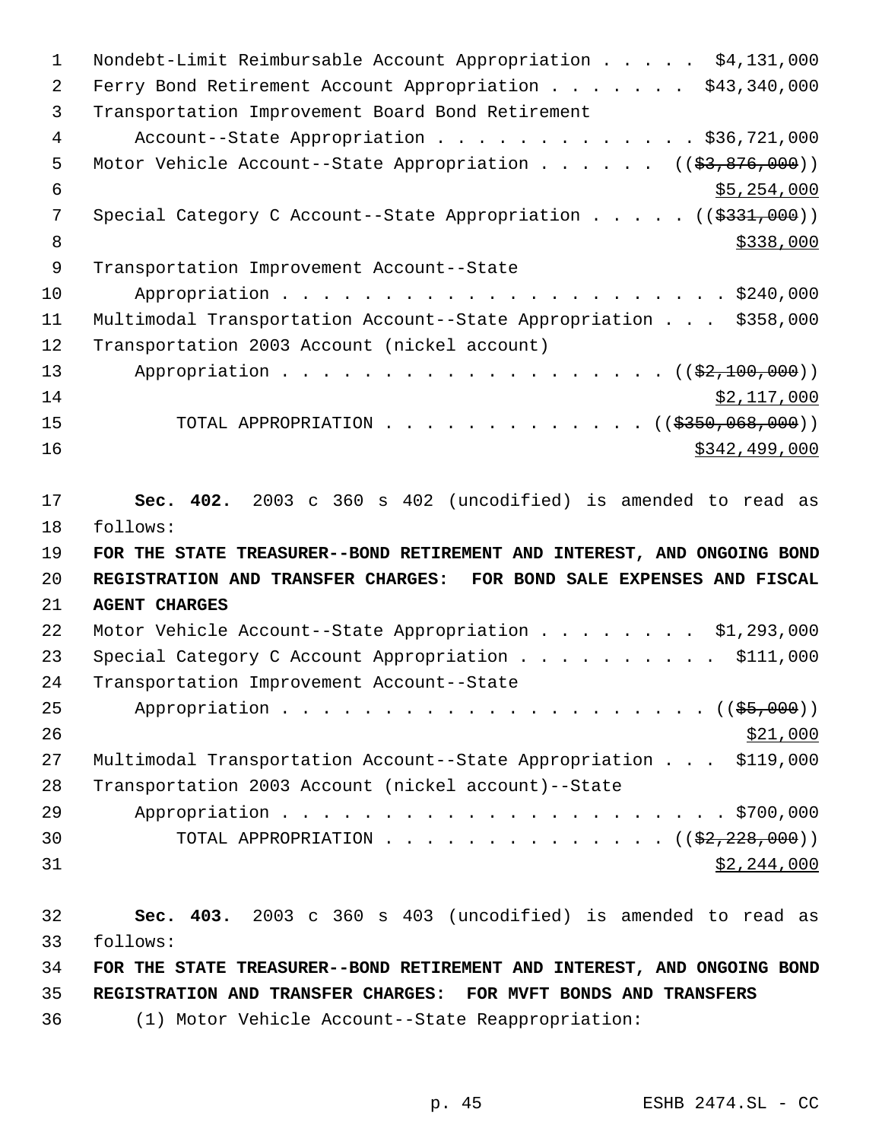1 Nondebt-Limit Reimbursable Account Appropriation . . . . . \$4,131,000 2 Ferry Bond Retirement Account Appropriation . . . . . . \$43,340,000 Transportation Improvement Board Bond Retirement Account--State Appropriation . . . . . . . . . . . . . \$36,721,000 5 Motor Vehicle Account--State Appropriation . . . . . ((\$3,876,000))  $\frac{$5,254,000}{5}$ 7 Special Category C Account--State Appropriation . . . . . ((\$331,000))  $\frac{$338,000}{ }$  Transportation Improvement Account--State Appropriation . . . . . . . . . . . . . . . . . . . . . . \$240,000 Multimodal Transportation Account--State Appropriation . . . \$358,000 Transportation 2003 Account (nickel account) 13 Appropriation . . . . . . . . . . . . . . . . . ((\$2,100,000)) \$2,117,000 15 TOTAL APPROPRIATION . . . . . . . . . . . . ((\$350,068,000)) \$342,499,000 **Sec. 402.** 2003 c 360 s 402 (uncodified) is amended to read as follows: **FOR THE STATE TREASURER--BOND RETIREMENT AND INTEREST, AND ONGOING BOND REGISTRATION AND TRANSFER CHARGES: FOR BOND SALE EXPENSES AND FISCAL AGENT CHARGES** 22 Motor Vehicle Account--State Appropriation . . . . . . . . \$1,293,000 23 Special Category C Account Appropriation . . . . . . . . . \$111,000 Transportation Improvement Account--State Appropriation . . . . . . . . . . . . . . . . . . . . . ((\$5,000)) Multimodal Transportation Account--State Appropriation . . . \$119,000 Transportation 2003 Account (nickel account)--State Appropriation . . . . . . . . . . . . . . . . . . . . . . \$700,000 30 TOTAL APPROPRIATION  $\ldots$ , . . . . . . . . . . . ( $(\frac{22}{2228},000)$ ) \$2,244,000 **Sec. 403.** 2003 c 360 s 403 (uncodified) is amended to read as follows: **FOR THE STATE TREASURER--BOND RETIREMENT AND INTEREST, AND ONGOING BOND REGISTRATION AND TRANSFER CHARGES: FOR MVFT BONDS AND TRANSFERS**

(1) Motor Vehicle Account--State Reappropriation: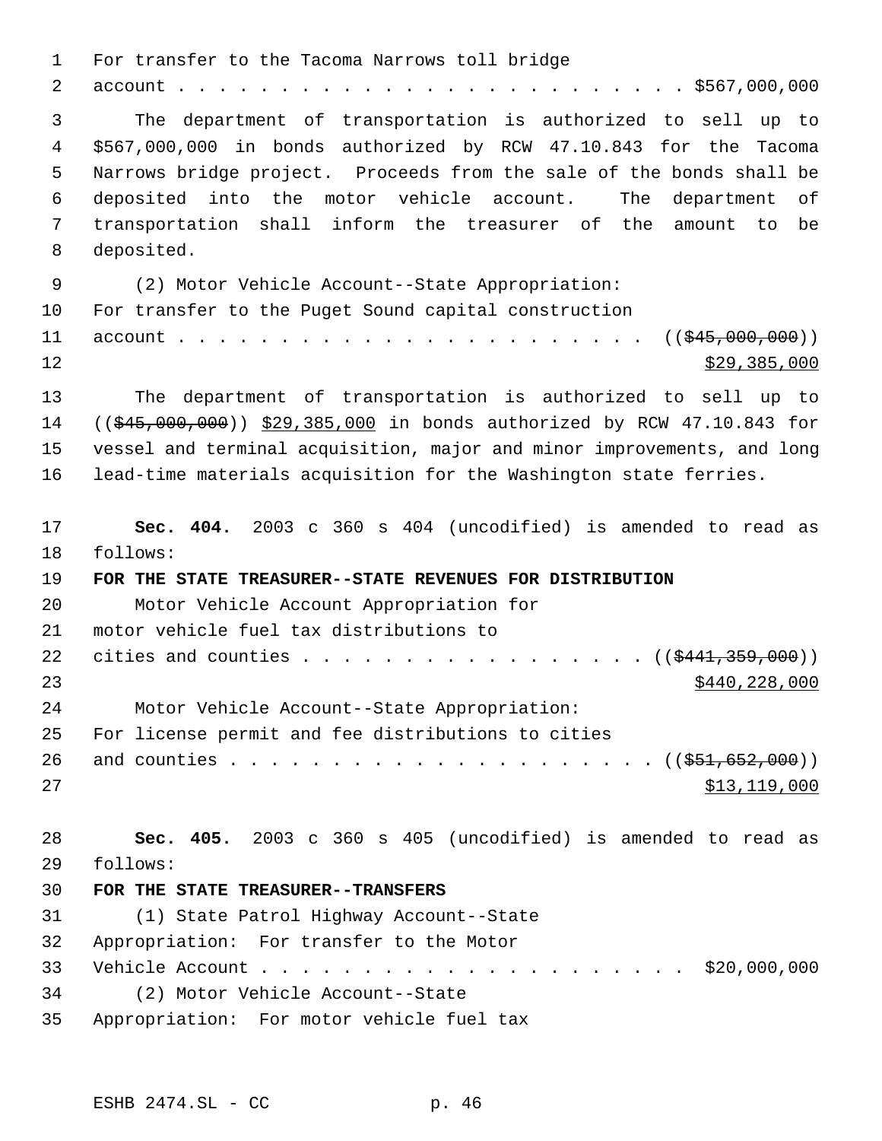For transfer to the Tacoma Narrows toll bridge account . . . . . . . . . . . . . . . . . . . . . . . . . \$567,000,000 The department of transportation is authorized to sell up to \$567,000,000 in bonds authorized by RCW 47.10.843 for the Tacoma Narrows bridge project. Proceeds from the sale of the bonds shall be deposited into the motor vehicle account. The department of transportation shall inform the treasurer of the amount to be deposited. (2) Motor Vehicle Account--State Appropriation: For transfer to the Puget Sound capital construction account . . . . . . . . . . . . . . . . . . . . . . . ((\$45,000,000))  $\frac{$29,385,000}{20}$  The department of transportation is authorized to sell up to 14 ((\$45,000,000)) \$29,385,000 in bonds authorized by RCW 47.10.843 for vessel and terminal acquisition, major and minor improvements, and long lead-time materials acquisition for the Washington state ferries. **Sec. 404.** 2003 c 360 s 404 (uncodified) is amended to read as follows: **FOR THE STATE TREASURER--STATE REVENUES FOR DISTRIBUTION** Motor Vehicle Account Appropriation for motor vehicle fuel tax distributions to 22 cities and counties . . . . . . . . . . . . . . . . ( $(\frac{2441}{7359},000)$ ) \$440,228,000 Motor Vehicle Account--State Appropriation: For license permit and fee distributions to cities and counties . . . . . . . . . . . . . . . . . . . . . ((\$51,652,000)) 27 \$13,119,000 **Sec. 405.** 2003 c 360 s 405 (uncodified) is amended to read as follows: **FOR THE STATE TREASURER--TRANSFERS** (1) State Patrol Highway Account--State Appropriation: For transfer to the Motor Vehicle Account . . . . . . . . . . . . . . . . . . . . . \$20,000,000 (2) Motor Vehicle Account--State Appropriation: For motor vehicle fuel tax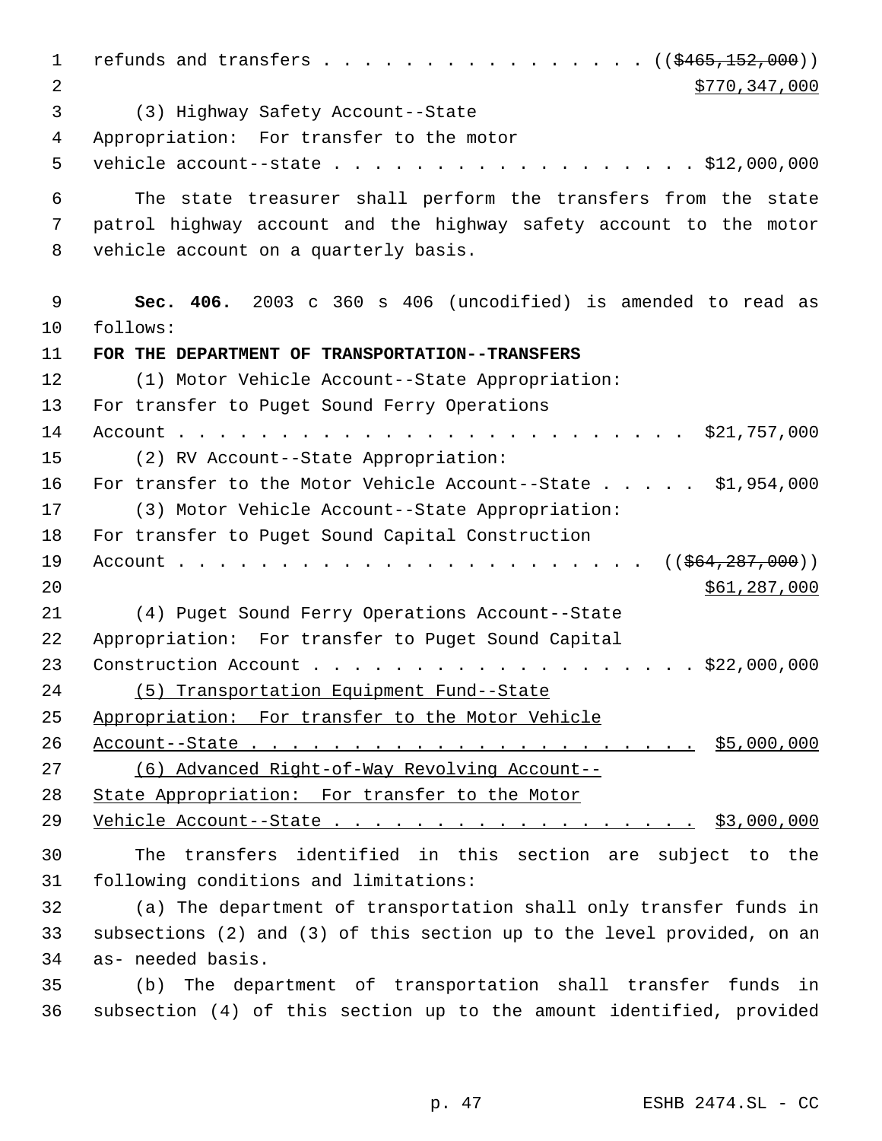1 refunds and transfers . . . . . . . . . . . . . . .  $($   $($   $\frac{2465}{152}$ , 000)) \$770,347,000 (3) Highway Safety Account--State Appropriation: For transfer to the motor vehicle account--state . . . . . . . . . . . . . . . . . . \$12,000,000 The state treasurer shall perform the transfers from the state patrol highway account and the highway safety account to the motor vehicle account on a quarterly basis. **Sec. 406.** 2003 c 360 s 406 (uncodified) is amended to read as follows: **FOR THE DEPARTMENT OF TRANSPORTATION--TRANSFERS** (1) Motor Vehicle Account--State Appropriation: For transfer to Puget Sound Ferry Operations Account . . . . . . . . . . . . . . . . . . . . . . . . . \$21,757,000 (2) RV Account--State Appropriation: For transfer to the Motor Vehicle Account--State . . . . . \$1,954,000 (3) Motor Vehicle Account--State Appropriation: For transfer to Puget Sound Capital Construction Account . . . . . . . . . . . . . . . . . . . . . . . ((\$64,287,000)) \$61,287,000 (4) Puget Sound Ferry Operations Account--State Appropriation: For transfer to Puget Sound Capital Construction Account . . . . . . . . . . . . . . . . . . . \$22,000,000 (5) Transportation Equipment Fund--State Appropriation: For transfer to the Motor Vehicle Account--State . . . . . . . . . . . . . . . . . . . . . . \$5,000,000 (6) Advanced Right-of-Way Revolving Account-- State Appropriation: For transfer to the Motor Vehicle Account--State . . . . . . . . . . . . . . . . . . \$3,000,000 The transfers identified in this section are subject to the following conditions and limitations: (a) The department of transportation shall only transfer funds in subsections (2) and (3) of this section up to the level provided, on an as- needed basis. (b) The department of transportation shall transfer funds in subsection (4) of this section up to the amount identified, provided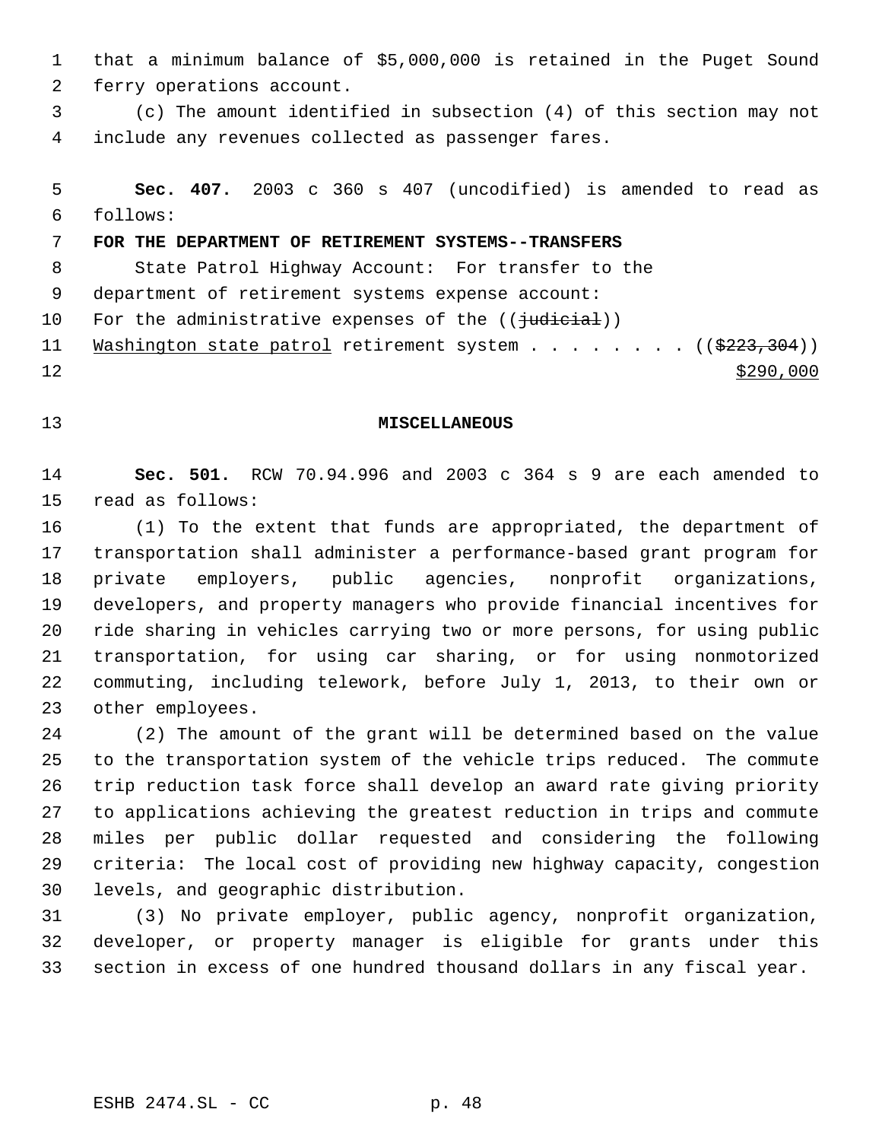that a minimum balance of \$5,000,000 is retained in the Puget Sound ferry operations account.

 (c) The amount identified in subsection (4) of this section may not include any revenues collected as passenger fares.

 **Sec. 407.** 2003 c 360 s 407 (uncodified) is amended to read as follows:

## **FOR THE DEPARTMENT OF RETIREMENT SYSTEMS--TRANSFERS**

State Patrol Highway Account: For transfer to the

department of retirement systems expense account:

10 For the administrative expenses of the (( $\frac{1}{100}$ ))

11 Washington state patrol retirement system . . . . . . . ((\$223,304))  $\frac{$290,000}{900}$ 

## **MISCELLANEOUS**

 **Sec. 501.** RCW 70.94.996 and 2003 c 364 s 9 are each amended to read as follows:

 (1) To the extent that funds are appropriated, the department of transportation shall administer a performance-based grant program for private employers, public agencies, nonprofit organizations, developers, and property managers who provide financial incentives for ride sharing in vehicles carrying two or more persons, for using public transportation, for using car sharing, or for using nonmotorized commuting, including telework, before July 1, 2013, to their own or other employees.

 (2) The amount of the grant will be determined based on the value to the transportation system of the vehicle trips reduced. The commute trip reduction task force shall develop an award rate giving priority to applications achieving the greatest reduction in trips and commute miles per public dollar requested and considering the following criteria: The local cost of providing new highway capacity, congestion levels, and geographic distribution.

 (3) No private employer, public agency, nonprofit organization, developer, or property manager is eligible for grants under this section in excess of one hundred thousand dollars in any fiscal year.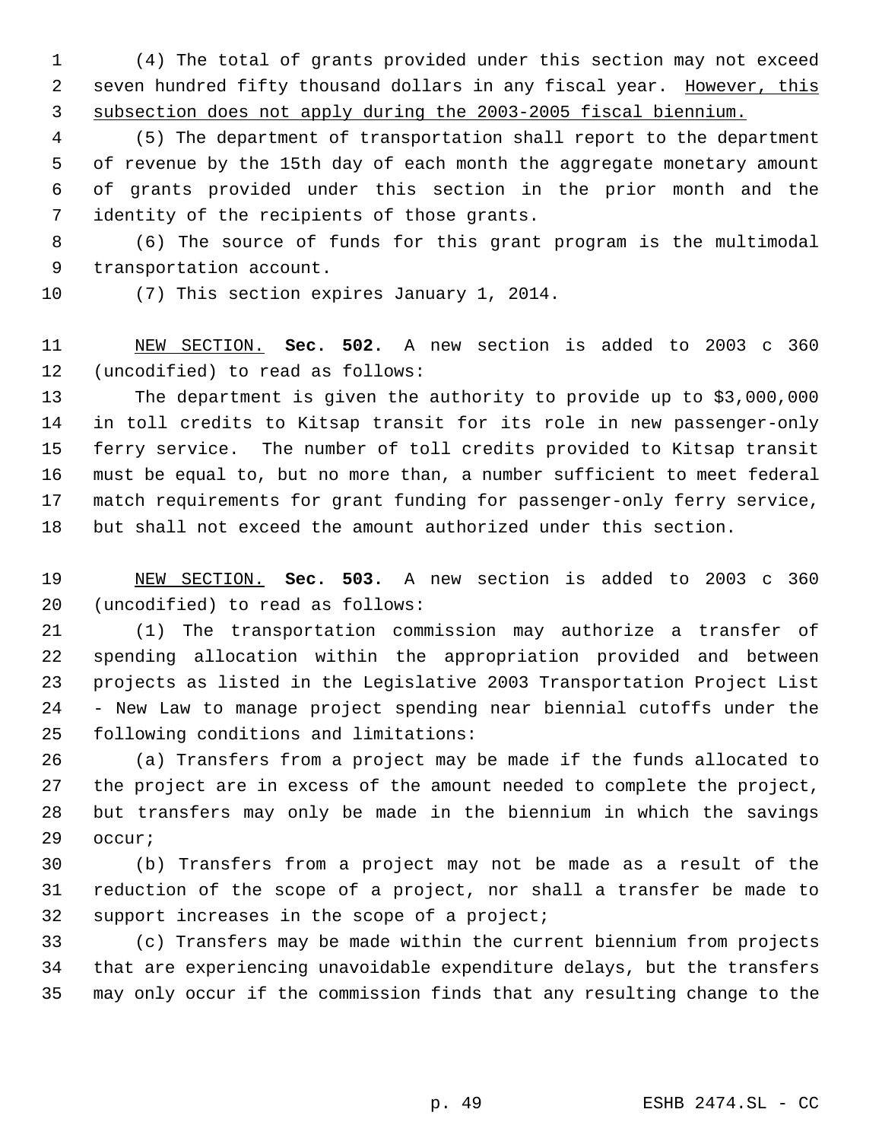(4) The total of grants provided under this section may not exceed 2 seven hundred fifty thousand dollars in any fiscal year. However, this subsection does not apply during the 2003-2005 fiscal biennium.

 (5) The department of transportation shall report to the department of revenue by the 15th day of each month the aggregate monetary amount of grants provided under this section in the prior month and the identity of the recipients of those grants.

 (6) The source of funds for this grant program is the multimodal transportation account.

(7) This section expires January 1, 2014.

 NEW SECTION. **Sec. 502.** A new section is added to 2003 c 360 (uncodified) to read as follows:

 The department is given the authority to provide up to \$3,000,000 in toll credits to Kitsap transit for its role in new passenger-only ferry service. The number of toll credits provided to Kitsap transit must be equal to, but no more than, a number sufficient to meet federal match requirements for grant funding for passenger-only ferry service, but shall not exceed the amount authorized under this section.

 NEW SECTION. **Sec. 503.** A new section is added to 2003 c 360 (uncodified) to read as follows:

 (1) The transportation commission may authorize a transfer of spending allocation within the appropriation provided and between projects as listed in the Legislative 2003 Transportation Project List - New Law to manage project spending near biennial cutoffs under the following conditions and limitations:

 (a) Transfers from a project may be made if the funds allocated to the project are in excess of the amount needed to complete the project, but transfers may only be made in the biennium in which the savings occur;

 (b) Transfers from a project may not be made as a result of the reduction of the scope of a project, nor shall a transfer be made to support increases in the scope of a project;

 (c) Transfers may be made within the current biennium from projects that are experiencing unavoidable expenditure delays, but the transfers may only occur if the commission finds that any resulting change to the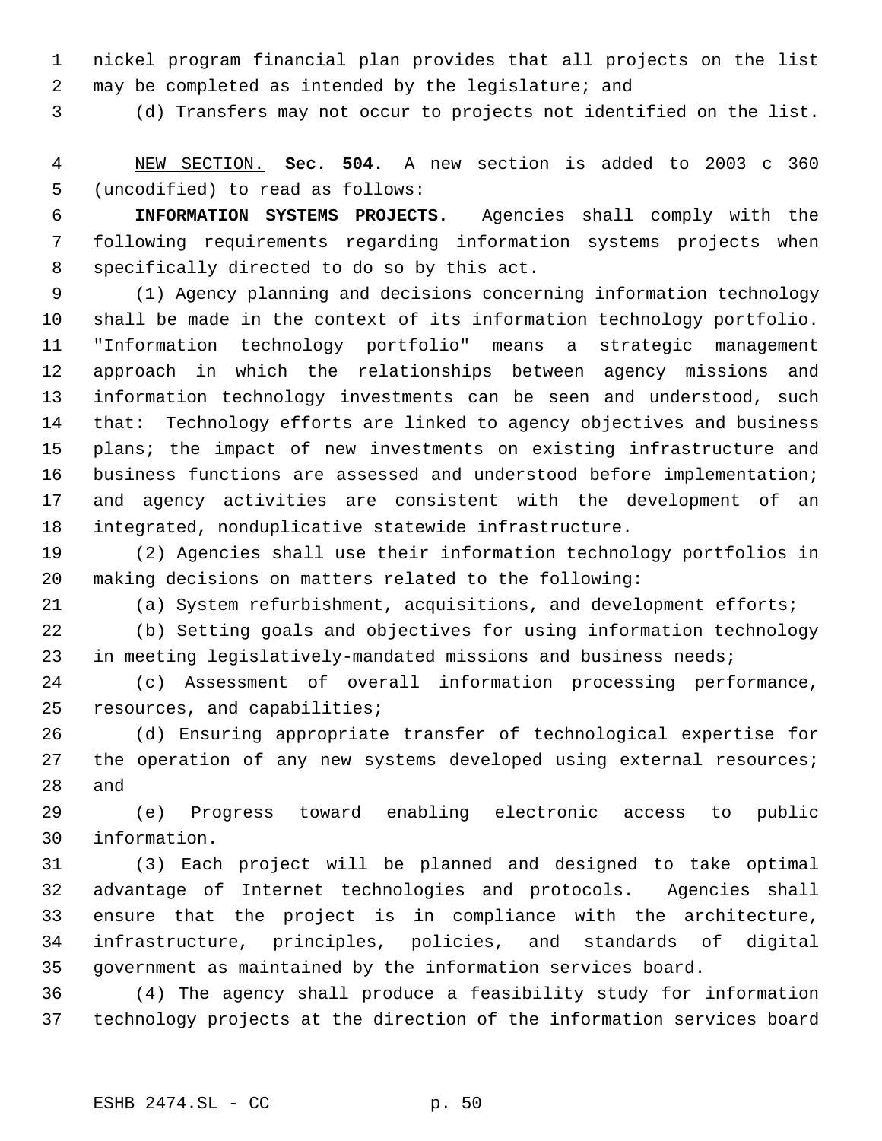nickel program financial plan provides that all projects on the list may be completed as intended by the legislature; and

(d) Transfers may not occur to projects not identified on the list.

 NEW SECTION. **Sec. 504.** A new section is added to 2003 c 360 (uncodified) to read as follows:

 **INFORMATION SYSTEMS PROJECTS.** Agencies shall comply with the following requirements regarding information systems projects when specifically directed to do so by this act.

 (1) Agency planning and decisions concerning information technology shall be made in the context of its information technology portfolio. "Information technology portfolio" means a strategic management approach in which the relationships between agency missions and information technology investments can be seen and understood, such that: Technology efforts are linked to agency objectives and business plans; the impact of new investments on existing infrastructure and business functions are assessed and understood before implementation; and agency activities are consistent with the development of an integrated, nonduplicative statewide infrastructure.

 (2) Agencies shall use their information technology portfolios in making decisions on matters related to the following:

(a) System refurbishment, acquisitions, and development efforts;

 (b) Setting goals and objectives for using information technology in meeting legislatively-mandated missions and business needs;

 (c) Assessment of overall information processing performance, resources, and capabilities;

 (d) Ensuring appropriate transfer of technological expertise for 27 the operation of any new systems developed using external resources; and

 (e) Progress toward enabling electronic access to public information.

 (3) Each project will be planned and designed to take optimal advantage of Internet technologies and protocols. Agencies shall ensure that the project is in compliance with the architecture, infrastructure, principles, policies, and standards of digital government as maintained by the information services board.

 (4) The agency shall produce a feasibility study for information technology projects at the direction of the information services board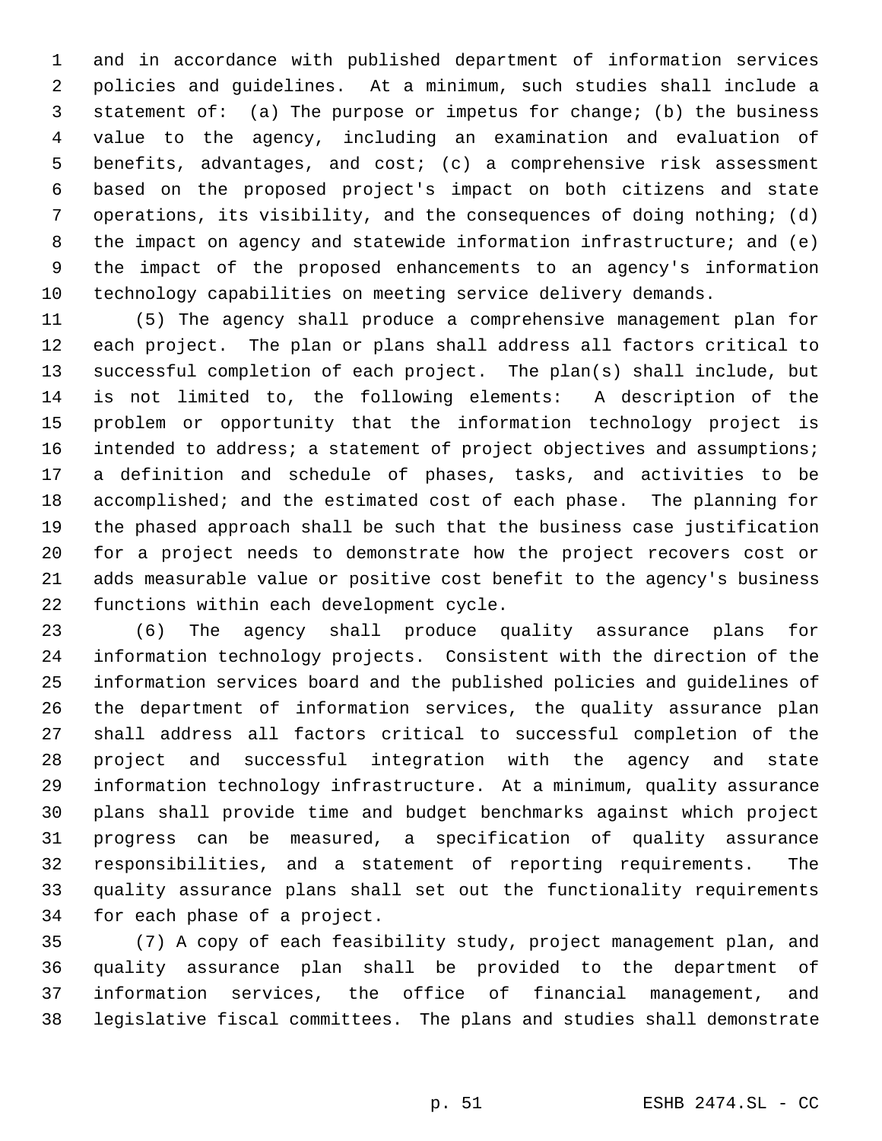and in accordance with published department of information services policies and guidelines. At a minimum, such studies shall include a statement of: (a) The purpose or impetus for change; (b) the business value to the agency, including an examination and evaluation of benefits, advantages, and cost; (c) a comprehensive risk assessment based on the proposed project's impact on both citizens and state operations, its visibility, and the consequences of doing nothing; (d) the impact on agency and statewide information infrastructure; and (e) the impact of the proposed enhancements to an agency's information technology capabilities on meeting service delivery demands.

 (5) The agency shall produce a comprehensive management plan for each project. The plan or plans shall address all factors critical to successful completion of each project. The plan(s) shall include, but is not limited to, the following elements: A description of the problem or opportunity that the information technology project is 16 intended to address; a statement of project objectives and assumptions; a definition and schedule of phases, tasks, and activities to be accomplished; and the estimated cost of each phase. The planning for the phased approach shall be such that the business case justification for a project needs to demonstrate how the project recovers cost or adds measurable value or positive cost benefit to the agency's business functions within each development cycle.

 (6) The agency shall produce quality assurance plans for information technology projects. Consistent with the direction of the information services board and the published policies and guidelines of the department of information services, the quality assurance plan shall address all factors critical to successful completion of the project and successful integration with the agency and state information technology infrastructure. At a minimum, quality assurance plans shall provide time and budget benchmarks against which project progress can be measured, a specification of quality assurance responsibilities, and a statement of reporting requirements. The quality assurance plans shall set out the functionality requirements for each phase of a project.

 (7) A copy of each feasibility study, project management plan, and quality assurance plan shall be provided to the department of information services, the office of financial management, and legislative fiscal committees. The plans and studies shall demonstrate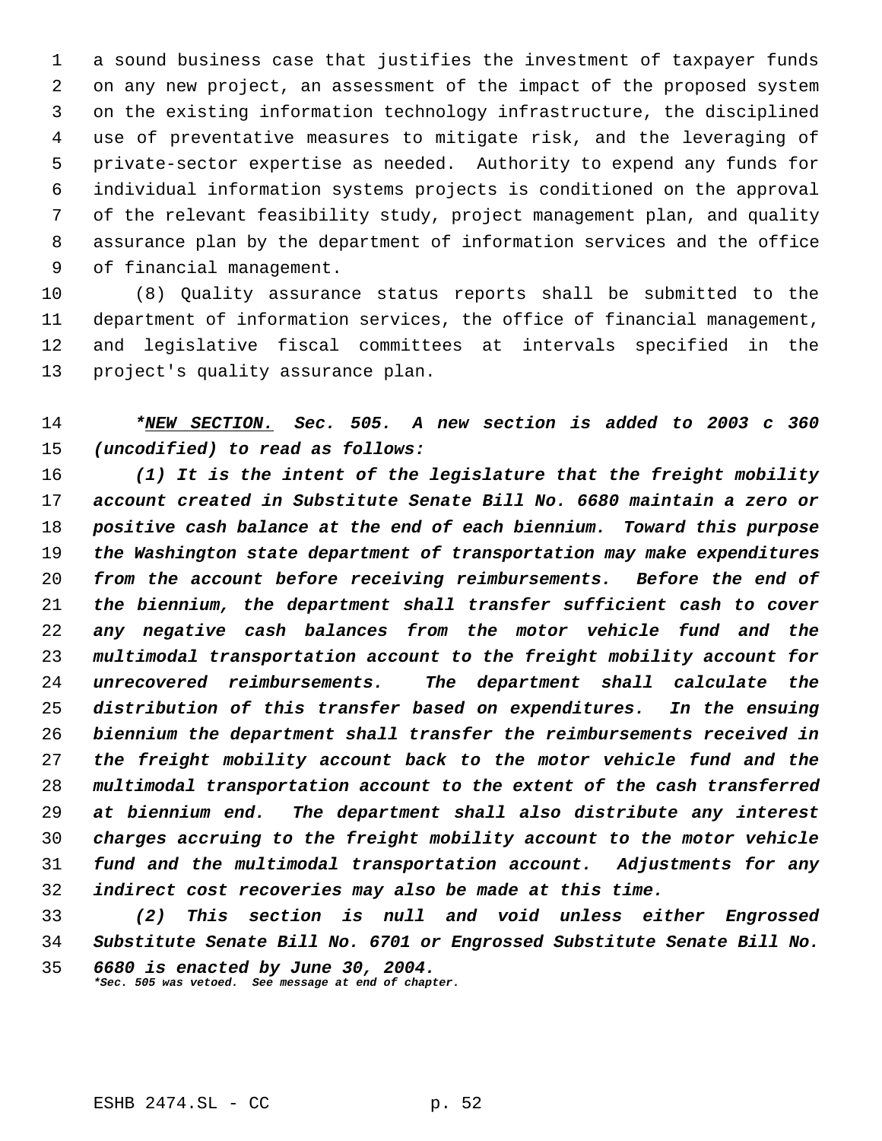a sound business case that justifies the investment of taxpayer funds on any new project, an assessment of the impact of the proposed system on the existing information technology infrastructure, the disciplined use of preventative measures to mitigate risk, and the leveraging of private-sector expertise as needed. Authority to expend any funds for individual information systems projects is conditioned on the approval of the relevant feasibility study, project management plan, and quality assurance plan by the department of information services and the office of financial management.

 (8) Quality assurance status reports shall be submitted to the department of information services, the office of financial management, and legislative fiscal committees at intervals specified in the project's quality assurance plan.

 *\*NEW SECTION. Sec. 505. A new section is added to 2003 c 360 (uncodified) to read as follows:*

 *(1) It is the intent of the legislature that the freight mobility account created in Substitute Senate Bill No. 6680 maintain a zero or positive cash balance at the end of each biennium. Toward this purpose the Washington state department of transportation may make expenditures from the account before receiving reimbursements. Before the end of the biennium, the department shall transfer sufficient cash to cover any negative cash balances from the motor vehicle fund and the multimodal transportation account to the freight mobility account for unrecovered reimbursements. The department shall calculate the distribution of this transfer based on expenditures. In the ensuing biennium the department shall transfer the reimbursements received in the freight mobility account back to the motor vehicle fund and the multimodal transportation account to the extent of the cash transferred at biennium end. The department shall also distribute any interest charges accruing to the freight mobility account to the motor vehicle fund and the multimodal transportation account. Adjustments for any indirect cost recoveries may also be made at this time.*

 *(2) This section is null and void unless either Engrossed Substitute Senate Bill No. 6701 or Engrossed Substitute Senate Bill No.*

 *6680 is enacted by June 30, 2004. \*Sec. 505 was vetoed. See message at end of chapter.*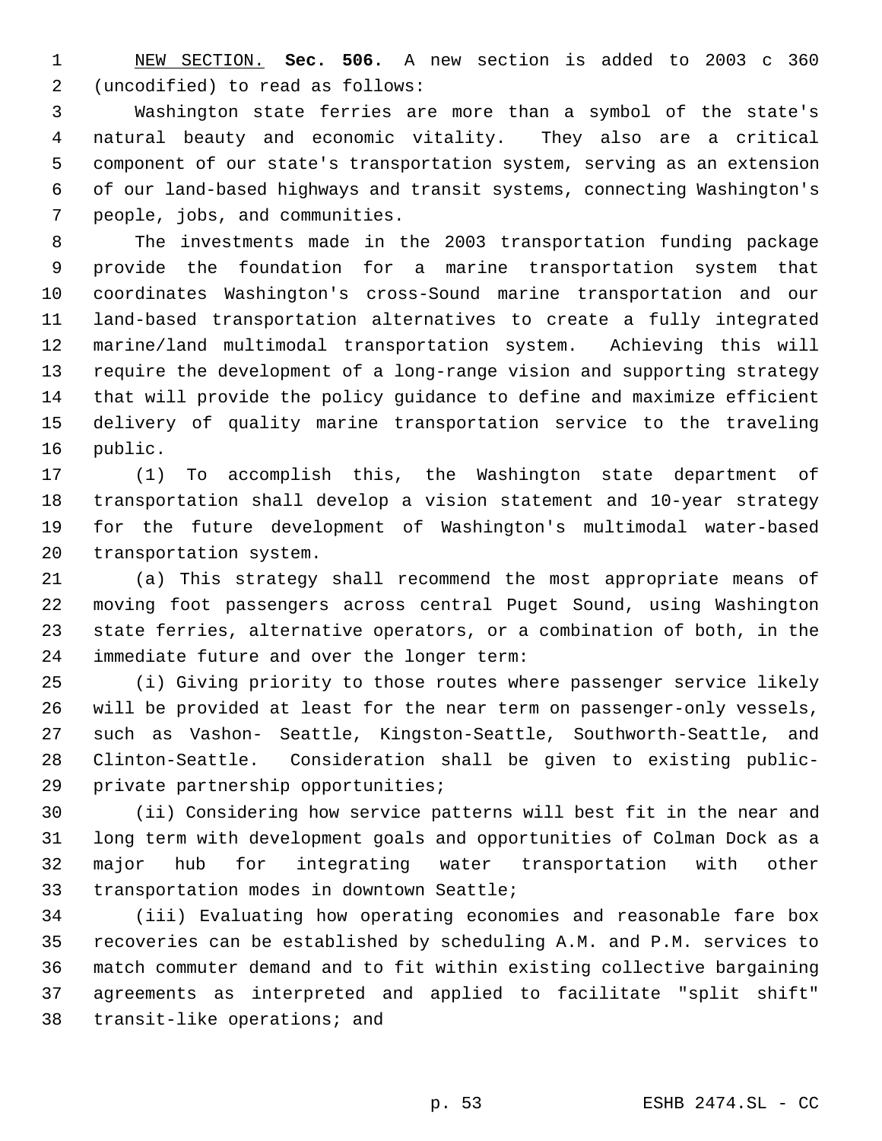NEW SECTION. **Sec. 506.** A new section is added to 2003 c 360 (uncodified) to read as follows:

 Washington state ferries are more than a symbol of the state's natural beauty and economic vitality. They also are a critical component of our state's transportation system, serving as an extension of our land-based highways and transit systems, connecting Washington's people, jobs, and communities.

 The investments made in the 2003 transportation funding package provide the foundation for a marine transportation system that coordinates Washington's cross-Sound marine transportation and our land-based transportation alternatives to create a fully integrated marine/land multimodal transportation system. Achieving this will require the development of a long-range vision and supporting strategy that will provide the policy guidance to define and maximize efficient delivery of quality marine transportation service to the traveling public.

 (1) To accomplish this, the Washington state department of transportation shall develop a vision statement and 10-year strategy for the future development of Washington's multimodal water-based transportation system.

 (a) This strategy shall recommend the most appropriate means of moving foot passengers across central Puget Sound, using Washington state ferries, alternative operators, or a combination of both, in the immediate future and over the longer term:

 (i) Giving priority to those routes where passenger service likely will be provided at least for the near term on passenger-only vessels, such as Vashon- Seattle, Kingston-Seattle, Southworth-Seattle, and Clinton-Seattle. Consideration shall be given to existing public-private partnership opportunities;

 (ii) Considering how service patterns will best fit in the near and long term with development goals and opportunities of Colman Dock as a major hub for integrating water transportation with other transportation modes in downtown Seattle;

 (iii) Evaluating how operating economies and reasonable fare box recoveries can be established by scheduling A.M. and P.M. services to match commuter demand and to fit within existing collective bargaining agreements as interpreted and applied to facilitate "split shift" transit-like operations; and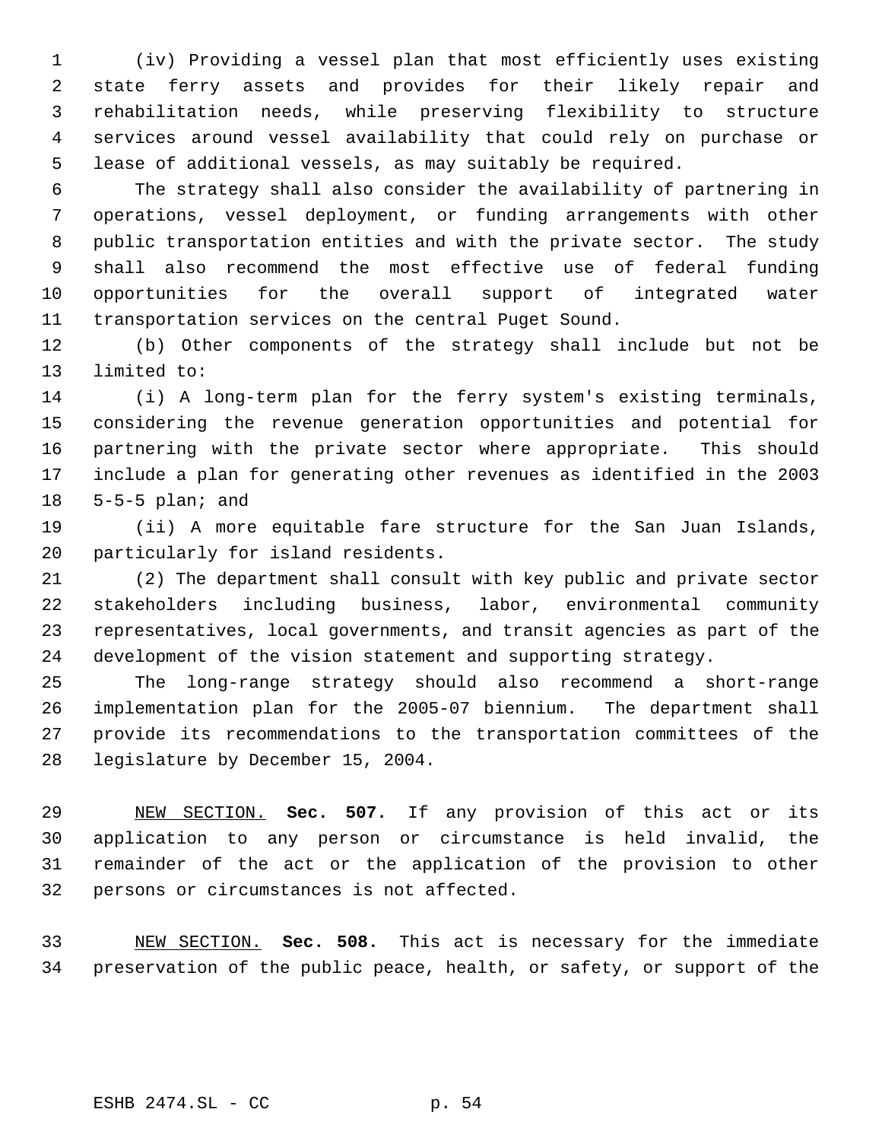(iv) Providing a vessel plan that most efficiently uses existing state ferry assets and provides for their likely repair and rehabilitation needs, while preserving flexibility to structure services around vessel availability that could rely on purchase or lease of additional vessels, as may suitably be required.

 The strategy shall also consider the availability of partnering in operations, vessel deployment, or funding arrangements with other public transportation entities and with the private sector. The study shall also recommend the most effective use of federal funding opportunities for the overall support of integrated water transportation services on the central Puget Sound.

 (b) Other components of the strategy shall include but not be limited to:

 (i) A long-term plan for the ferry system's existing terminals, considering the revenue generation opportunities and potential for partnering with the private sector where appropriate. This should include a plan for generating other revenues as identified in the 2003 5-5-5 plan; and

 (ii) A more equitable fare structure for the San Juan Islands, particularly for island residents.

 (2) The department shall consult with key public and private sector stakeholders including business, labor, environmental community representatives, local governments, and transit agencies as part of the development of the vision statement and supporting strategy.

 The long-range strategy should also recommend a short-range implementation plan for the 2005-07 biennium. The department shall provide its recommendations to the transportation committees of the legislature by December 15, 2004.

 NEW SECTION. **Sec. 507.** If any provision of this act or its application to any person or circumstance is held invalid, the remainder of the act or the application of the provision to other persons or circumstances is not affected.

 NEW SECTION. **Sec. 508.** This act is necessary for the immediate preservation of the public peace, health, or safety, or support of the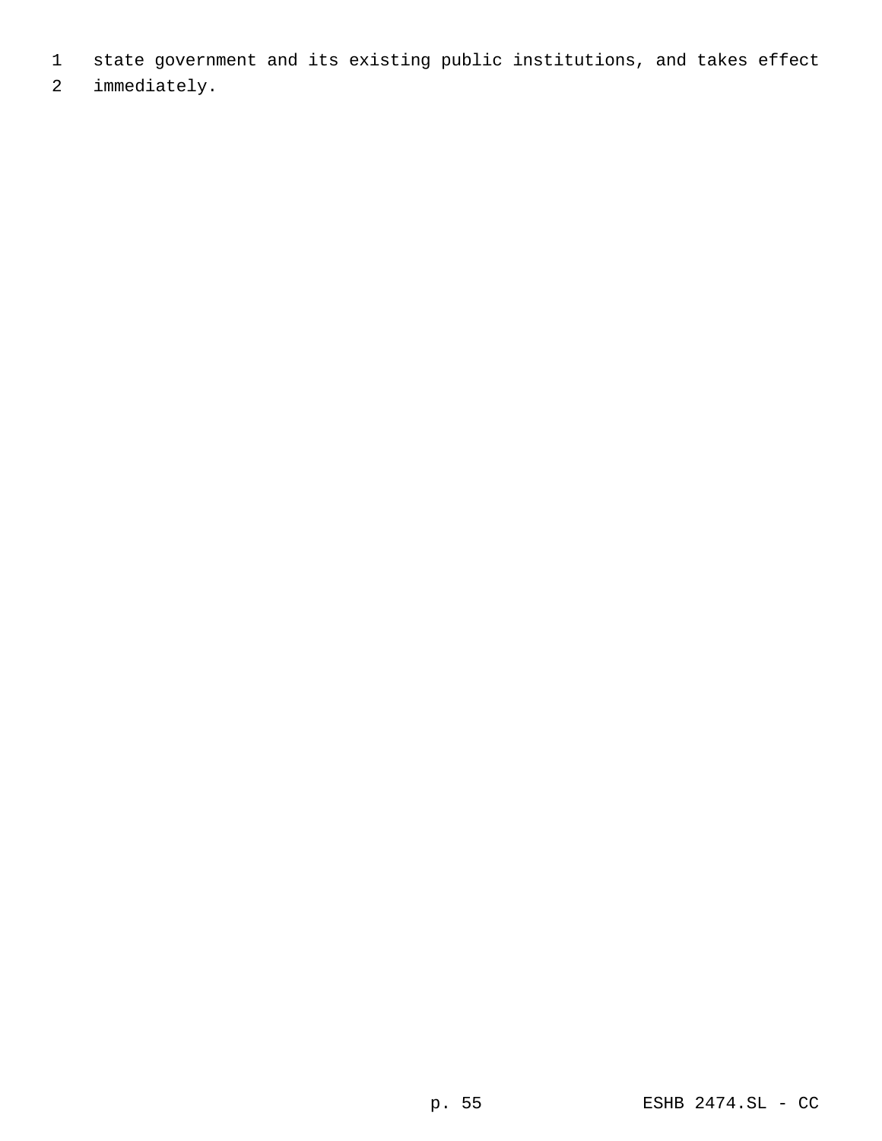- state government and its existing public institutions, and takes effect
- immediately.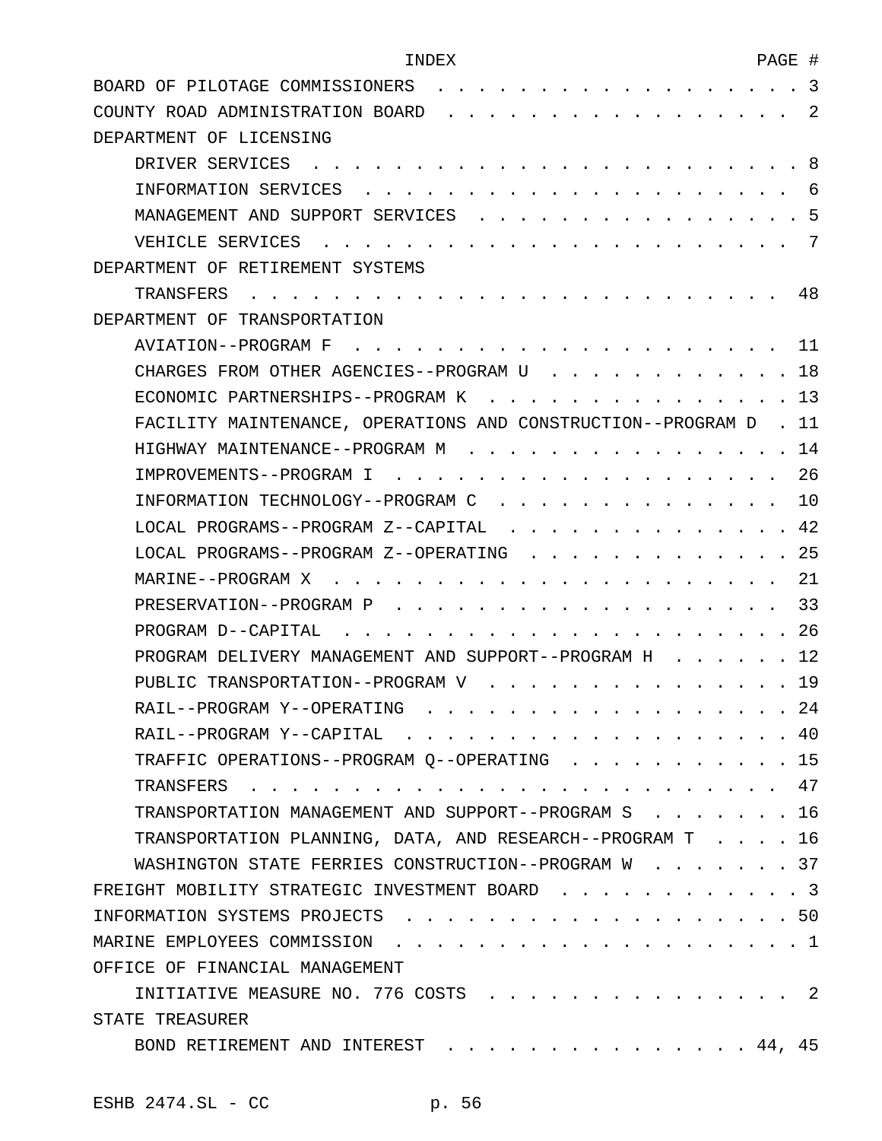| INDEX                                                                                                                                                      | PAGE #          |           |
|------------------------------------------------------------------------------------------------------------------------------------------------------------|-----------------|-----------|
| BOARD OF PILOTAGE COMMISSIONERS                                                                                                                            |                 | -3        |
| COUNTY ROAD ADMINISTRATION BOARD                                                                                                                           |                 | $\cdot$ 2 |
| DEPARTMENT OF LICENSING                                                                                                                                    |                 |           |
| DRIVER SERVICES                                                                                                                                            | . . 8           |           |
| INFORMATION SERVICES                                                                                                                                       |                 | -6        |
| MANAGEMENT AND SUPPORT SERVICES                                                                                                                            |                 | . 5       |
| VEHICLE SERVICES<br>$\sim$ $\sim$ $\sim$ $\sim$ $\sim$                                                                                                     |                 | 7         |
| DEPARTMENT OF RETIREMENT SYSTEMS                                                                                                                           |                 |           |
| TRANSFERS<br>$\frac{1}{2}$ , $\frac{1}{2}$ , $\frac{1}{2}$ , $\frac{1}{2}$ , $\frac{1}{2}$ , $\frac{1}{2}$ , $\frac{1}{2}$ , $\frac{1}{2}$ , $\frac{1}{2}$ |                 | 48        |
| DEPARTMENT OF TRANSPORTATION                                                                                                                               |                 |           |
| AVIATION--PROGRAM F                                                                                                                                        |                 | 11        |
| CHARGES FROM OTHER AGENCIES--PROGRAM U                                                                                                                     |                 | . 18      |
| ECONOMIC PARTNERSHIPS--PROGRAM K                                                                                                                           |                 | 13        |
| FACILITY MAINTENANCE, OPERATIONS AND CONSTRUCTION--PROGRAM D                                                                                               |                 | . 11      |
| HIGHWAY MAINTENANCE--PROGRAM M                                                                                                                             | . 14            |           |
| IMPROVEMENTS--PROGRAM I                                                                                                                                    | $\cdot$ . 26    |           |
| INFORMATION TECHNOLOGY--PROGRAM C                                                                                                                          |                 | 10        |
| LOCAL PROGRAMS--PROGRAM Z--CAPITAL                                                                                                                         | . 42            |           |
| LOCAL PROGRAMS--PROGRAM Z--OPERATING                                                                                                                       | $\therefore$ 25 |           |
| MARINE--PROGRAM X                                                                                                                                          |                 | 21        |
| PRESERVATION--PROGRAM P                                                                                                                                    |                 | 33        |
| PROGRAM D--CAPITAL                                                                                                                                         |                 | . 26      |
| PROGRAM DELIVERY MANAGEMENT AND SUPPORT--PROGRAM H                                                                                                         | $\therefore$ 12 |           |
| PUBLIC TRANSPORTATION--PROGRAM V                                                                                                                           | . . 19          |           |
| RAIL--PROGRAM Y--OPERATING 24                                                                                                                              |                 |           |
| RAIL--PROGRAM Y--CAPITAL 40                                                                                                                                |                 |           |
| TRAFFIC OPERATIONS--PROGRAM Q--OPERATING 15                                                                                                                |                 |           |
| TRANSFERS                                                                                                                                                  |                 |           |
| TRANSPORTATION MANAGEMENT AND SUPPORT--PROGRAM S 16                                                                                                        |                 |           |
| TRANSPORTATION PLANNING, DATA, AND RESEARCH--PROGRAM T 16                                                                                                  |                 |           |
| WASHINGTON STATE FERRIES CONSTRUCTION--PROGRAM W 37                                                                                                        |                 |           |
| FREIGHT MOBILITY STRATEGIC INVESTMENT BOARD 3                                                                                                              |                 |           |
|                                                                                                                                                            |                 |           |
|                                                                                                                                                            |                 |           |
| OFFICE OF FINANCIAL MANAGEMENT                                                                                                                             |                 |           |
| INITIATIVE MEASURE NO. 776 COSTS 2                                                                                                                         |                 |           |
| STATE TREASURER                                                                                                                                            |                 |           |
| BOND RETIREMENT AND INTEREST 44, 45                                                                                                                        |                 |           |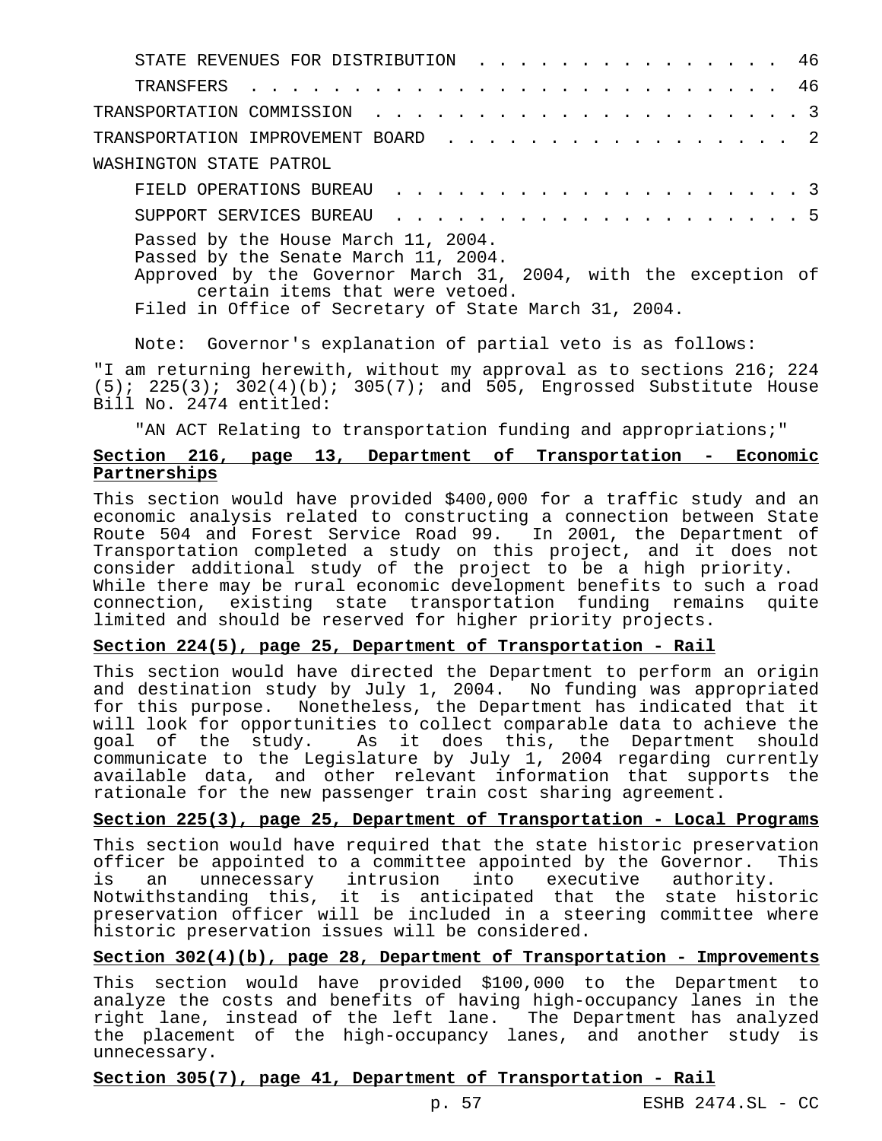| STATE REVENUES FOR DISTRIBUTION 46 |  |  |  |  |  |  |  |  |  |  |  |  |  |
|------------------------------------|--|--|--|--|--|--|--|--|--|--|--|--|--|
|                                    |  |  |  |  |  |  |  |  |  |  |  |  |  |
|                                    |  |  |  |  |  |  |  |  |  |  |  |  |  |
| TRANSPORTATION IMPROVEMENT BOARD 2 |  |  |  |  |  |  |  |  |  |  |  |  |  |
| WASHINGTON STATE PATROL            |  |  |  |  |  |  |  |  |  |  |  |  |  |
| TITUI ODURAMIONIO DIURAII          |  |  |  |  |  |  |  |  |  |  |  |  |  |

FIELD OPERATIONS BUREAU SUPPORT SERVICES BUREAU . . . . . . . . . . . . . . . . . . . . 5 Passed by the House March 11, 2004. Passed by the Senate March 11, 2004. Approved by the Governor March 31, 2004, with the exception of certain items that were vetoed. Filed in Office of Secretary of State March 31, 2004.

Note: Governor's explanation of partial veto is as follows:

"I am returning herewith, without my approval as to sections 216; 224  $(5)$ ; 225(3); 302(4)(b); 305(7); and 505, Engrossed Substitute House Bill No. 2474 entitled:

"AN ACT Relating to transportation funding and appropriations;"

# **Section 216, page 13, Department of Transportation - Economic Partnerships**

This section would have provided \$400,000 for a traffic study and an economic analysis related to constructing a connection between State Route 504 and Forest Service Road 99. In 2001, the Department of Transportation completed a study on this project, and it does not consider additional study of the project to be a high priority. While there may be rural economic development benefits to such a road connection, existing state transportation funding remains quite limited and should be reserved for higher priority projects.

## **Section 224(5), page 25, Department of Transportation - Rail**

This section would have directed the Department to perform an origin and destination study by July 1, 2004. No funding was appropriated for this purpose. Nonetheless, the Department has indicated that it will look for opportunities to collect comparable data to achieve the goal of the study. As it does this, the Department should communicate to the Legislature by July 1, 2004 regarding currently available data, and other relevant information that supports the rationale for the new passenger train cost sharing agreement.

# **Section 225(3), page 25, Department of Transportation - Local Programs**

This section would have required that the state historic preservation officer be appointed to a committee appointed by the Governor. This<br>is an unnecessary intrusion into executive authority. is an unnecessary intrusion into executive authority. Notwithstanding this, it is anticipated that the state historic preservation officer will be included in a steering committee where historic preservation issues will be considered.

# **Section 302(4)(b), page 28, Department of Transportation - Improvements**

This section would have provided \$100,000 to the Department to analyze the costs and benefits of having high-occupancy lanes in the right lane, instead of the left lane. The Department has analyzed the placement of the high-occupancy lanes, and another study is unnecessary.

# **Section 305(7), page 41, Department of Transportation - Rail**